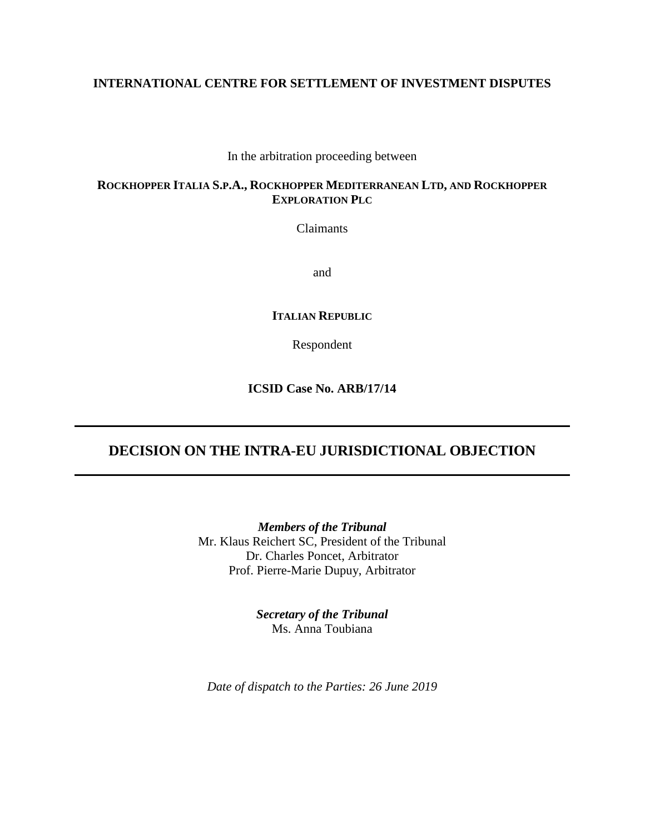# **INTERNATIONAL CENTRE FOR SETTLEMENT OF INVESTMENT DISPUTES**

In the arbitration proceeding between

# **ROCKHOPPER ITALIA S.P.A., ROCKHOPPER MEDITERRANEAN LTD, AND ROCKHOPPER EXPLORATION PLC**

Claimants

and

# **ITALIAN REPUBLIC**

Respondent

**ICSID Case No. ARB/17/14**

# **DECISION ON THE INTRA-EU JURISDICTIONAL OBJECTION**

*Members of the Tribunal* Mr. Klaus Reichert SC, President of the Tribunal Dr. Charles Poncet, Arbitrator Prof. Pierre-Marie Dupuy, Arbitrator

> *Secretary of the Tribunal* Ms. Anna Toubiana

*Date of dispatch to the Parties: 26 June 2019*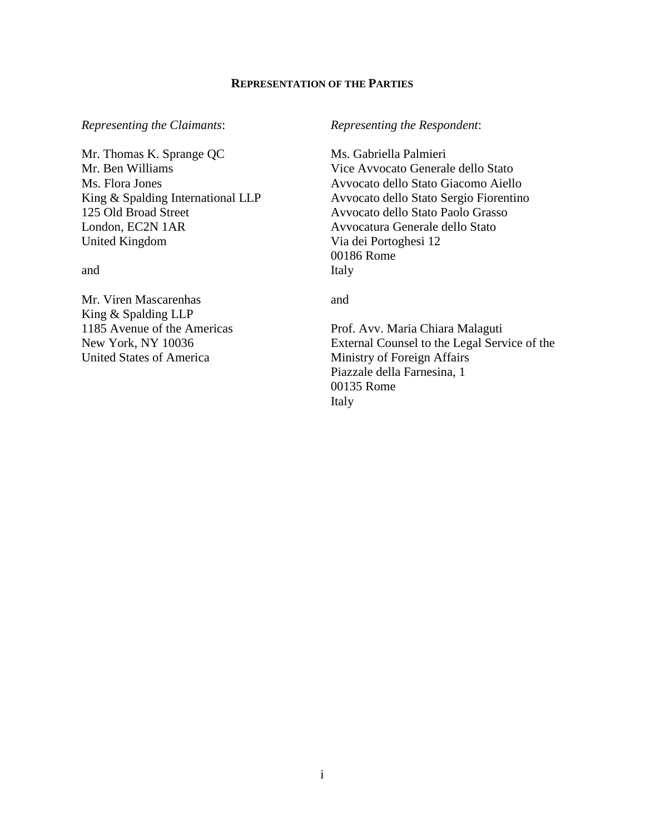### **REPRESENTATION OF THE PARTIES**

Mr. Thomas K. Sprange QC Mr. Ben Williams Ms. Flora Jones King & Spalding International LLP 125 Old Broad Street London, EC2N 1AR United Kingdom

and

Mr. Viren Mascarenhas King & Spalding LLP 1185 Avenue of the Americas New York, NY 10036 United States of America

#### *Representing the Claimants*: *Representing the Respondent*:

Ms. Gabriella Palmieri Vice Avvocato Generale dello Stato Avvocato dello Stato Giacomo Aiello Avvocato dello Stato Sergio Fiorentino Avvocato dello Stato Paolo Grasso Avvocatura Generale dello Stato Via dei Portoghesi 12 00186 Rome Italy

and

Prof. Avv. Maria Chiara Malaguti External Counsel to the Legal Service of the Ministry of Foreign Affairs Piazzale della Farnesina, 1 00135 Rome Italy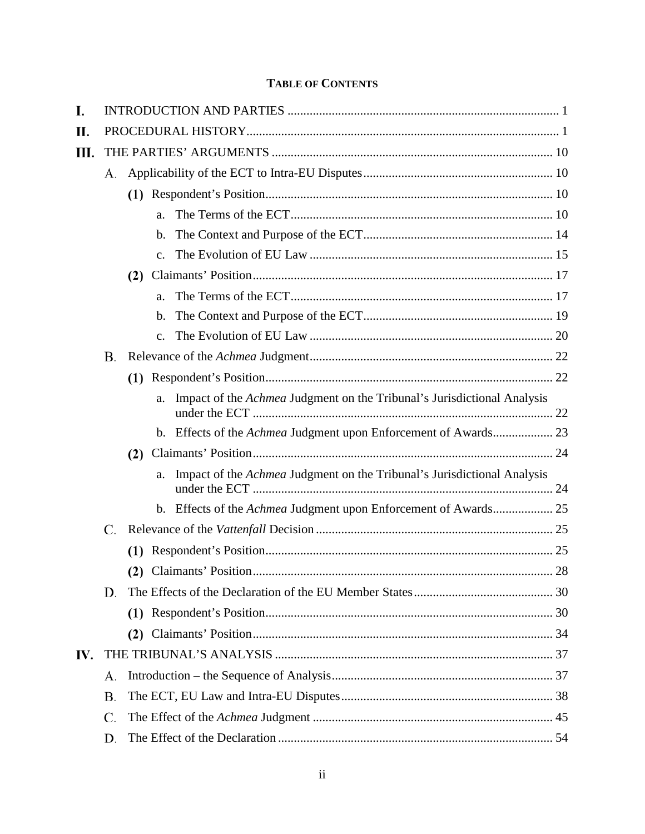# **TABLE OF CONTENTS**

| I.  |    |     |                |                                                                                |    |  |  |  |  |  |
|-----|----|-----|----------------|--------------------------------------------------------------------------------|----|--|--|--|--|--|
| П.  |    |     |                |                                                                                |    |  |  |  |  |  |
| Ш.  |    |     |                |                                                                                |    |  |  |  |  |  |
|     | А. |     |                |                                                                                |    |  |  |  |  |  |
|     |    |     |                |                                                                                |    |  |  |  |  |  |
|     |    |     | a.             |                                                                                |    |  |  |  |  |  |
|     |    |     | $b_{\cdot}$    |                                                                                |    |  |  |  |  |  |
|     |    |     | $\mathbf{c}$ . |                                                                                |    |  |  |  |  |  |
|     |    | (2) |                |                                                                                |    |  |  |  |  |  |
|     |    |     | a.             |                                                                                |    |  |  |  |  |  |
|     |    |     | b.             |                                                                                |    |  |  |  |  |  |
|     |    |     | $\mathbf{c}$ . |                                                                                |    |  |  |  |  |  |
|     | В. |     |                |                                                                                |    |  |  |  |  |  |
|     |    |     |                |                                                                                |    |  |  |  |  |  |
|     |    |     | a.             | Impact of the <i>Achmea</i> Judgment on the Tribunal's Jurisdictional Analysis |    |  |  |  |  |  |
|     |    |     |                | b. Effects of the Achmea Judgment upon Enforcement of Awards 23                |    |  |  |  |  |  |
|     |    | (2) |                |                                                                                |    |  |  |  |  |  |
|     |    |     | a.             | Impact of the <i>Achmea</i> Judgment on the Tribunal's Jurisdictional Analysis |    |  |  |  |  |  |
|     |    |     |                | b. Effects of the Achmea Judgment upon Enforcement of Awards 25                |    |  |  |  |  |  |
|     | C. |     |                |                                                                                |    |  |  |  |  |  |
|     |    |     |                |                                                                                |    |  |  |  |  |  |
|     |    |     |                |                                                                                | 28 |  |  |  |  |  |
|     | D. |     |                |                                                                                |    |  |  |  |  |  |
|     |    |     |                |                                                                                |    |  |  |  |  |  |
|     |    | (2) |                |                                                                                |    |  |  |  |  |  |
| IV. |    |     |                |                                                                                |    |  |  |  |  |  |
|     | А. |     |                |                                                                                |    |  |  |  |  |  |
|     | В. |     |                |                                                                                |    |  |  |  |  |  |
|     | C. |     |                |                                                                                |    |  |  |  |  |  |
|     | D. |     |                |                                                                                |    |  |  |  |  |  |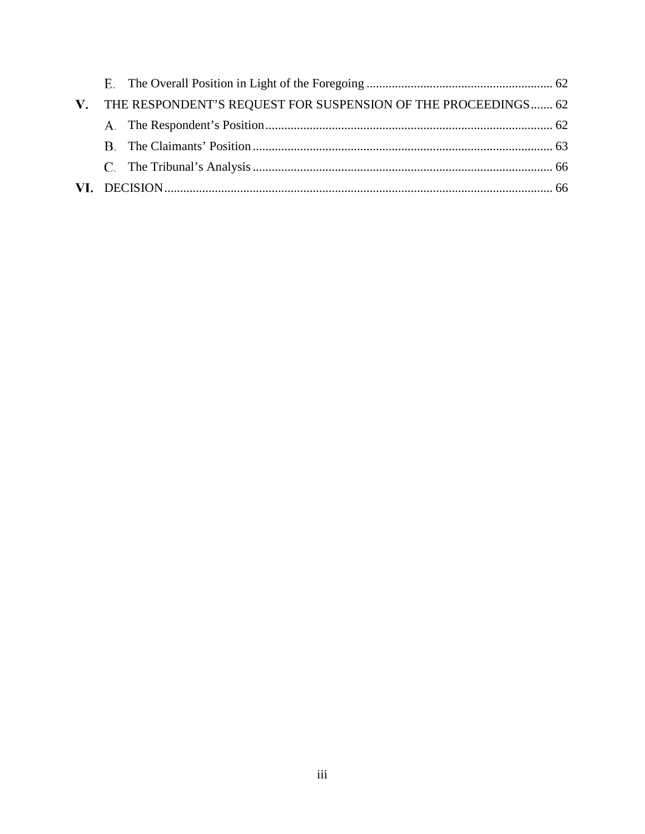| V. THE RESPONDENT'S REQUEST FOR SUSPENSION OF THE PROCEEDINGS 62 |  |
|------------------------------------------------------------------|--|
|                                                                  |  |
|                                                                  |  |
|                                                                  |  |
|                                                                  |  |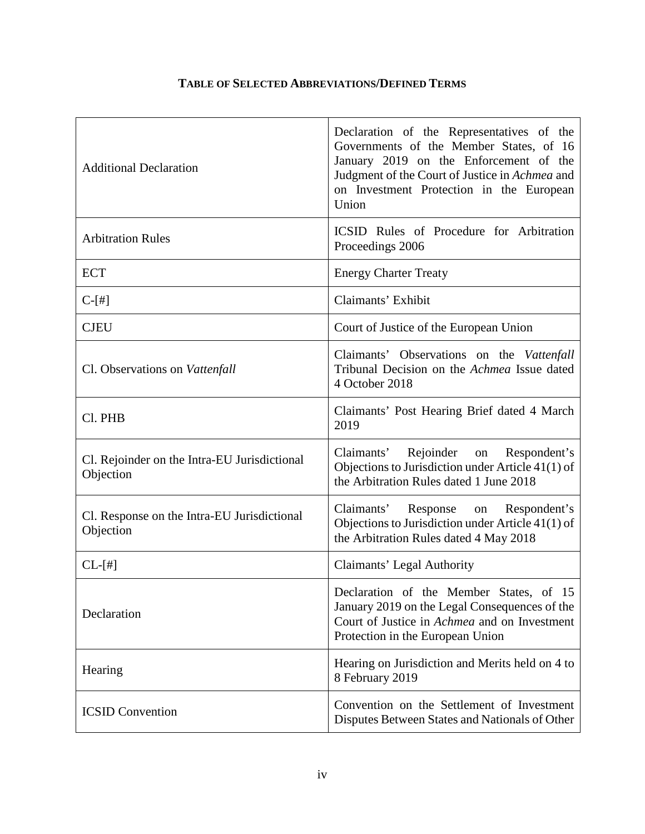# **TABLE OF SELECTED ABBREVIATIONS/DEFINED TERMS**

| <b>Additional Declaration</b>                             | Declaration of the Representatives of the<br>Governments of the Member States, of 16<br>January 2019 on the Enforcement of the<br>Judgment of the Court of Justice in Achmea and<br>on Investment Protection in the European<br>Union |
|-----------------------------------------------------------|---------------------------------------------------------------------------------------------------------------------------------------------------------------------------------------------------------------------------------------|
| <b>Arbitration Rules</b>                                  | ICSID Rules of Procedure for Arbitration<br>Proceedings 2006                                                                                                                                                                          |
| <b>ECT</b>                                                | <b>Energy Charter Treaty</b>                                                                                                                                                                                                          |
| $C-[#]$                                                   | Claimants' Exhibit                                                                                                                                                                                                                    |
| <b>CJEU</b>                                               | Court of Justice of the European Union                                                                                                                                                                                                |
| Cl. Observations on Vattenfall                            | Claimants' Observations on the Vattenfall<br>Tribunal Decision on the Achmea Issue dated<br>4 October 2018                                                                                                                            |
| Cl. PHB                                                   | Claimants' Post Hearing Brief dated 4 March<br>2019                                                                                                                                                                                   |
| Cl. Rejoinder on the Intra-EU Jurisdictional<br>Objection | Claimants' Rejoinder on<br>Respondent's<br>Objections to Jurisdiction under Article 41(1) of<br>the Arbitration Rules dated 1 June 2018                                                                                               |
| Cl. Response on the Intra-EU Jurisdictional<br>Objection  | on Respondent's<br>Claimants'<br>Response<br>Objections to Jurisdiction under Article 41(1) of<br>the Arbitration Rules dated 4 May 2018                                                                                              |
| $CL-[#]$                                                  | Claimants' Legal Authority                                                                                                                                                                                                            |
| Declaration                                               | Declaration of the Member States, of 15<br>January 2019 on the Legal Consequences of the<br>Court of Justice in Achmea and on Investment<br>Protection in the European Union                                                          |
| Hearing                                                   | Hearing on Jurisdiction and Merits held on 4 to<br>8 February 2019                                                                                                                                                                    |
| <b>ICSID Convention</b>                                   | Convention on the Settlement of Investment<br>Disputes Between States and Nationals of Other                                                                                                                                          |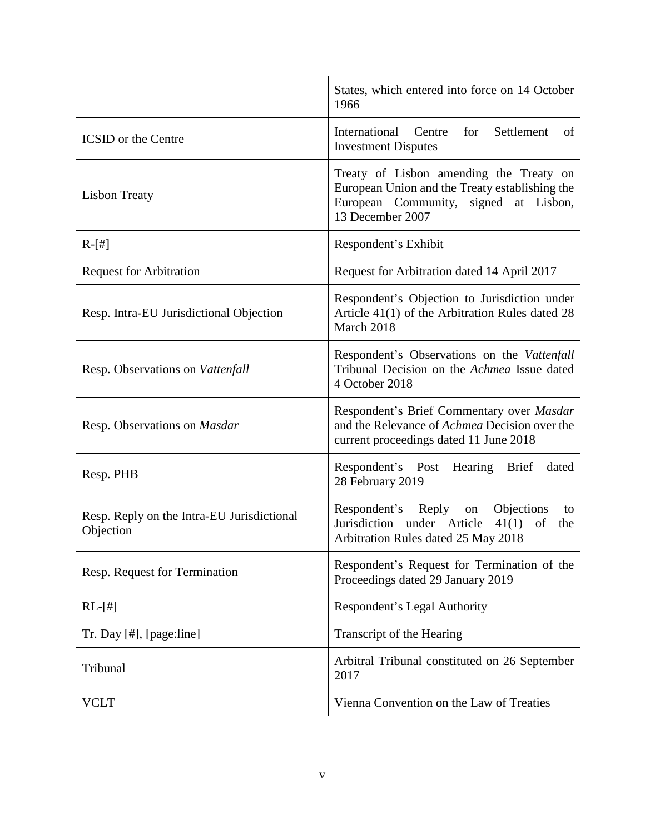|                                                         | States, which entered into force on 14 October<br>1966                                                                                                 |
|---------------------------------------------------------|--------------------------------------------------------------------------------------------------------------------------------------------------------|
| <b>ICSID</b> or the Centre                              | International Centre for Settlement<br>of<br><b>Investment Disputes</b>                                                                                |
| <b>Lisbon Treaty</b>                                    | Treaty of Lisbon amending the Treaty on<br>European Union and the Treaty establishing the<br>European Community, signed at Lisbon,<br>13 December 2007 |
| $R-[#]$                                                 | Respondent's Exhibit                                                                                                                                   |
| <b>Request for Arbitration</b>                          | Request for Arbitration dated 14 April 2017                                                                                                            |
| Resp. Intra-EU Jurisdictional Objection                 | Respondent's Objection to Jurisdiction under<br>Article 41(1) of the Arbitration Rules dated 28<br>March 2018                                          |
| Resp. Observations on Vattenfall                        | Respondent's Observations on the Vattenfall<br>Tribunal Decision on the Achmea Issue dated<br>4 October 2018                                           |
| Resp. Observations on Masdar                            | Respondent's Brief Commentary over Masdar<br>and the Relevance of <i>Achmea</i> Decision over the<br>current proceedings dated 11 June 2018            |
| Resp. PHB                                               | Respondent's Post<br>Hearing Brief<br>dated<br>28 February 2019                                                                                        |
| Resp. Reply on the Intra-EU Jurisdictional<br>Objection | Respondent's Reply<br>Objections<br>on<br>to<br>Jurisdiction under Article<br>41(1)<br>of<br>the<br>Arbitration Rules dated 25 May 2018                |
| Resp. Request for Termination                           | Respondent's Request for Termination of the<br>Proceedings dated 29 January 2019                                                                       |
| $RL-[#]$                                                | Respondent's Legal Authority                                                                                                                           |
| $Tr.$ Day $[#]$ , $[page: line]$                        | Transcript of the Hearing                                                                                                                              |
| Tribunal                                                | Arbitral Tribunal constituted on 26 September<br>2017                                                                                                  |
| <b>VCLT</b>                                             | Vienna Convention on the Law of Treaties                                                                                                               |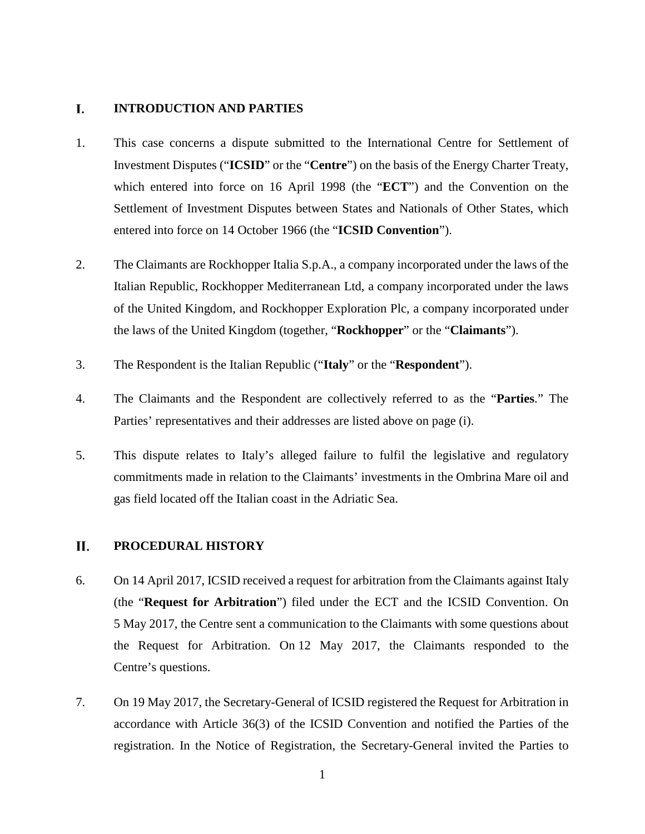#### L. **INTRODUCTION AND PARTIES**

- 1. This case concerns a dispute submitted to the International Centre for Settlement of Investment Disputes ("**ICSID**" or the "**Centre**") on the basis of the Energy Charter Treaty, which entered into force on 16 April 1998 (the "**ECT**") and the Convention on the Settlement of Investment Disputes between States and Nationals of Other States, which entered into force on 14 October 1966 (the "**ICSID Convention**").
- 2. The Claimants are Rockhopper Italia S.p.A., a company incorporated under the laws of the Italian Republic, Rockhopper Mediterranean Ltd, a company incorporated under the laws of the United Kingdom, and Rockhopper Exploration Plc, a company incorporated under the laws of the United Kingdom (together, "**Rockhopper**" or the "**Claimants**").
- 3. The Respondent is the Italian Republic ("**Italy**" or the "**Respondent**").
- 4. The Claimants and the Respondent are collectively referred to as the "**Parties**." The Parties' representatives and their addresses are listed above on page (i).
- 5. This dispute relates to Italy's alleged failure to fulfil the legislative and regulatory commitments made in relation to the Claimants' investments in the Ombrina Mare oil and gas field located off the Italian coast in the Adriatic Sea.

#### П. **PROCEDURAL HISTORY**

- 6. On 14 April 2017, ICSID received a request for arbitration from the Claimants against Italy (the "**Request for Arbitration**") filed under the ECT and the ICSID Convention. On 5 May 2017, the Centre sent a communication to the Claimants with some questions about the Request for Arbitration. On 12 May 2017, the Claimants responded to the Centre's questions.
- 7. On 19 May 2017, the Secretary-General of ICSID registered the Request for Arbitration in accordance with Article 36(3) of the ICSID Convention and notified the Parties of the registration. In the Notice of Registration, the Secretary-General invited the Parties to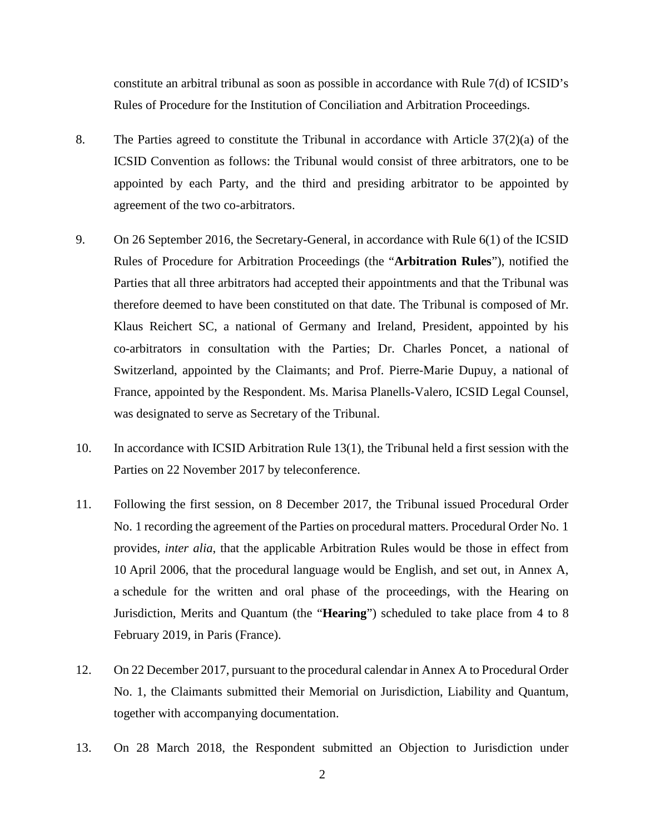constitute an arbitral tribunal as soon as possible in accordance with Rule 7(d) of ICSID's Rules of Procedure for the Institution of Conciliation and Arbitration Proceedings.

- 8. The Parties agreed to constitute the Tribunal in accordance with Article 37(2)(a) of the ICSID Convention as follows: the Tribunal would consist of three arbitrators, one to be appointed by each Party, and the third and presiding arbitrator to be appointed by agreement of the two co-arbitrators.
- 9. On 26 September 2016, the Secretary-General, in accordance with Rule 6(1) of the ICSID Rules of Procedure for Arbitration Proceedings (the "**Arbitration Rules**"), notified the Parties that all three arbitrators had accepted their appointments and that the Tribunal was therefore deemed to have been constituted on that date. The Tribunal is composed of Mr. Klaus Reichert SC, a national of Germany and Ireland, President, appointed by his co-arbitrators in consultation with the Parties; Dr. Charles Poncet, a national of Switzerland, appointed by the Claimants; and Prof. Pierre-Marie Dupuy, a national of France, appointed by the Respondent. Ms. Marisa Planells-Valero, ICSID Legal Counsel, was designated to serve as Secretary of the Tribunal.
- 10. In accordance with ICSID Arbitration Rule 13(1), the Tribunal held a first session with the Parties on 22 November 2017 by teleconference.
- 11. Following the first session, on 8 December 2017, the Tribunal issued Procedural Order No. 1 recording the agreement of the Parties on procedural matters. Procedural Order No. 1 provides, *inter alia*, that the applicable Arbitration Rules would be those in effect from 10 April 2006, that the procedural language would be English, and set out, in Annex A, a schedule for the written and oral phase of the proceedings, with the Hearing on Jurisdiction, Merits and Quantum (the "**Hearing**") scheduled to take place from 4 to 8 February 2019, in Paris (France).
- 12. On 22 December 2017, pursuant to the procedural calendar in Annex A to Procedural Order No. 1, the Claimants submitted their Memorial on Jurisdiction, Liability and Quantum, together with accompanying documentation.
- 13. On 28 March 2018, the Respondent submitted an Objection to Jurisdiction under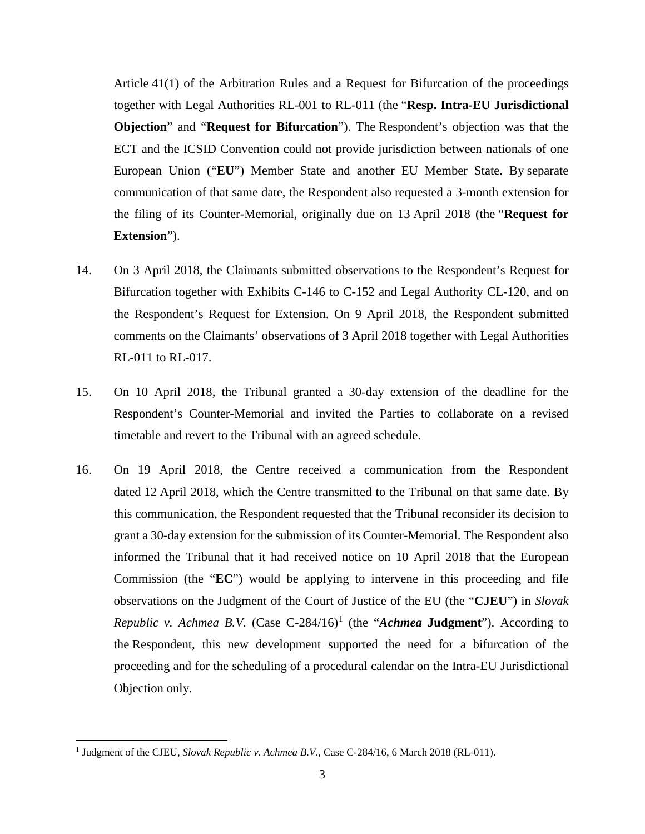Article 41(1) of the Arbitration Rules and a Request for Bifurcation of the proceedings together with Legal Authorities RL-001 to RL-011 (the "**Resp. Intra-EU Jurisdictional Objection**" and "**Request for Bifurcation**"). The Respondent's objection was that the ECT and the ICSID Convention could not provide jurisdiction between nationals of one European Union ("**EU**") Member State and another EU Member State. By separate communication of that same date, the Respondent also requested a 3-month extension for the filing of its Counter-Memorial, originally due on 13 April 2018 (the "**Request for Extension**").

- 14. On 3 April 2018, the Claimants submitted observations to the Respondent's Request for Bifurcation together with Exhibits C-146 to C-152 and Legal Authority CL-120, and on the Respondent's Request for Extension. On 9 April 2018, the Respondent submitted comments on the Claimants' observations of 3 April 2018 together with Legal Authorities RL-011 to RL-017.
- 15. On 10 April 2018, the Tribunal granted a 30-day extension of the deadline for the Respondent's Counter-Memorial and invited the Parties to collaborate on a revised timetable and revert to the Tribunal with an agreed schedule.
- 16. On 19 April 2018, the Centre received a communication from the Respondent dated 12 April 2018, which the Centre transmitted to the Tribunal on that same date. By this communication, the Respondent requested that the Tribunal reconsider its decision to grant a 30-day extension for the submission of its Counter-Memorial. The Respondent also informed the Tribunal that it had received notice on 10 April 2018 that the European Commission (the "**EC**") would be applying to intervene in this proceeding and file observations on the Judgment of the Court of Justice of the EU (the "**CJEU**") in *Slovak Republic v. Achmea B.V.* (Case C-284/16) <sup>1</sup> (the "*Achmea* **Judgment**"). According to the Respondent, this new development supported the need for a bifurcation of the proceeding and for the scheduling of a procedural calendar on the Intra-EU Jurisdictional Objection only.

<sup>&</sup>lt;sup>1</sup> Judgment of the CJEU, *Slovak Republic v. Achmea B.V.*, Case C-284/16, 6 March 2018 (RL-011).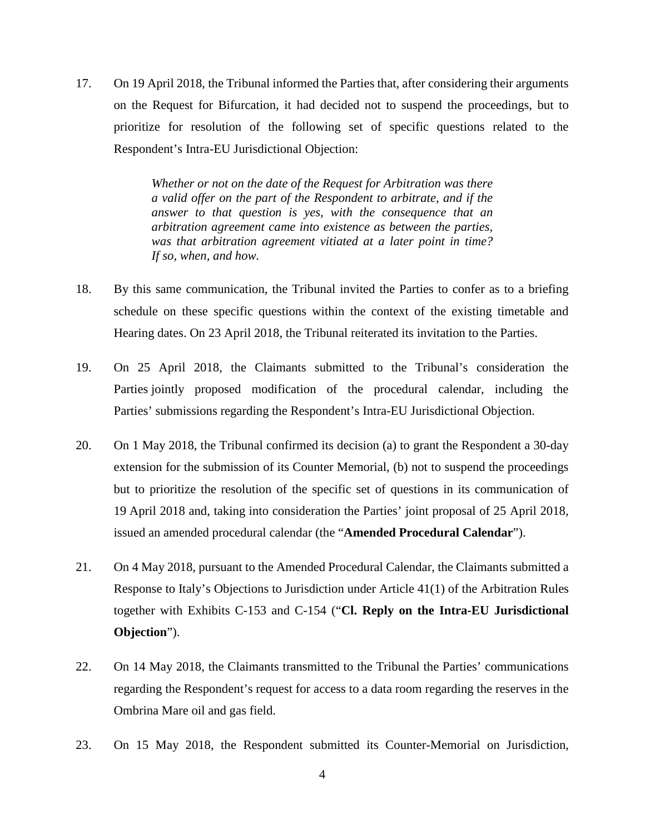17. On 19 April 2018, the Tribunal informed the Parties that, after considering their arguments on the Request for Bifurcation, it had decided not to suspend the proceedings, but to prioritize for resolution of the following set of specific questions related to the Respondent's Intra-EU Jurisdictional Objection:

> *Whether or not on the date of the Request for Arbitration was there a valid offer on the part of the Respondent to arbitrate, and if the answer to that question is yes, with the consequence that an arbitration agreement came into existence as between the parties, was that arbitration agreement vitiated at a later point in time? If so, when, and how.*

- 18. By this same communication, the Tribunal invited the Parties to confer as to a briefing schedule on these specific questions within the context of the existing timetable and Hearing dates. On 23 April 2018, the Tribunal reiterated its invitation to the Parties.
- 19. On 25 April 2018, the Claimants submitted to the Tribunal's consideration the Parties jointly proposed modification of the procedural calendar, including the Parties' submissions regarding the Respondent's Intra-EU Jurisdictional Objection.
- 20. On 1 May 2018, the Tribunal confirmed its decision (a) to grant the Respondent a 30-day extension for the submission of its Counter Memorial, (b) not to suspend the proceedings but to prioritize the resolution of the specific set of questions in its communication of 19 April 2018 and, taking into consideration the Parties' joint proposal of 25 April 2018, issued an amended procedural calendar (the "**Amended Procedural Calendar**").
- 21. On 4 May 2018, pursuant to the Amended Procedural Calendar, the Claimants submitted a Response to Italy's Objections to Jurisdiction under Article 41(1) of the Arbitration Rules together with Exhibits C-153 and C-154 ("**Cl. Reply on the Intra-EU Jurisdictional Objection**").
- 22. On 14 May 2018, the Claimants transmitted to the Tribunal the Parties' communications regarding the Respondent's request for access to a data room regarding the reserves in the Ombrina Mare oil and gas field.
- 23. On 15 May 2018, the Respondent submitted its Counter-Memorial on Jurisdiction,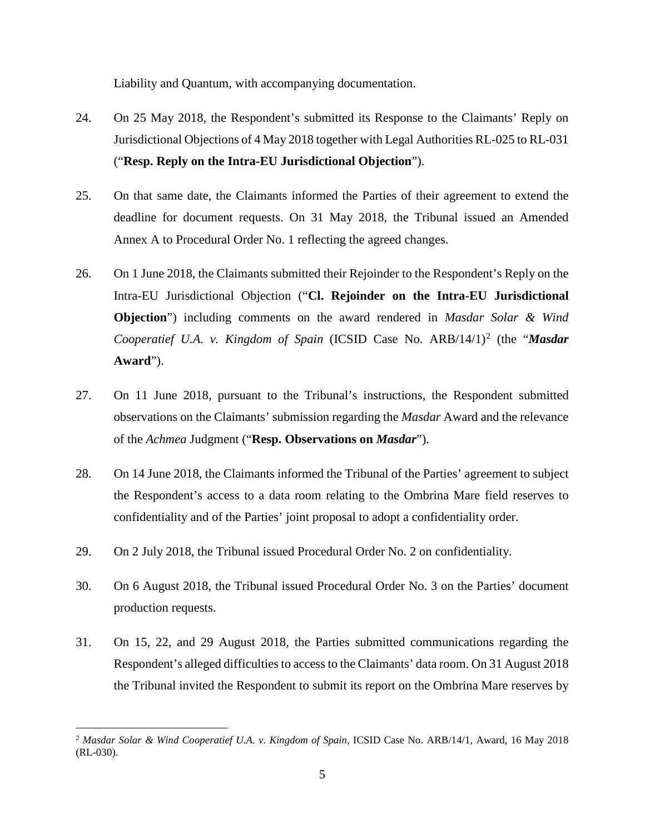Liability and Quantum, with accompanying documentation.

- 24. On 25 May 2018, the Respondent's submitted its Response to the Claimants' Reply on Jurisdictional Objections of 4 May 2018 together with Legal Authorities RL-025 to RL-031 ("**Resp. Reply on the Intra-EU Jurisdictional Objection**").
- 25. On that same date, the Claimants informed the Parties of their agreement to extend the deadline for document requests. On 31 May 2018, the Tribunal issued an Amended Annex A to Procedural Order No. 1 reflecting the agreed changes.
- 26. On 1 June 2018, the Claimants submitted their Rejoinder to the Respondent's Reply on the Intra-EU Jurisdictional Objection ("**Cl. Rejoinder on the Intra-EU Jurisdictional Objection**") including comments on the award rendered in *Masdar Solar & Wind Cooperatief U.A. v. Kingdom of Spain* (ICSID Case No. ARB/14/1) <sup>2</sup> (the "*Masdar* **Award**").
- 27. On 11 June 2018, pursuant to the Tribunal's instructions, the Respondent submitted observations on the Claimants' submission regarding the *Masdar* Award and the relevance of the *Achmea* Judgment ("**Resp. Observations on** *Masdar*").
- 28. On 14 June 2018, the Claimants informed the Tribunal of the Parties' agreement to subject the Respondent's access to a data room relating to the Ombrina Mare field reserves to confidentiality and of the Parties' joint proposal to adopt a confidentiality order.
- 29. On 2 July 2018, the Tribunal issued Procedural Order No. 2 on confidentiality.
- 30. On 6 August 2018, the Tribunal issued Procedural Order No. 3 on the Parties' document production requests.
- 31. On 15, 22, and 29 August 2018, the Parties submitted communications regarding the Respondent's alleged difficulties to access to the Claimants' data room. On 31 August 2018 the Tribunal invited the Respondent to submit its report on the Ombrina Mare reserves by

 <sup>2</sup> *Masdar Solar & Wind Cooperatief U.A. v. Kingdom of Spain*, ICSID Case No. ARB/14/1, Award, 16 May 2018 (RL-030).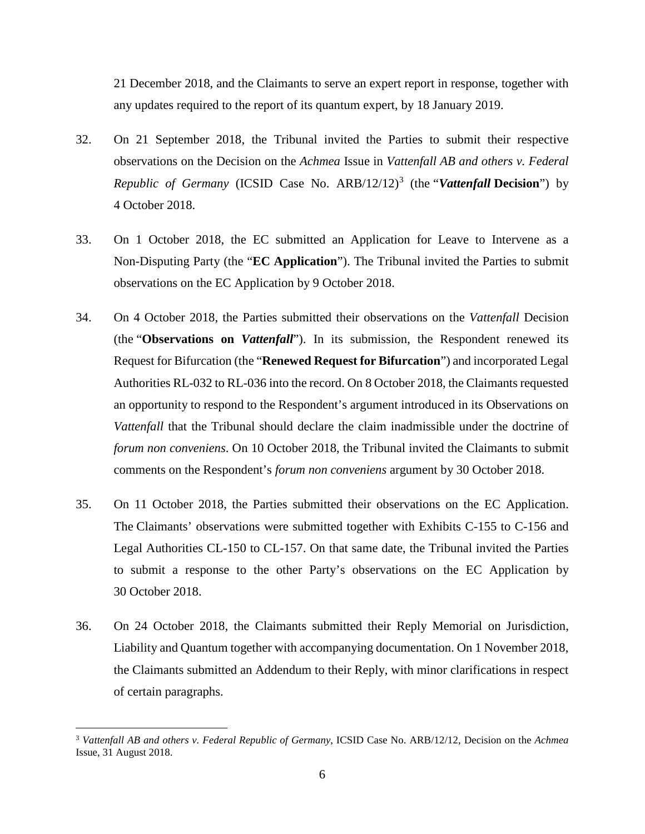21 December 2018, and the Claimants to serve an expert report in response, together with any updates required to the report of its quantum expert, by 18 January 2019.

- 32. On 21 September 2018, the Tribunal invited the Parties to submit their respective observations on the Decision on the *Achmea* Issue in *Vattenfall AB and others v. Federal Republic of Germany* (ICSID Case No. ARB/12/12)<sup>3</sup> (the "*Vattenfall Decision*") by 4 October 2018.
- 33. On 1 October 2018, the EC submitted an Application for Leave to Intervene as a Non-Disputing Party (the "**EC Application**"). The Tribunal invited the Parties to submit observations on the EC Application by 9 October 2018.
- 34. On 4 October 2018, the Parties submitted their observations on the *Vattenfall* Decision (the "**Observations on** *Vattenfall*"). In its submission, the Respondent renewed its Request for Bifurcation (the "**Renewed Request for Bifurcation**") and incorporated Legal Authorities RL-032 to RL-036 into the record. On 8 October 2018, the Claimants requested an opportunity to respond to the Respondent's argument introduced in its Observations on *Vattenfall* that the Tribunal should declare the claim inadmissible under the doctrine of *forum non conveniens*. On 10 October 2018, the Tribunal invited the Claimants to submit comments on the Respondent's *forum non conveniens* argument by 30 October 2018.
- 35. On 11 October 2018, the Parties submitted their observations on the EC Application. The Claimants' observations were submitted together with Exhibits C-155 to C-156 and Legal Authorities CL-150 to CL-157. On that same date, the Tribunal invited the Parties to submit a response to the other Party's observations on the EC Application by 30 October 2018.
- 36. On 24 October 2018, the Claimants submitted their Reply Memorial on Jurisdiction, Liability and Quantum together with accompanying documentation. On 1 November 2018, the Claimants submitted an Addendum to their Reply, with minor clarifications in respect of certain paragraphs.

 <sup>3</sup> *Vattenfall AB and others v. Federal Republic of Germany*, ICSID Case No. ARB/12/12, Decision on the *Achmea*  Issue, 31 August 2018.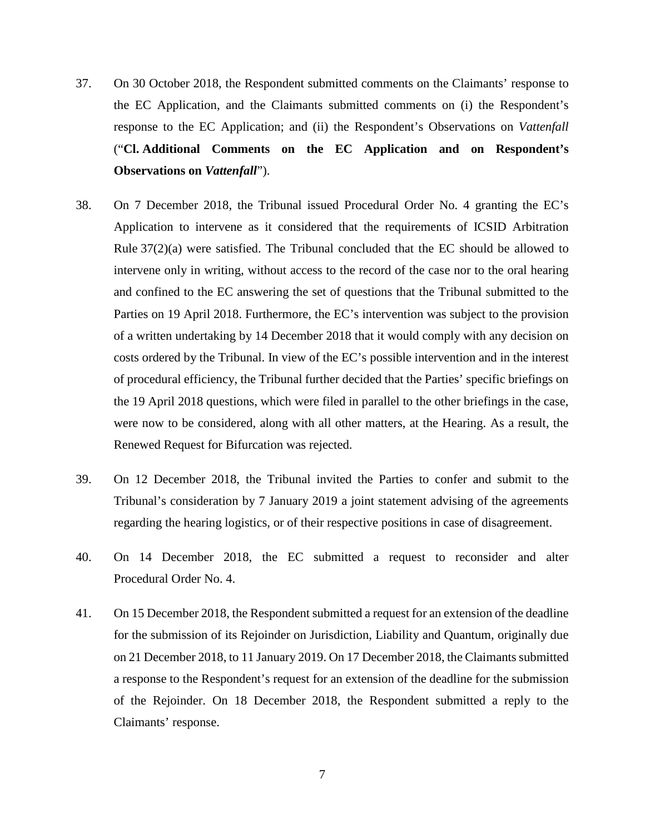- 37. On 30 October 2018, the Respondent submitted comments on the Claimants' response to the EC Application, and the Claimants submitted comments on (i) the Respondent's response to the EC Application; and (ii) the Respondent's Observations on *Vattenfall* ("**Cl. Additional Comments on the EC Application and on Respondent's Observations on** *Vattenfall*").
- 38. On 7 December 2018, the Tribunal issued Procedural Order No. 4 granting the EC's Application to intervene as it considered that the requirements of ICSID Arbitration Rule 37(2)(a) were satisfied. The Tribunal concluded that the EC should be allowed to intervene only in writing, without access to the record of the case nor to the oral hearing and confined to the EC answering the set of questions that the Tribunal submitted to the Parties on 19 April 2018. Furthermore, the EC's intervention was subject to the provision of a written undertaking by 14 December 2018 that it would comply with any decision on costs ordered by the Tribunal. In view of the EC's possible intervention and in the interest of procedural efficiency, the Tribunal further decided that the Parties' specific briefings on the 19 April 2018 questions, which were filed in parallel to the other briefings in the case, were now to be considered, along with all other matters, at the Hearing. As a result, the Renewed Request for Bifurcation was rejected.
- 39. On 12 December 2018, the Tribunal invited the Parties to confer and submit to the Tribunal's consideration by 7 January 2019 a joint statement advising of the agreements regarding the hearing logistics, or of their respective positions in case of disagreement.
- 40. On 14 December 2018, the EC submitted a request to reconsider and alter Procedural Order No. 4.
- 41. On 15 December 2018, the Respondent submitted a request for an extension of the deadline for the submission of its Rejoinder on Jurisdiction, Liability and Quantum, originally due on 21 December 2018, to 11 January 2019. On 17 December 2018, the Claimants submitted a response to the Respondent's request for an extension of the deadline for the submission of the Rejoinder. On 18 December 2018, the Respondent submitted a reply to the Claimants' response.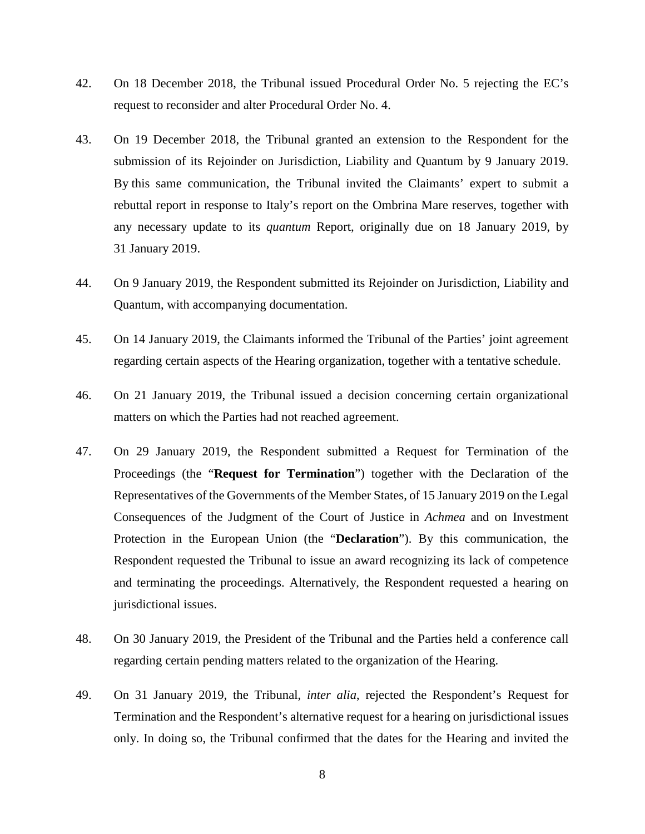- 42. On 18 December 2018, the Tribunal issued Procedural Order No. 5 rejecting the EC's request to reconsider and alter Procedural Order No. 4.
- 43. On 19 December 2018, the Tribunal granted an extension to the Respondent for the submission of its Rejoinder on Jurisdiction, Liability and Quantum by 9 January 2019. By this same communication, the Tribunal invited the Claimants' expert to submit a rebuttal report in response to Italy's report on the Ombrina Mare reserves, together with any necessary update to its *quantum* Report, originally due on 18 January 2019, by 31 January 2019.
- 44. On 9 January 2019, the Respondent submitted its Rejoinder on Jurisdiction, Liability and Quantum, with accompanying documentation.
- 45. On 14 January 2019, the Claimants informed the Tribunal of the Parties' joint agreement regarding certain aspects of the Hearing organization, together with a tentative schedule.
- 46. On 21 January 2019, the Tribunal issued a decision concerning certain organizational matters on which the Parties had not reached agreement.
- 47. On 29 January 2019, the Respondent submitted a Request for Termination of the Proceedings (the "**Request for Termination**") together with the Declaration of the Representatives of the Governments of the Member States, of 15 January 2019 on the Legal Consequences of the Judgment of the Court of Justice in *Achmea* and on Investment Protection in the European Union (the "**Declaration**"). By this communication, the Respondent requested the Tribunal to issue an award recognizing its lack of competence and terminating the proceedings. Alternatively, the Respondent requested a hearing on jurisdictional issues.
- 48. On 30 January 2019, the President of the Tribunal and the Parties held a conference call regarding certain pending matters related to the organization of the Hearing.
- 49. On 31 January 2019, the Tribunal, *inter alia*, rejected the Respondent's Request for Termination and the Respondent's alternative request for a hearing on jurisdictional issues only. In doing so, the Tribunal confirmed that the dates for the Hearing and invited the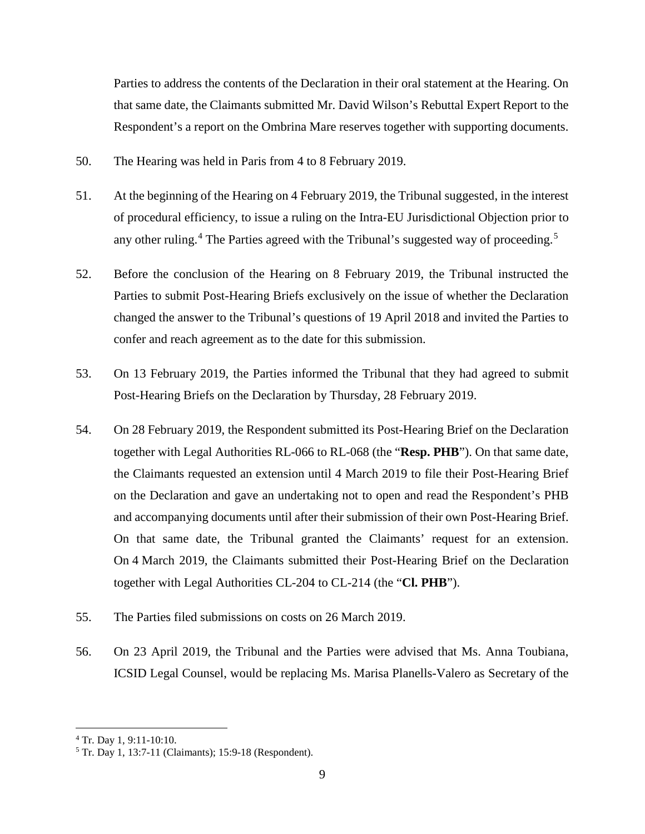Parties to address the contents of the Declaration in their oral statement at the Hearing. On that same date, the Claimants submitted Mr. David Wilson's Rebuttal Expert Report to the Respondent's a report on the Ombrina Mare reserves together with supporting documents.

- 50. The Hearing was held in Paris from 4 to 8 February 2019.
- 51. At the beginning of the Hearing on 4 February 2019, the Tribunal suggested, in the interest of procedural efficiency, to issue a ruling on the Intra-EU Jurisdictional Objection prior to any other ruling.<sup>4</sup> The Parties agreed with the Tribunal's suggested way of proceeding.<sup>5</sup>
- 52. Before the conclusion of the Hearing on 8 February 2019, the Tribunal instructed the Parties to submit Post-Hearing Briefs exclusively on the issue of whether the Declaration changed the answer to the Tribunal's questions of 19 April 2018 and invited the Parties to confer and reach agreement as to the date for this submission.
- 53. On 13 February 2019, the Parties informed the Tribunal that they had agreed to submit Post-Hearing Briefs on the Declaration by Thursday, 28 February 2019.
- 54. On 28 February 2019, the Respondent submitted its Post-Hearing Brief on the Declaration together with Legal Authorities RL-066 to RL-068 (the "**Resp. PHB**"). On that same date, the Claimants requested an extension until 4 March 2019 to file their Post-Hearing Brief on the Declaration and gave an undertaking not to open and read the Respondent's PHB and accompanying documents until after their submission of their own Post-Hearing Brief. On that same date, the Tribunal granted the Claimants' request for an extension. On 4 March 2019, the Claimants submitted their Post-Hearing Brief on the Declaration together with Legal Authorities CL-204 to CL-214 (the "**Cl. PHB**").
- 55. The Parties filed submissions on costs on 26 March 2019.
- 56. On 23 April 2019, the Tribunal and the Parties were advised that Ms. Anna Toubiana, ICSID Legal Counsel, would be replacing Ms. Marisa Planells-Valero as Secretary of the

 <sup>4</sup> Tr. Day 1, 9:11-10:10.

<sup>5</sup> Tr. Day 1, 13:7-11 (Claimants); 15:9-18 (Respondent).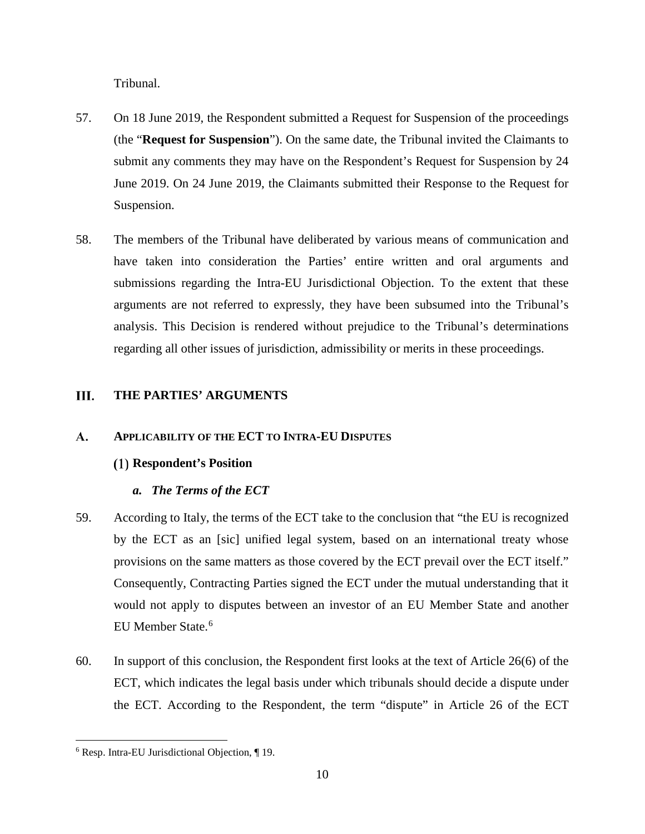Tribunal.

- 57. On 18 June 2019, the Respondent submitted a Request for Suspension of the proceedings (the "**Request for Suspension**"). On the same date, the Tribunal invited the Claimants to submit any comments they may have on the Respondent's Request for Suspension by 24 June 2019. On 24 June 2019, the Claimants submitted their Response to the Request for Suspension.
- 58. The members of the Tribunal have deliberated by various means of communication and have taken into consideration the Parties' entire written and oral arguments and submissions regarding the Intra-EU Jurisdictional Objection. To the extent that these arguments are not referred to expressly, they have been subsumed into the Tribunal's analysis. This Decision is rendered without prejudice to the Tribunal's determinations regarding all other issues of jurisdiction, admissibility or merits in these proceedings.

#### III. **THE PARTIES' ARGUMENTS**

#### **APPLICABILITY OF THE ECT TO INTRA-EU DISPUTES A.**

# **Respondent's Position**

# *a. The Terms of the ECT*

- 59. According to Italy, the terms of the ECT take to the conclusion that "the EU is recognized by the ECT as an [sic] unified legal system, based on an international treaty whose provisions on the same matters as those covered by the ECT prevail over the ECT itself." Consequently, Contracting Parties signed the ECT under the mutual understanding that it would not apply to disputes between an investor of an EU Member State and another EU Member State.<sup>6</sup>
- 60. In support of this conclusion, the Respondent first looks at the text of Article 26(6) of the ECT, which indicates the legal basis under which tribunals should decide a dispute under the ECT. According to the Respondent, the term "dispute" in Article 26 of the ECT

 $\overline{a}$ 

<sup>6</sup> Resp. Intra-EU Jurisdictional Objection, ¶ 19.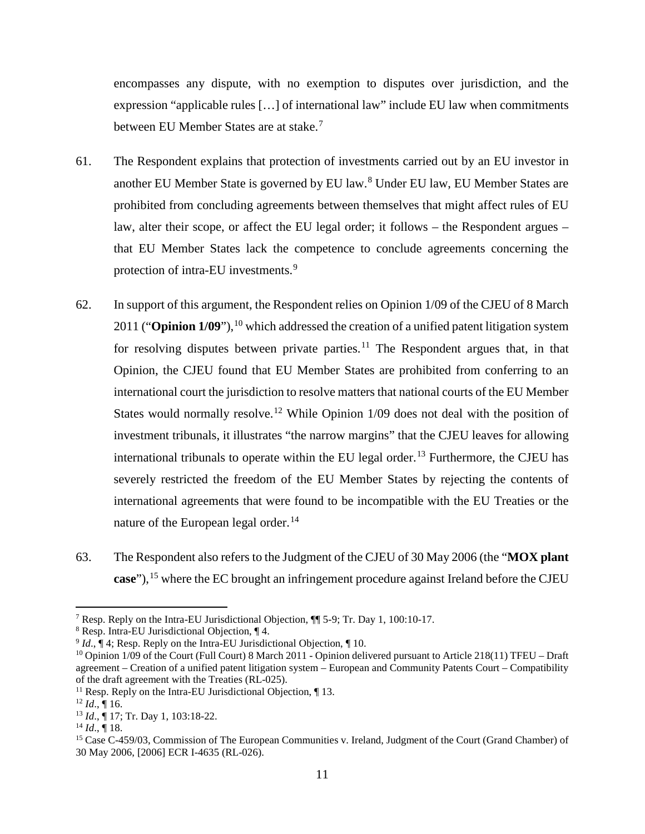encompasses any dispute, with no exemption to disputes over jurisdiction, and the expression "applicable rules […] of international law" include EU law when commitments between EU Member States are at stake.<sup>7</sup>

- 61. The Respondent explains that protection of investments carried out by an EU investor in another EU Member State is governed by EU law.<sup>8</sup> Under EU law, EU Member States are prohibited from concluding agreements between themselves that might affect rules of EU law, alter their scope, or affect the EU legal order; it follows – the Respondent argues – that EU Member States lack the competence to conclude agreements concerning the protection of intra-EU investments.<sup>9</sup>
- 62. In support of this argument, the Respondent relies on Opinion 1/09 of the CJEU of 8 March 2011 ("**Opinion 1/09**"), <sup>10</sup> which addressed the creation of a unified patent litigation system for resolving disputes between private parties.<sup>11</sup> The Respondent argues that, in that Opinion, the CJEU found that EU Member States are prohibited from conferring to an international court the jurisdiction to resolve matters that national courts of the EU Member States would normally resolve.<sup>12</sup> While Opinion 1/09 does not deal with the position of investment tribunals, it illustrates "the narrow margins" that the CJEU leaves for allowing international tribunals to operate within the EU legal order.<sup>13</sup> Furthermore, the CJEU has severely restricted the freedom of the EU Member States by rejecting the contents of international agreements that were found to be incompatible with the EU Treaties or the nature of the European legal order.<sup>14</sup>
- 63. The Respondent also refers to the Judgment of the CJEU of 30 May 2006 (the "**MOX plant case**"), <sup>15</sup> where the EC brought an infringement procedure against Ireland before the CJEU

 <sup>7</sup> Resp. Reply on the Intra-EU Jurisdictional Objection, ¶¶ 5-9; Tr. Day 1, 100:10-17.

<sup>8</sup> Resp. Intra-EU Jurisdictional Objection, ¶ 4.

<sup>&</sup>lt;sup>9</sup> *Id.*,  $\P$  4; Resp. Reply on the Intra-EU Jurisdictional Objection,  $\P$  10.

<sup>&</sup>lt;sup>10</sup> Opinion 1/09 of the Court (Full Court) 8 March 2011 - Opinion delivered pursuant to Article 218(11) TFEU – Draft agreement – Creation of a unified patent litigation system – European and Community Patents Court – Compatibility of the draft agreement with the Treaties (RL-025).

<sup>&</sup>lt;sup>11</sup> Resp. Reply on the Intra-EU Jurisdictional Objection, ¶ 13.

 $12$  *Id.*, 16.

<sup>13</sup> *Id*., ¶ 17; Tr. Day 1, 103:18-22.

<sup>14</sup> *Id*., ¶ 18.

<sup>&</sup>lt;sup>15</sup> Case C-459/03, Commission of The European Communities v. Ireland, Judgment of the Court (Grand Chamber) of 30 May 2006, [2006] ECR I-4635 (RL-026).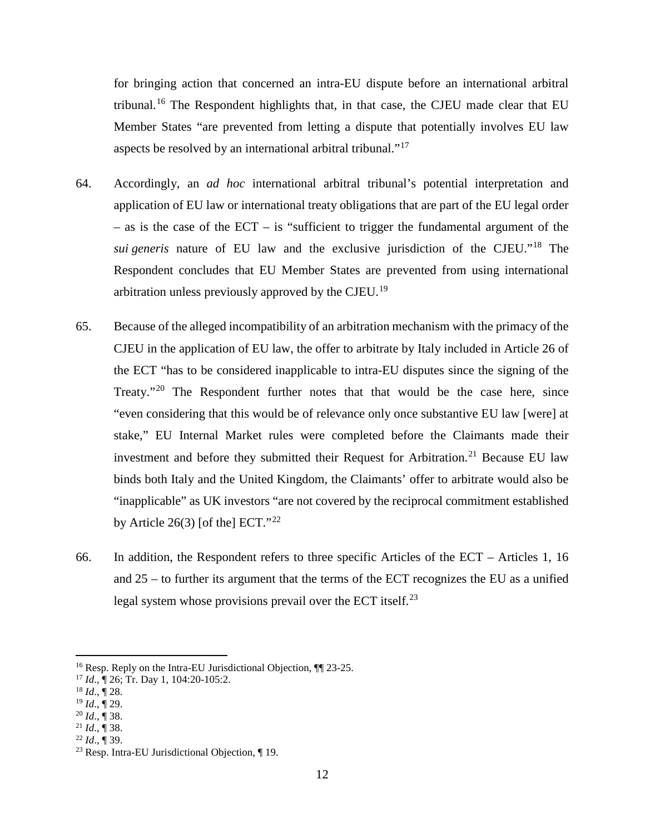for bringing action that concerned an intra-EU dispute before an international arbitral tribunal.<sup>16</sup> The Respondent highlights that, in that case, the CJEU made clear that EU Member States "are prevented from letting a dispute that potentially involves EU law aspects be resolved by an international arbitral tribunal."<sup>17</sup>

- 64. Accordingly, an *ad hoc* international arbitral tribunal's potential interpretation and application of EU law or international treaty obligations that are part of the EU legal order  $-$  as is the case of the ECT – is "sufficient to trigger the fundamental argument of the *sui generis* nature of EU law and the exclusive jurisdiction of the CJEU."<sup>18</sup> The Respondent concludes that EU Member States are prevented from using international arbitration unless previously approved by the CJEU.<sup>19</sup>
- 65. Because of the alleged incompatibility of an arbitration mechanism with the primacy of the CJEU in the application of EU law, the offer to arbitrate by Italy included in Article 26 of the ECT "has to be considered inapplicable to intra-EU disputes since the signing of the Treaty."<sup>20</sup> The Respondent further notes that that would be the case here, since "even considering that this would be of relevance only once substantive EU law [were] at stake," EU Internal Market rules were completed before the Claimants made their investment and before they submitted their Request for Arbitration.<sup>21</sup> Because EU law binds both Italy and the United Kingdom, the Claimants' offer to arbitrate would also be "inapplicable" as UK investors "are not covered by the reciprocal commitment established by Article 26(3) [of the]  $ECT.^{322}$
- 66. In addition, the Respondent refers to three specific Articles of the ECT Articles 1, 16 and 25 – to further its argument that the terms of the ECT recognizes the EU as a unified legal system whose provisions prevail over the ECT itself.<sup>23</sup>

<sup>&</sup>lt;sup>16</sup> Resp. Reply on the Intra-EU Jurisdictional Objection,  $\P$  23-25.

<sup>17</sup> *Id*., ¶ 26; Tr. Day 1, 104:20-105:2.

<sup>18</sup> *Id*., ¶ 28.

<sup>19</sup> *Id*., ¶ 29.

<sup>20</sup> *Id*., ¶ 38.

 $^{21}$  *Id.*,  $\sqrt{\phantom{a}}$  38.<br><sup>22</sup> *Id.*,  $\sqrt{\phantom{a}}$  39.

<sup>&</sup>lt;sup>23</sup> Resp. Intra-EU Jurisdictional Objection, ¶ 19.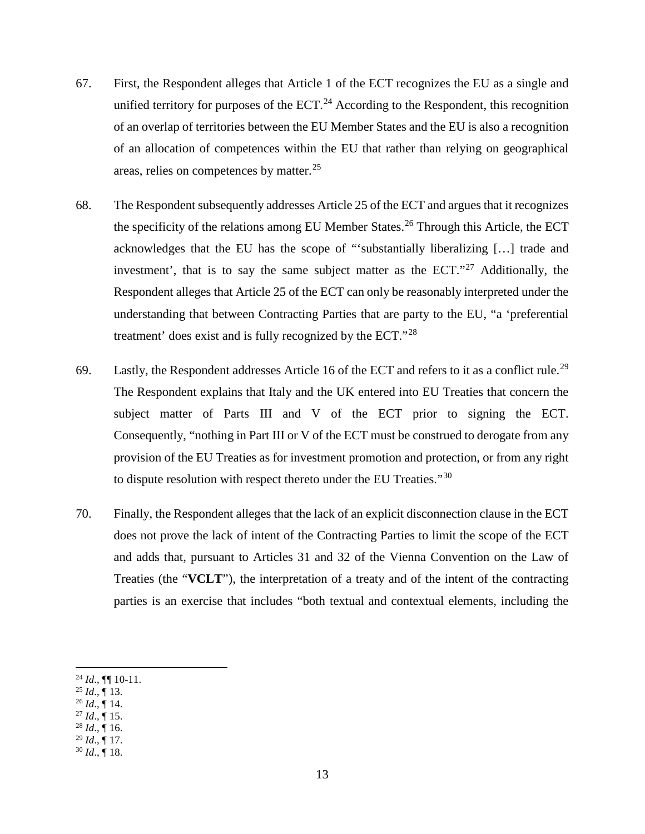- 67. First, the Respondent alleges that Article 1 of the ECT recognizes the EU as a single and unified territory for purposes of the ECT. $^{24}$  According to the Respondent, this recognition of an overlap of territories between the EU Member States and the EU is also a recognition of an allocation of competences within the EU that rather than relying on geographical areas, relies on competences by matter.<sup>25</sup>
- 68. The Respondent subsequently addresses Article 25 of the ECT and argues that it recognizes the specificity of the relations among EU Member States. <sup>26</sup> Through this Article, the ECT acknowledges that the EU has the scope of "'substantially liberalizing […] trade and investment', that is to say the same subject matter as the  $ECT$ ."<sup>27</sup> Additionally, the Respondent alleges that Article 25 of the ECT can only be reasonably interpreted under the understanding that between Contracting Parties that are party to the EU, "a 'preferential treatment' does exist and is fully recognized by the ECT."<sup>28</sup>
- 69. Lastly, the Respondent addresses Article 16 of the ECT and refers to it as a conflict rule.<sup>29</sup> The Respondent explains that Italy and the UK entered into EU Treaties that concern the subject matter of Parts III and V of the ECT prior to signing the ECT. Consequently, "nothing in Part III or V of the ECT must be construed to derogate from any provision of the EU Treaties as for investment promotion and protection, or from any right to dispute resolution with respect thereto under the EU Treaties."<sup>30</sup>
- 70. Finally, the Respondent alleges that the lack of an explicit disconnection clause in the ECT does not prove the lack of intent of the Contracting Parties to limit the scope of the ECT and adds that, pursuant to Articles 31 and 32 of the Vienna Convention on the Law of Treaties (the "**VCLT**"), the interpretation of a treaty and of the intent of the contracting parties is an exercise that includes "both textual and contextual elements, including the

- $^{25}$  *Id.*,  $\overline{9}$  13.
- $^{26}$  *Id.*, ¶ 14.
- $^{27}$  *Id.*,  $\overline{9}$  15.  $^{28}$  *Id.*,  $\overline{9}$  16.
- <sup>29</sup> *Id*., ¶ 17.
- <sup>30</sup> *Id*., ¶ 18.

 $^{24}$  *Id.*, ¶[ 10-11.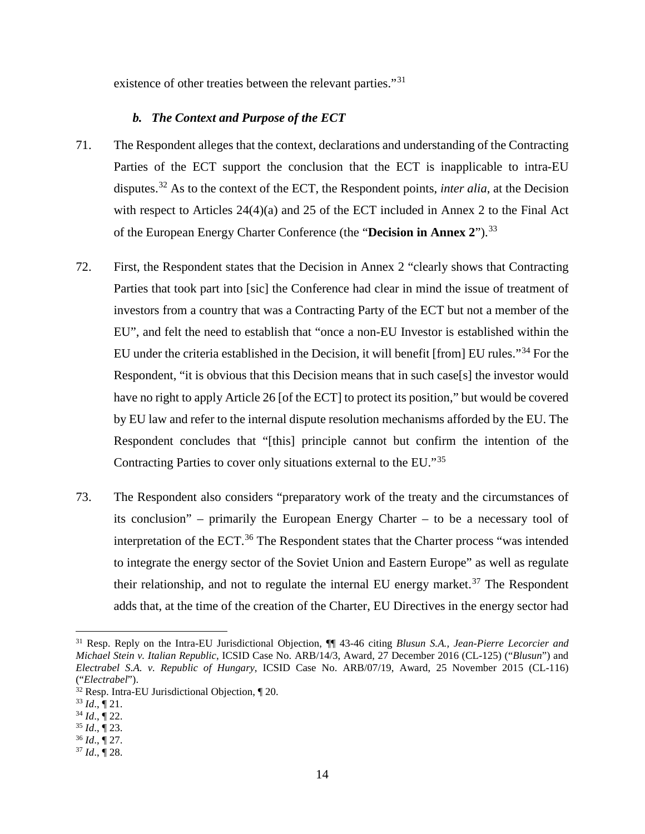existence of other treaties between the relevant parties."<sup>31</sup>

#### *b. The Context and Purpose of the ECT*

- 71. The Respondent alleges that the context, declarations and understanding of the Contracting Parties of the ECT support the conclusion that the ECT is inapplicable to intra-EU disputes.<sup>32</sup> As to the context of the ECT, the Respondent points, *inter alia*, at the Decision with respect to Articles 24(4)(a) and 25 of the ECT included in Annex 2 to the Final Act of the European Energy Charter Conference (the "**Decision in Annex 2**"). 33
- 72. First, the Respondent states that the Decision in Annex 2 "clearly shows that Contracting Parties that took part into [sic] the Conference had clear in mind the issue of treatment of investors from a country that was a Contracting Party of the ECT but not a member of the EU", and felt the need to establish that "once a non-EU Investor is established within the EU under the criteria established in the Decision, it will benefit [from] EU rules."<sup>34</sup> For the Respondent, "it is obvious that this Decision means that in such case[s] the investor would have no right to apply Article 26 [of the ECT] to protect its position," but would be covered by EU law and refer to the internal dispute resolution mechanisms afforded by the EU. The Respondent concludes that "[this] principle cannot but confirm the intention of the Contracting Parties to cover only situations external to the EU."<sup>35</sup>
- 73. The Respondent also considers "preparatory work of the treaty and the circumstances of its conclusion" – primarily the European Energy Charter – to be a necessary tool of interpretation of the ECT.<sup>36</sup> The Respondent states that the Charter process "was intended to integrate the energy sector of the Soviet Union and Eastern Europe" as well as regulate their relationship, and not to regulate the internal EU energy market.<sup>37</sup> The Respondent adds that, at the time of the creation of the Charter, EU Directives in the energy sector had

 <sup>31</sup> Resp. Reply on the Intra-EU Jurisdictional Objection, ¶¶ 43-46 citing *Blusun S.A., Jean-Pierre Lecorcier and Michael Stein v. Italian Republic*, ICSID Case No. ARB/14/3, Award, 27 December 2016 (CL-125) ("*Blusun*") and *Electrabel S.A. v. Republic of Hungary*, ICSID Case No. ARB/07/19, Award, 25 November 2015 (CL-116) ("*Electrabel*").

<sup>32</sup> Resp. Intra-EU Jurisdictional Objection, ¶ 20.

 $^{33}$  *Id.*,  $\sqrt{\ }$  21.

 $34$  *Id.*,  $\overline{9}$  22.

<sup>35</sup> *Id*., ¶ 23.

<sup>36</sup> *Id*., ¶ 27.

 $37$  *Id.*,  $\overline{9}$  28.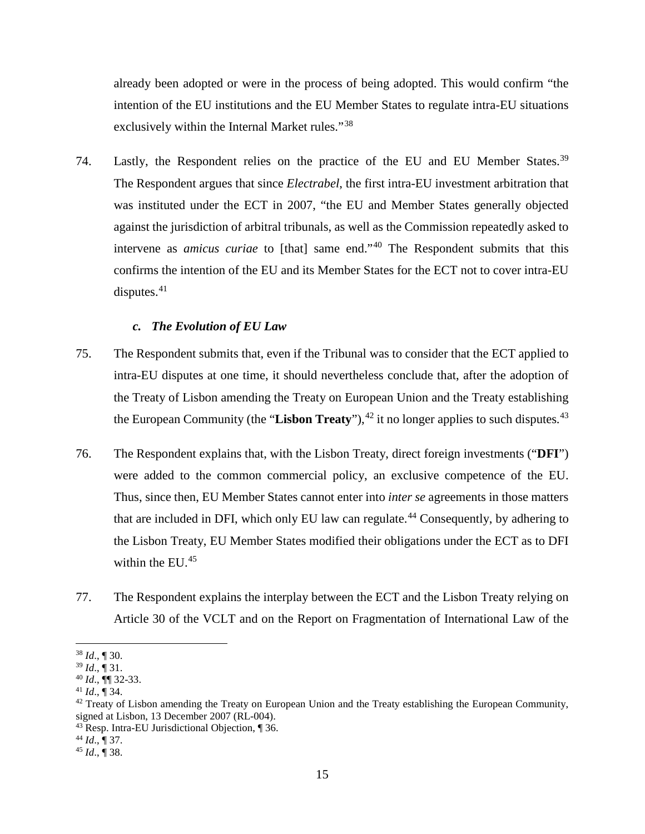already been adopted or were in the process of being adopted. This would confirm "the intention of the EU institutions and the EU Member States to regulate intra-EU situations exclusively within the Internal Market rules."<sup>38</sup>

74. Lastly, the Respondent relies on the practice of the EU and EU Member States.<sup>39</sup> The Respondent argues that since *Electrabel*, the first intra-EU investment arbitration that was instituted under the ECT in 2007, "the EU and Member States generally objected against the jurisdiction of arbitral tribunals, as well as the Commission repeatedly asked to intervene as *amicus curiae* to [that] same end."<sup>40</sup> The Respondent submits that this confirms the intention of the EU and its Member States for the ECT not to cover intra-EU disputes. $41$ 

### *c. The Evolution of EU Law*

- 75. The Respondent submits that, even if the Tribunal was to consider that the ECT applied to intra-EU disputes at one time, it should nevertheless conclude that, after the adoption of the Treaty of Lisbon amending the Treaty on European Union and the Treaty establishing the European Community (the "Lisbon Treaty"), <sup>42</sup> it no longer applies to such disputes.<sup>43</sup>
- 76. The Respondent explains that, with the Lisbon Treaty, direct foreign investments ("**DFI**") were added to the common commercial policy, an exclusive competence of the EU. Thus, since then, EU Member States cannot enter into *inter se* agreements in those matters that are included in DFI, which only EU law can regulate.<sup>44</sup> Consequently, by adhering to the Lisbon Treaty, EU Member States modified their obligations under the ECT as to DFI within the EU. 45
- 77. The Respondent explains the interplay between the ECT and the Lisbon Treaty relying on Article 30 of the VCLT and on the Report on Fragmentation of International Law of the

 <sup>38</sup> *Id*., ¶ 30.

<sup>39</sup> *Id*., ¶ 31.

<sup>40</sup> *Id*., ¶¶ 32-33. 41 *Id*., ¶ 34.

 $42$  Treaty of Lisbon amending the Treaty on European Union and the Treaty establishing the European Community, signed at Lisbon, 13 December 2007 (RL-004).

<sup>43</sup> Resp. Intra-EU Jurisdictional Objection, ¶ 36.

<sup>44</sup> *Id*., ¶ 37.

<sup>45</sup> *Id*., ¶ 38.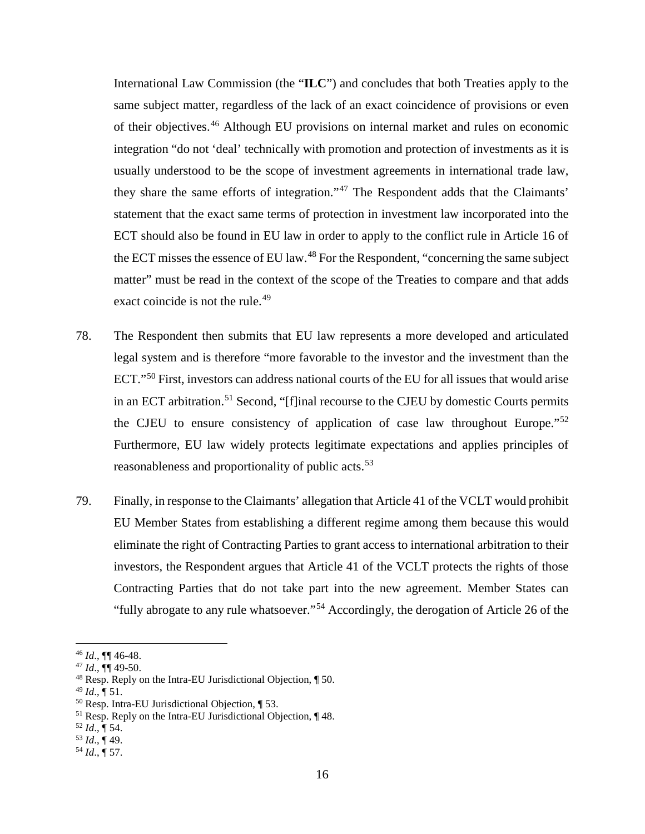International Law Commission (the "**ILC**") and concludes that both Treaties apply to the same subject matter, regardless of the lack of an exact coincidence of provisions or even of their objectives.<sup>46</sup> Although EU provisions on internal market and rules on economic integration "do not 'deal' technically with promotion and protection of investments as it is usually understood to be the scope of investment agreements in international trade law, they share the same efforts of integration."<sup>47</sup> The Respondent adds that the Claimants' statement that the exact same terms of protection in investment law incorporated into the ECT should also be found in EU law in order to apply to the conflict rule in Article 16 of the ECT misses the essence of EU law.<sup>48</sup> For the Respondent, "concerning the same subject matter" must be read in the context of the scope of the Treaties to compare and that adds exact coincide is not the rule.<sup>49</sup>

- 78. The Respondent then submits that EU law represents a more developed and articulated legal system and is therefore "more favorable to the investor and the investment than the ECT."<sup>50</sup> First, investors can address national courts of the EU for all issues that would arise in an ECT arbitration. <sup>51</sup> Second, "[f]inal recourse to the CJEU by domestic Courts permits the CJEU to ensure consistency of application of case law throughout Europe."<sup>52</sup> Furthermore, EU law widely protects legitimate expectations and applies principles of reasonableness and proportionality of public acts.<sup>53</sup>
- 79. Finally, in response to the Claimants' allegation that Article 41 of the VCLT would prohibit EU Member States from establishing a different regime among them because this would eliminate the right of Contracting Parties to grant access to international arbitration to their investors, the Respondent argues that Article 41 of the VCLT protects the rights of those Contracting Parties that do not take part into the new agreement. Member States can "fully abrogate to any rule whatsoever."<sup>54</sup> Accordingly, the derogation of Article 26 of the

 $49$  *Id.*,  $\P$  51.

 <sup>46</sup> *Id*., ¶¶ 46-48.

<sup>47</sup> *Id*., ¶¶ 49-50.

<sup>48</sup> Resp. Reply on the Intra-EU Jurisdictional Objection, ¶ 50.

<sup>50</sup> Resp. Intra-EU Jurisdictional Objection, ¶ 53.

<sup>&</sup>lt;sup>51</sup> Resp. Reply on the Intra-EU Jurisdictional Objection, 148.

<sup>52</sup> *Id*., ¶ 54.

<sup>53</sup> *Id*., ¶ 49.

<sup>54</sup> *Id*., ¶ 57.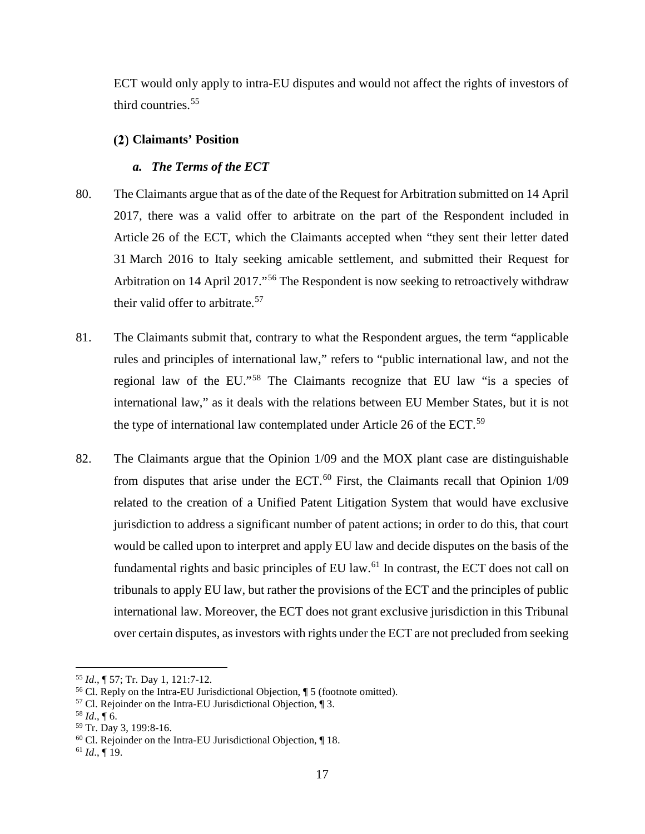ECT would only apply to intra-EU disputes and would not affect the rights of investors of third countries.<sup>55</sup>

# **Claimants' Position**

# *a. The Terms of the ECT*

- 80. The Claimants argue that as of the date of the Request for Arbitration submitted on 14 April 2017, there was a valid offer to arbitrate on the part of the Respondent included in Article 26 of the ECT, which the Claimants accepted when "they sent their letter dated 31 March 2016 to Italy seeking amicable settlement, and submitted their Request for Arbitration on 14 April 2017."<sup>56</sup> The Respondent is now seeking to retroactively withdraw their valid offer to arbitrate.<sup>57</sup>
- 81. The Claimants submit that, contrary to what the Respondent argues, the term "applicable rules and principles of international law," refers to "public international law, and not the regional law of the EU."<sup>58</sup> The Claimants recognize that EU law "is a species of international law," as it deals with the relations between EU Member States, but it is not the type of international law contemplated under Article 26 of the ECT.<sup>59</sup>
- 82. The Claimants argue that the Opinion 1/09 and the MOX plant case are distinguishable from disputes that arise under the ECT. $^{60}$  First, the Claimants recall that Opinion  $1/09$ related to the creation of a Unified Patent Litigation System that would have exclusive jurisdiction to address a significant number of patent actions; in order to do this, that court would be called upon to interpret and apply EU law and decide disputes on the basis of the fundamental rights and basic principles of EU law. $^{61}$  In contrast, the ECT does not call on tribunals to apply EU law, but rather the provisions of the ECT and the principles of public international law. Moreover, the ECT does not grant exclusive jurisdiction in this Tribunal over certain disputes, asinvestors with rights under the ECT are not precluded from seeking

 $\overline{a}$ 

<sup>55</sup> *Id*., ¶ 57; Tr. Day 1, 121:7-12.

<sup>&</sup>lt;sup>56</sup> Cl. Reply on the Intra-EU Jurisdictional Objection,  $\parallel$  5 (footnote omitted).<br><sup>57</sup> Cl. Rejoinder on the Intra-EU Jurisdictional Objection,  $\parallel$  3.

 $58$  *Id.*, 16.

<sup>59</sup> Tr. Day 3, 199:8-16.

<sup>60</sup> Cl. Rejoinder on the Intra-EU Jurisdictional Objection, ¶ 18.

<sup>61</sup> *Id*., ¶ 19.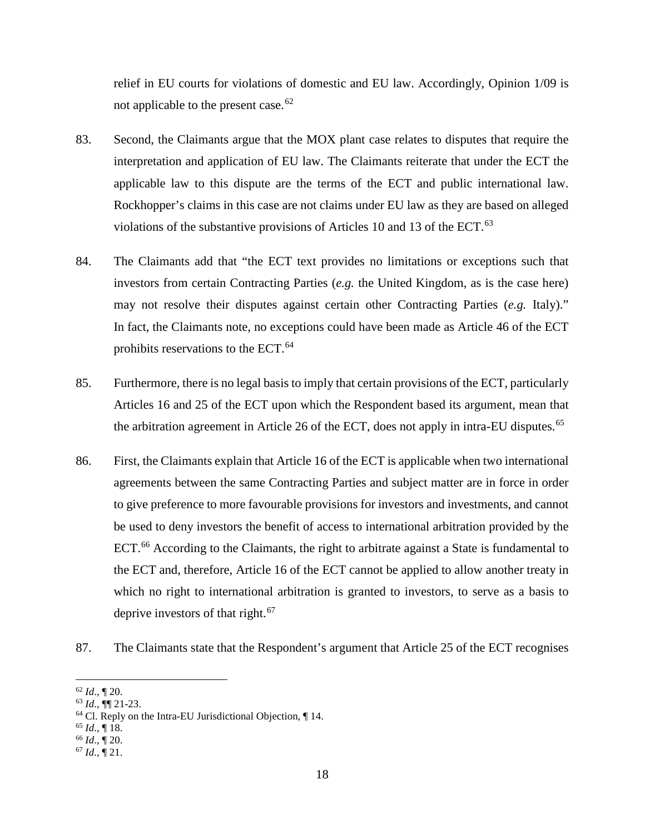relief in EU courts for violations of domestic and EU law. Accordingly, Opinion 1/09 is not applicable to the present case.  $62$ 

- 83. Second, the Claimants argue that the MOX plant case relates to disputes that require the interpretation and application of EU law. The Claimants reiterate that under the ECT the applicable law to this dispute are the terms of the ECT and public international law. Rockhopper's claims in this case are not claims under EU law as they are based on alleged violations of the substantive provisions of Articles 10 and 13 of the ECT. $^{63}$
- 84. The Claimants add that "the ECT text provides no limitations or exceptions such that investors from certain Contracting Parties (*e.g.* the United Kingdom, as is the case here) may not resolve their disputes against certain other Contracting Parties (*e.g.* Italy)." In fact, the Claimants note, no exceptions could have been made as Article 46 of the ECT prohibits reservations to the ECT. 64
- 85. Furthermore, there is no legal basis to imply that certain provisions of the ECT, particularly Articles 16 and 25 of the ECT upon which the Respondent based its argument, mean that the arbitration agreement in Article 26 of the ECT, does not apply in intra-EU disputes.<sup>65</sup>
- 86. First, the Claimants explain that Article 16 of the ECT is applicable when two international agreements between the same Contracting Parties and subject matter are in force in order to give preference to more favourable provisions for investors and investments, and cannot be used to deny investors the benefit of access to international arbitration provided by the ECT.<sup>66</sup> According to the Claimants, the right to arbitrate against a State is fundamental to the ECT and, therefore, Article 16 of the ECT cannot be applied to allow another treaty in which no right to international arbitration is granted to investors, to serve as a basis to deprive investors of that right.<sup>67</sup>
- 87. The Claimants state that the Respondent's argument that Article 25 of the ECT recognises

 <sup>62</sup> *Id*., ¶ 20.

 $^{63}$  *Id.*,  $\P$ [21-23.

<sup>64</sup> Cl. Reply on the Intra-EU Jurisdictional Objection, ¶ 14.

<sup>65</sup> *Id*., ¶ 18.

<sup>66</sup> *Id*., ¶ 20.

<sup>67</sup> *Id*., ¶ 21.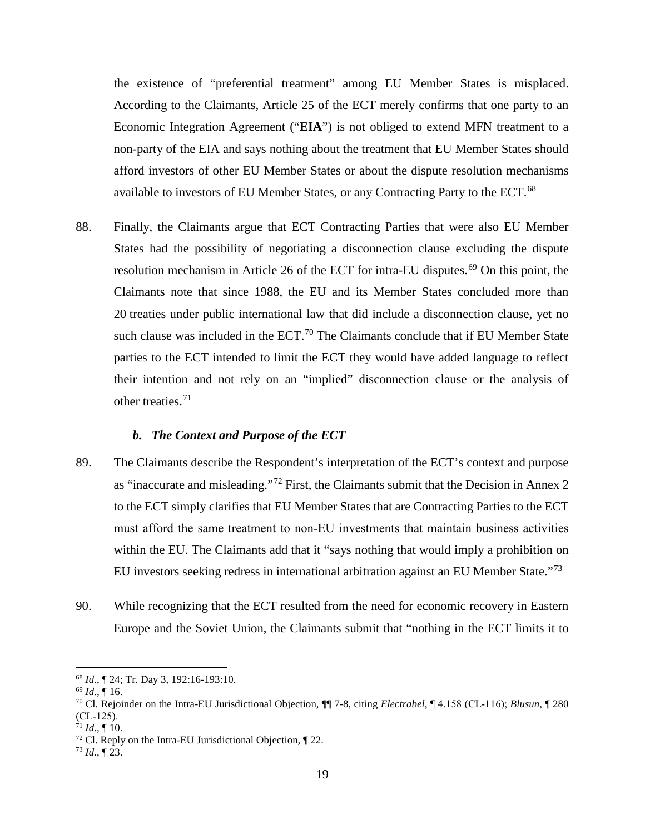the existence of "preferential treatment" among EU Member States is misplaced. According to the Claimants, Article 25 of the ECT merely confirms that one party to an Economic Integration Agreement ("**EIA**") is not obliged to extend MFN treatment to a non-party of the EIA and says nothing about the treatment that EU Member States should afford investors of other EU Member States or about the dispute resolution mechanisms available to investors of EU Member States, or any Contracting Party to the ECT.<sup>68</sup>

88. Finally, the Claimants argue that ECT Contracting Parties that were also EU Member States had the possibility of negotiating a disconnection clause excluding the dispute resolution mechanism in Article 26 of the ECT for intra-EU disputes.<sup>69</sup> On this point, the Claimants note that since 1988, the EU and its Member States concluded more than 20 treaties under public international law that did include a disconnection clause, yet no such clause was included in the ECT.<sup>70</sup> The Claimants conclude that if EU Member State parties to the ECT intended to limit the ECT they would have added language to reflect their intention and not rely on an "implied" disconnection clause or the analysis of other treaties.<sup>71</sup>

#### *b. The Context and Purpose of the ECT*

- 89. The Claimants describe the Respondent's interpretation of the ECT's context and purpose as "inaccurate and misleading."<sup>72</sup> First, the Claimants submit that the Decision in Annex 2 to the ECT simply clarifies that EU Member States that are Contracting Parties to the ECT must afford the same treatment to non‐EU investments that maintain business activities within the EU. The Claimants add that it "says nothing that would imply a prohibition on EU investors seeking redress in international arbitration against an EU Member State."<sup>73</sup>
- 90. While recognizing that the ECT resulted from the need for economic recovery in Eastern Europe and the Soviet Union, the Claimants submit that "nothing in the ECT limits it to

 <sup>68</sup> *Id*., ¶ 24; Tr. Day 3, 192:16-193:10.

<sup>69</sup> *Id*., ¶ 16.

<sup>70</sup> Cl. Rejoinder on the Intra-EU Jurisdictional Objection, ¶¶ 7-8, citing *Electrabel*, ¶ 4.158 (CL‐116); *Blusun*, ¶ 280  $CL-125$ ).

 $71$  *Id.*, ¶ 10.

 $72$  Cl. Reply on the Intra-EU Jurisdictional Objection,  $\sqrt{22}$ .

 $^{73}$  *Id.*,  $\sqrt{23}$ .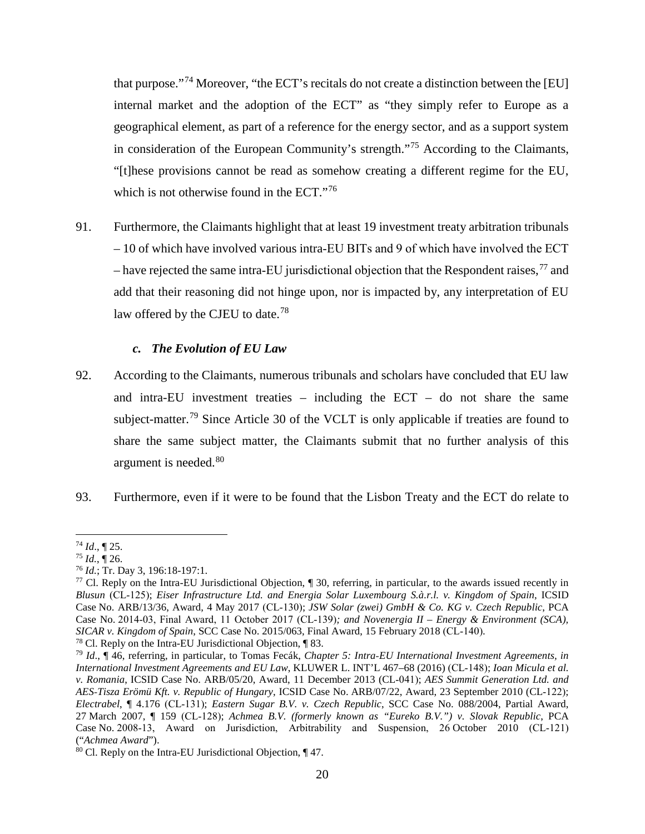that purpose."<sup>74</sup> Moreover, "the ECT's recitals do not create a distinction between the [EU] internal market and the adoption of the ECT" as "they simply refer to Europe as a geographical element, as part of a reference for the energy sector, and as a support system in consideration of the European Community's strength."<sup>75</sup> According to the Claimants, "[t]hese provisions cannot be read as somehow creating a different regime for the EU, which is not otherwise found in the  $ECT$ ."<sup>76</sup>

91. Furthermore, the Claimants highlight that at least 19 investment treaty arbitration tribunals – 10 of which have involved various intra‐EU BITs and 9 of which have involved the ECT – have rejected the same intra-EU jurisdictional objection that the Respondent raises,  $^{77}$  and add that their reasoning did not hinge upon, nor is impacted by, any interpretation of EU law offered by the CJEU to date.<sup>78</sup>

### *c. The Evolution of EU Law*

- 92. According to the Claimants, numerous tribunals and scholars have concluded that EU law and intra-EU investment treaties – including the ECT – do not share the same subject-matter.<sup>79</sup> Since Article 30 of the VCLT is only applicable if treaties are found to share the same subject matter, the Claimants submit that no further analysis of this argument is needed.<sup>80</sup>
- 93. Furthermore, even if it were to be found that the Lisbon Treaty and the ECT do relate to

 <sup>74</sup> *Id*., ¶ 25.

 $^{75}$  *Id.*,  $\overline{9}$  26.

<sup>76</sup> *Id.*; Tr. Day 3, 196:18-197:1.

<sup>&</sup>lt;sup>77</sup> Cl. Reply on the Intra-EU Jurisdictional Objection,  $\parallel$  30, referring, in particular, to the awards issued recently in *Blusun* (CL‐125); *Eiser Infrastructure Ltd. and Energia Solar Luxembourg S.à.r.l. v. Kingdom of Spain*, ICSID Case No. ARB/13/36, Award, 4 May 2017 (CL‐130); *JSW Solar (zwei) GmbH & Co. KG v. Czech Republic*, PCA Case No. 2014‐03, Final Award, 11 October 2017 (CL‐139)*; and Novenergia II – Energy & Environment (SCA), SICAR v. Kingdom of Spain*, SCC Case No. 2015/063, Final Award, 15 February 2018 (CL‐140).

<sup>78</sup> Cl. Reply on the Intra-EU Jurisdictional Objection, ¶ 83.

<sup>79</sup> *Id*., ¶ 46, referring, in particular, to Tomas Fecák, *Chapter 5: Intra‐EU International Investment Agreements, in International Investment Agreements and EU Law*, KLUWER L. INT'L 467–68 (2016) (CL‐148); *Ioan Micula et al. v. Romania*, ICSID Case No. ARB/05/20, Award, 11 December 2013 (CL‐041); *AES Summit Generation Ltd. and AES‐Tisza Erömü Kft. v. Republic of Hungary*, ICSID Case No. ARB/07/22, Award, 23 September 2010 (CL‐122); *Electrabel*, ¶ 4.176 (CL‐131); *Eastern Sugar B.V. v. Czech Republic*, SCC Case No. 088/2004, Partial Award, 27 March 2007, ¶ 159 (CL‐128); *Achmea B.V. (formerly known as "Eureko B.V.") v. Slovak Republic*, PCA Case No. 2008‐13, Award on Jurisdiction, Arbitrability and Suspension, 26 October 2010 (CL‐121) ("*Achmea Award*").

<sup>80</sup> Cl. Reply on the Intra-EU Jurisdictional Objection, ¶ 47.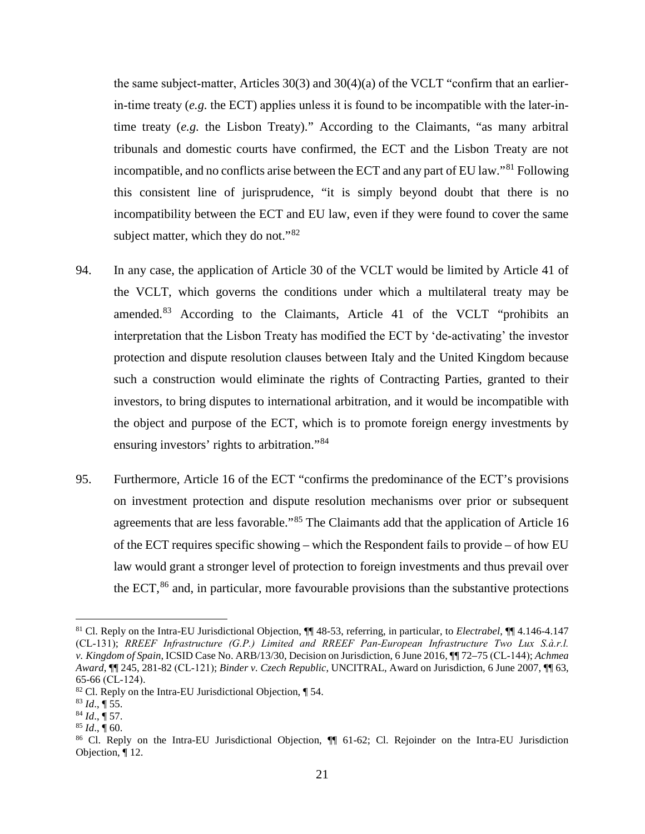the same subject-matter, Articles  $30(3)$  and  $30(4)(a)$  of the VCLT "confirm that an earlierin-time treaty  $(e.g.$  the ECT) applies unless it is found to be incompatible with the later-intime treaty (*e.g.* the Lisbon Treaty)." According to the Claimants, "as many arbitral tribunals and domestic courts have confirmed, the ECT and the Lisbon Treaty are not incompatible, and no conflicts arise between the ECT and any part of EU law."<sup>81</sup> Following this consistent line of jurisprudence, "it is simply beyond doubt that there is no incompatibility between the ECT and EU law, even if they were found to cover the same subject matter, which they do not."<sup>82</sup>

- 94. In any case, the application of Article 30 of the VCLT would be limited by Article 41 of the VCLT, which governs the conditions under which a multilateral treaty may be amended.<sup>83</sup> According to the Claimants, Article 41 of the VCLT "prohibits an interpretation that the Lisbon Treaty has modified the ECT by 'de‐activating' the investor protection and dispute resolution clauses between Italy and the United Kingdom because such a construction would eliminate the rights of Contracting Parties, granted to their investors, to bring disputes to international arbitration, and it would be incompatible with the object and purpose of the ECT, which is to promote foreign energy investments by ensuring investors' rights to arbitration."<sup>84</sup>
- 95. Furthermore, Article 16 of the ECT "confirms the predominance of the ECT's provisions on investment protection and dispute resolution mechanisms over prior or subsequent agreements that are less favorable."<sup>85</sup> The Claimants add that the application of Article 16 of the ECT requires specific showing – which the Respondent fails to provide – of how EU law would grant a stronger level of protection to foreign investments and thus prevail over the ECT,<sup>86</sup> and, in particular, more favourable provisions than the substantive protections

 <sup>81</sup> Cl. Reply on the Intra-EU Jurisdictional Objection, ¶¶ 48-53, referring, in particular, to *Electrabel*, ¶¶ 4.146-4.147 (CL‐131); *RREEF Infrastructure (G.P.) Limited and RREEF Pan‐European Infrastructure Two Lux S.à.r.l. v. Kingdom of Spain*, ICSID Case No. ARB/13/30, Decision on Jurisdiction, 6 June 2016, ¶¶ 72–75 (CL‐144); *Achmea Award*, ¶¶ 245, 281-82 (CL‐121); *Binder v. Czech Republic*, UNCITRAL, Award on Jurisdiction, 6 June 2007, ¶¶ 63, 65-66 (CL‐124).

 $82$  Cl. Reply on the Intra-EU Jurisdictional Objection,  $\P$  54.

 $^{83}$  *Id.*, ¶ 55.

<sup>84</sup> *Id*., ¶ 57.

 $85$  *Id.*, 160.

<sup>86</sup> Cl. Reply on the Intra-EU Jurisdictional Objection, ¶¶ 61-62; Cl. Rejoinder on the Intra-EU Jurisdiction Objection, ¶ 12.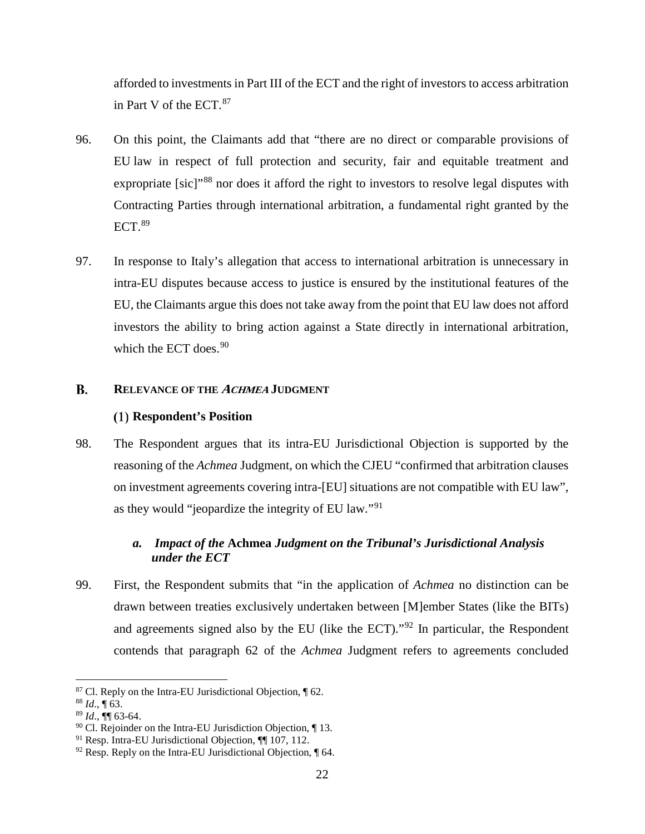afforded to investments in Part III of the ECT and the right of investors to access arbitration in Part V of the ECT. 87

- 96. On this point, the Claimants add that "there are no direct or comparable provisions of EU law in respect of full protection and security, fair and equitable treatment and expropriate [sic]"<sup>88</sup> nor does it afford the right to investors to resolve legal disputes with Contracting Parties through international arbitration, a fundamental right granted by the  $ECT.$ <sup>89</sup>
- 97. In response to Italy's allegation that access to international arbitration is unnecessary in intra-EU disputes because access to justice is ensured by the institutional features of the EU, the Claimants argue this does not take away from the point that EU law does not afford investors the ability to bring action against a State directly in international arbitration, which the ECT does.  $90$

#### **B. RELEVANCE OF THE ACHMEA JUDGMENT**

# **Respondent's Position**

98. The Respondent argues that its intra-EU Jurisdictional Objection is supported by the reasoning of the *Achmea* Judgment, on which the CJEU "confirmed that arbitration clauses on investment agreements covering intra-[EU] situations are not compatible with EU law", as they would "jeopardize the integrity of EU law."<sup>91</sup>

# *a. Impact of the* **Achmea** *Judgment on the Tribunal's Jurisdictional Analysis under the ECT*

99. First, the Respondent submits that "in the application of *Achmea* no distinction can be drawn between treaties exclusively undertaken between [M]ember States (like the BITs) and agreements signed also by the EU (like the ECT)."<sup>92</sup> In particular, the Respondent contends that paragraph 62 of the *Achmea* Judgment refers to agreements concluded

 $\overline{a}$ 

<sup>87</sup> Cl. Reply on the Intra-EU Jurisdictional Objection, ¶ 62.

<sup>88</sup> *Id*., ¶ 63.

<sup>89</sup> *Id*., ¶¶ 63-64.

 $90$  Cl. Rejoinder on the Intra-EU Jurisdiction Objection,  $\P$  13.

<sup>91</sup> Resp. Intra-EU Jurisdictional Objection, ¶¶ 107, 112.

 $92$  Resp. Reply on the Intra-EU Jurisdictional Objection,  $\P$  64.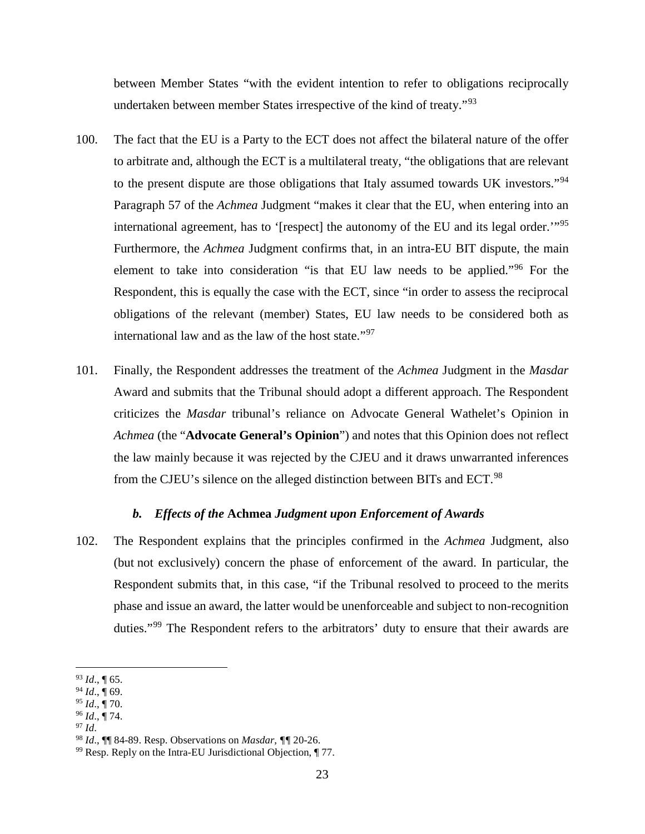between Member States "with the evident intention to refer to obligations reciprocally undertaken between member States irrespective of the kind of treaty."<sup>93</sup>

- 100. The fact that the EU is a Party to the ECT does not affect the bilateral nature of the offer to arbitrate and, although the ECT is a multilateral treaty, "the obligations that are relevant to the present dispute are those obligations that Italy assumed towards UK investors."<sup>94</sup> Paragraph 57 of the *Achmea* Judgment "makes it clear that the EU, when entering into an international agreement, has to '[respect] the autonomy of the EU and its legal order.'"<sup>95</sup> Furthermore, the *Achmea* Judgment confirms that, in an intra-EU BIT dispute, the main element to take into consideration "is that EU law needs to be applied."<sup>96</sup> For the Respondent, this is equally the case with the ECT, since "in order to assess the reciprocal obligations of the relevant (member) States, EU law needs to be considered both as international law and as the law of the host state."<sup>97</sup>
- 101. Finally, the Respondent addresses the treatment of the *Achmea* Judgment in the *Masdar* Award and submits that the Tribunal should adopt a different approach. The Respondent criticizes the *Masdar* tribunal's reliance on Advocate General Wathelet's Opinion in *Achmea* (the "**Advocate General's Opinion**") and notes that this Opinion does not reflect the law mainly because it was rejected by the CJEU and it draws unwarranted inferences from the CJEU's silence on the alleged distinction between BITs and ECT.<sup>98</sup>

#### *b. Effects of the* **Achmea** *Judgment upon Enforcement of Awards*

102. The Respondent explains that the principles confirmed in the *Achmea* Judgment, also (but not exclusively) concern the phase of enforcement of the award. In particular, the Respondent submits that, in this case, "if the Tribunal resolved to proceed to the merits phase and issue an award, the latter would be unenforceable and subject to non-recognition duties."<sup>99</sup> The Respondent refers to the arbitrators' duty to ensure that their awards are

 <sup>93</sup> *Id*., ¶ 65.

<sup>94</sup> *Id*., ¶ 69.

<sup>95</sup> *Id*., ¶ 70.

<sup>96</sup> *Id*., ¶ 74.

 $97$  *Id.* 

<sup>98</sup> *Id*., ¶¶ 84-89. Resp. Observations on *Masdar*, *¶¶* 20-26. 99 Resp. Reply on the Intra-EU Jurisdictional Objection, ¶ 77.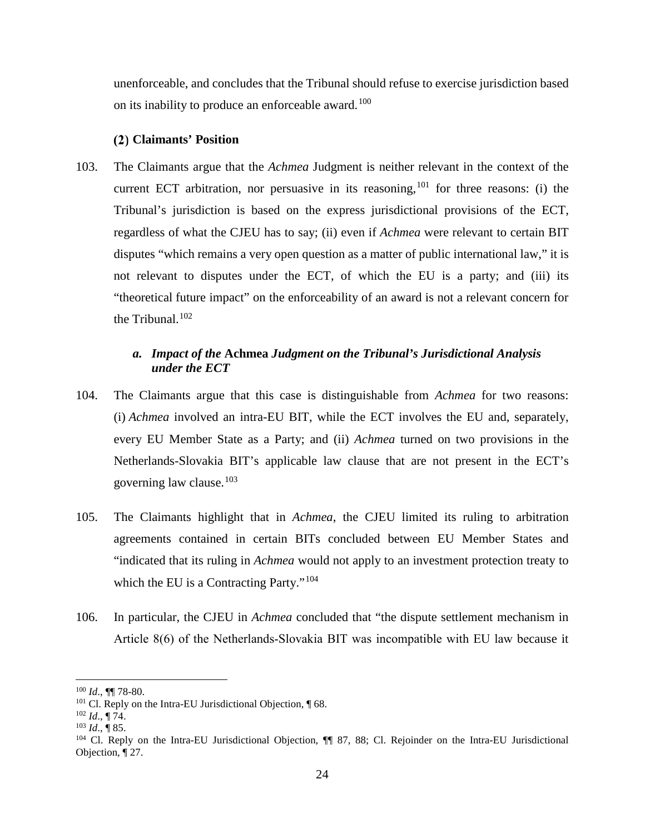unenforceable, and concludes that the Tribunal should refuse to exercise jurisdiction based on its inability to produce an enforceable award.<sup>100</sup>

### **Claimants' Position**

103. The Claimants argue that the *Achmea* Judgment is neither relevant in the context of the current ECT arbitration, nor persuasive in its reasoning,  $101$  for three reasons: (i) the Tribunal's jurisdiction is based on the express jurisdictional provisions of the ECT, regardless of what the CJEU has to say; (ii) even if *Achmea* were relevant to certain BIT disputes "which remains a very open question as a matter of public international law," it is not relevant to disputes under the ECT, of which the EU is a party; and (iii) its "theoretical future impact" on the enforceability of an award is not a relevant concern for the Tribunal.<sup>102</sup>

# *a. Impact of the* **Achmea** *Judgment on the Tribunal's Jurisdictional Analysis under the ECT*

- 104. The Claimants argue that this case is distinguishable from *Achmea* for two reasons: (i) *Achmea* involved an intra-EU BIT, while the ECT involves the EU and, separately, every EU Member State as a Party; and (ii) *Achmea* turned on two provisions in the Netherlands-Slovakia BIT's applicable law clause that are not present in the ECT's governing law clause. 103
- 105. The Claimants highlight that in *Achmea*, the CJEU limited its ruling to arbitration agreements contained in certain BITs concluded between EU Member States and "indicated that its ruling in *Achmea* would not apply to an investment protection treaty to which the EU is a Contracting Party."<sup>104</sup>
- 106. In particular, the CJEU in *Achmea* concluded that "the dispute settlement mechanism in Article 8(6) of the Netherlands‐Slovakia BIT was incompatible with EU law because it

 $\overline{a}$ <sup>100</sup> *Id*., ¶¶ 78-80.

<sup>101</sup> Cl. Reply on the Intra-EU Jurisdictional Objection, ¶ 68. 102 *Id*., ¶ 74. 103 *Id*., ¶ 85.

<sup>104</sup> Cl. Reply on the Intra-EU Jurisdictional Objection, ¶¶ 87, 88; Cl. Rejoinder on the Intra-EU Jurisdictional Objection, ¶ 27.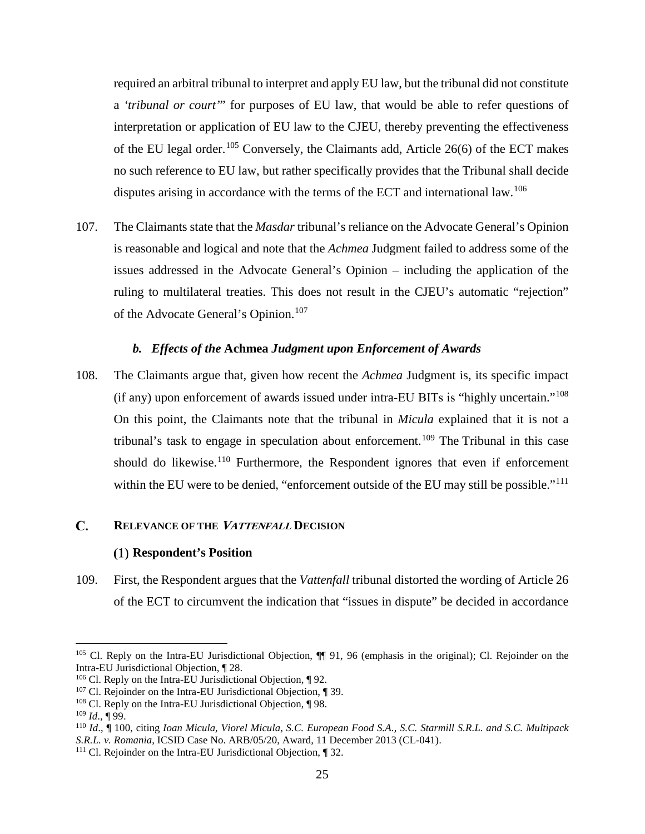required an arbitral tribunal to interpret and apply EU law, but the tribunal did not constitute a *'tribunal or court'*" for purposes of EU law, that would be able to refer questions of interpretation or application of EU law to the CJEU, thereby preventing the effectiveness of the EU legal order.<sup>105</sup> Conversely, the Claimants add, Article 26(6) of the ECT makes no such reference to EU law, but rather specifically provides that the Tribunal shall decide disputes arising in accordance with the terms of the ECT and international law.<sup>106</sup>

107. The Claimants state that the *Masdar* tribunal's reliance on the Advocate General's Opinion is reasonable and logical and note that the *Achmea* Judgment failed to address some of the issues addressed in the Advocate General's Opinion – including the application of the ruling to multilateral treaties. This does not result in the CJEU's automatic "rejection" of the Advocate General's Opinion.<sup>107</sup>

### *b. Effects of the* **Achmea** *Judgment upon Enforcement of Awards*

108. The Claimants argue that, given how recent the *Achmea* Judgment is, its specific impact (if any) upon enforcement of awards issued under intra‐EU BITs is "highly uncertain."<sup>108</sup> On this point, the Claimants note that the tribunal in *Micula* explained that it is not a tribunal's task to engage in speculation about enforcement.<sup>109</sup> The Tribunal in this case should do likewise.<sup>110</sup> Furthermore, the Respondent ignores that even if enforcement within the EU were to be denied, "enforcement outside of the EU may still be possible."<sup>111</sup>

#### **RELEVANCE OF THE VATTENFALL DECISION**  C.

### **Respondent's Position**

109. First, the Respondent argues that the *Vattenfall* tribunal distorted the wording of Article 26 of the ECT to circumvent the indication that "issues in dispute" be decided in accordance

 $\overline{a}$ 

<sup>&</sup>lt;sup>105</sup> Cl. Reply on the Intra-EU Jurisdictional Objection,  $\P$  91, 96 (emphasis in the original); Cl. Rejoinder on the Intra-EU Jurisdictional Objection, ¶ 28.

 $106$  Cl. Reply on the Intra-EU Jurisdictional Objection,  $\P$  92.

<sup>107</sup> Cl. Rejoinder on the Intra-EU Jurisdictional Objection, ¶ 39.

<sup>&</sup>lt;sup>108</sup> Cl. Reply on the Intra-EU Jurisdictional Objection, ¶ 98.

 $109$  *Id.*, ¶ 99.

<sup>110</sup> *Id*., ¶ 100, citing *Ioan Micula, Viorel Micula, S.C. European Food S.A., S.C. Starmill S.R.L. and S.C. Multipack S.R.L. v. Romania*, ICSID Case No. ARB/05/20, Award, 11 December 2013 (CL-041).

<sup>111</sup> Cl. Rejoinder on the Intra-EU Jurisdictional Objection, ¶ 32.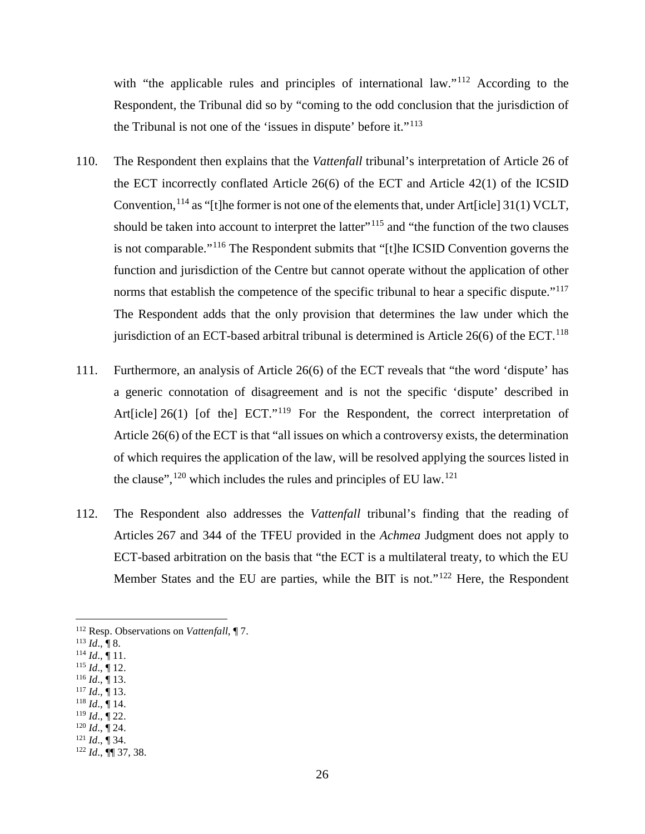with "the applicable rules and principles of international law."<sup>112</sup> According to the Respondent, the Tribunal did so by "coming to the odd conclusion that the jurisdiction of the Tribunal is not one of the 'issues in dispute' before it."<sup>113</sup>

- 110. The Respondent then explains that the *Vattenfall* tribunal's interpretation of Article 26 of the ECT incorrectly conflated Article 26(6) of the ECT and Article 42(1) of the ICSID Convention,  $^{114}$  as "[t]he former is not one of the elements that, under Art[icle] 31(1) VCLT, should be taken into account to interpret the latter"<sup>115</sup> and "the function of the two clauses" is not comparable."<sup>116</sup> The Respondent submits that "[t]he ICSID Convention governs the function and jurisdiction of the Centre but cannot operate without the application of other norms that establish the competence of the specific tribunal to hear a specific dispute."<sup>117</sup> The Respondent adds that the only provision that determines the law under which the jurisdiction of an ECT-based arbitral tribunal is determined is Article  $26(6)$  of the ECT.<sup>118</sup>
- 111. Furthermore, an analysis of Article 26(6) of the ECT reveals that "the word 'dispute' has a generic connotation of disagreement and is not the specific 'dispute' described in Art[icle] 26(1) [of the] ECT."<sup>119</sup> For the Respondent, the correct interpretation of Article 26(6) of the ECT is that "all issues on which a controversy exists, the determination of which requires the application of the law, will be resolved applying the sources listed in the clause",  $120$  which includes the rules and principles of EU law.<sup>121</sup>
- 112. The Respondent also addresses the *Vattenfall* tribunal's finding that the reading of Articles 267 and 344 of the TFEU provided in the *Achmea* Judgment does not apply to ECT-based arbitration on the basis that "the ECT is a multilateral treaty, to which the EU Member States and the EU are parties, while the BIT is not."<sup>122</sup> Here, the Respondent

- $^{114}$  *Id.*,  $\overline{$  11.  $115$  *Id.*, 12.
- $^{116}$  *Id.*,  $\dot{$  13.
- $117$  *Id.*,  $\overline{9}$  13.
- $118$  *Id.*, 14.
- $^{119}$  *Id.*,  $\dot{$  22.
- $120$  *Id.*,  $\overline{9}$  24.
- $121$  *Id.*,  $\overline{)}$  34.

 <sup>112</sup> Resp. Observations on *Vattenfall*, ¶ 7.

 $^{113}$  *Id.*, ¶ 8.

<sup>122</sup> *Id*., ¶¶ 37, 38.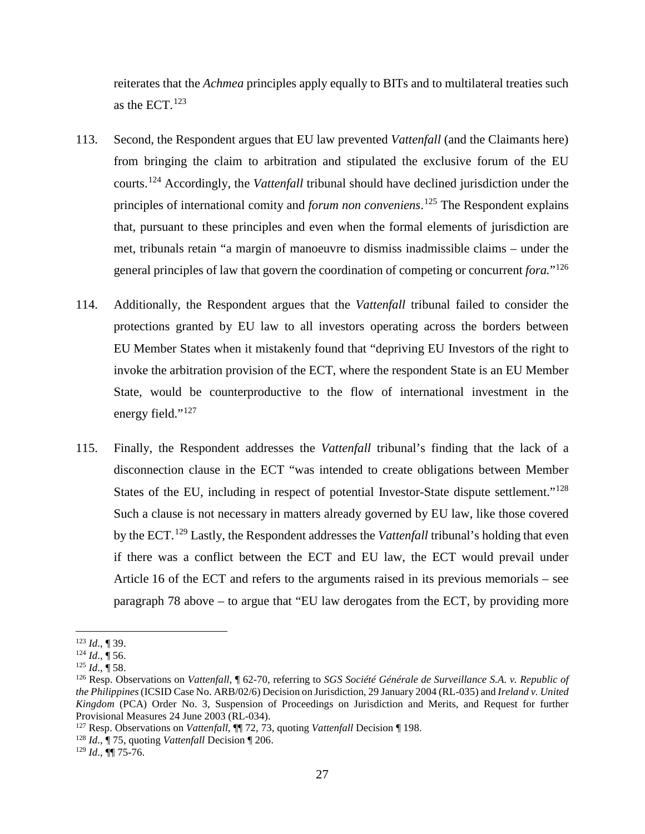reiterates that the *Achmea* principles apply equally to BITs and to multilateral treaties such as the ECT. $123$ 

- 113. Second, the Respondent argues that EU law prevented *Vattenfall* (and the Claimants here) from bringing the claim to arbitration and stipulated the exclusive forum of the EU courts. <sup>124</sup> Accordingly, the *Vattenfall* tribunal should have declined jurisdiction under the principles of international comity and *forum non conveniens*. <sup>125</sup> The Respondent explains that, pursuant to these principles and even when the formal elements of jurisdiction are met, tribunals retain "a margin of manoeuvre to dismiss inadmissible claims – under the general principles of law that govern the coordination of competing or concurrent *fora.*"<sup>126</sup>
- 114. Additionally, the Respondent argues that the *Vattenfall* tribunal failed to consider the protections granted by EU law to all investors operating across the borders between EU Member States when it mistakenly found that "depriving EU Investors of the right to invoke the arbitration provision of the ECT, where the respondent State is an EU Member State, would be counterproductive to the flow of international investment in the energy field."<sup>127</sup>
- 115. Finally, the Respondent addresses the *Vattenfall* tribunal's finding that the lack of a disconnection clause in the ECT "was intended to create obligations between Member States of the EU, including in respect of potential Investor-State dispute settlement."<sup>128</sup> Such a clause is not necessary in matters already governed by EU law, like those covered by the ECT. <sup>129</sup> Lastly, the Respondent addresses the *Vattenfall* tribunal's holding that even if there was a conflict between the ECT and EU law, the ECT would prevail under Article 16 of the ECT and refers to the arguments raised in its previous memorials – see paragraph 78 above – to argue that "EU law derogates from the ECT, by providing more

 <sup>123</sup> *Id*., ¶ 39.

 $124$  *Id.*,  $\overline{\P}$  56.

<sup>125</sup> *Id*., ¶ 58.

<sup>126</sup> Resp. Observations on *Vattenfall*, ¶ 62-70, referring to *SGS Société Générale de Surveillance S.A. v. Republic of the Philippines*(ICSID Case No. ARB/02/6) Decision on Jurisdiction, 29 January 2004 (RL-035) and *Ireland v. United Kingdom* (PCA) Order No. 3, Suspension of Proceedings on Jurisdiction and Merits, and Request for further Provisional Measures 24 June 2003 (RL-034).

<sup>&</sup>lt;sup>127</sup> Resp. Observations on *Vattenfall*,  $\P$  72, 73, quoting *Vattenfall* Decision  $\P$  198.

<sup>128</sup> *Id*., ¶ 75, quoting *Vattenfall* Decision ¶ 206.

<sup>129</sup> *Id*., ¶¶ 75-76.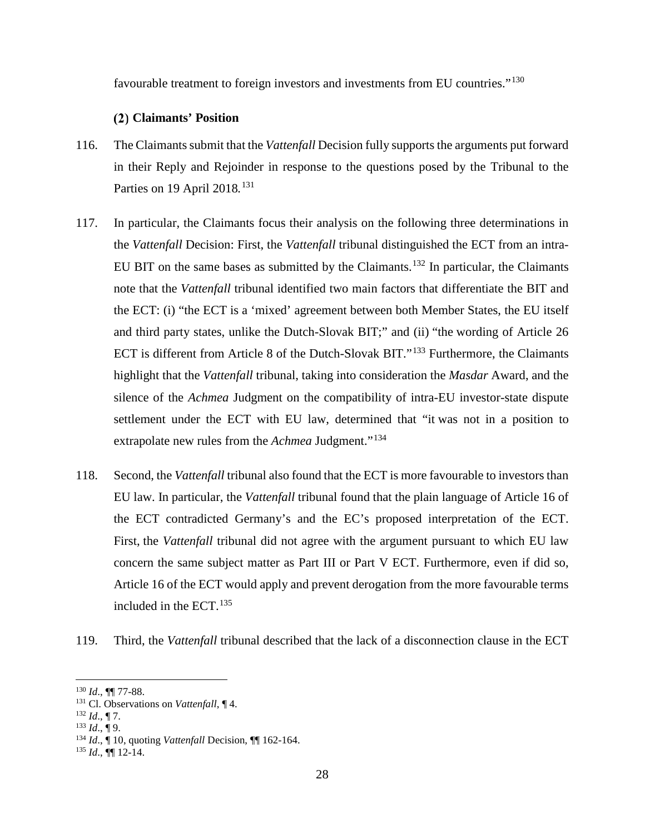favourable treatment to foreign investors and investments from EU countries."<sup>130</sup>

# **Claimants' Position**

- 116. The Claimants submit that the *Vattenfall* Decision fully supports the arguments put forward in their Reply and Rejoinder in response to the questions posed by the Tribunal to the Parties on 19 April 2018*.* 131
- 117. In particular, the Claimants focus their analysis on the following three determinations in the *Vattenfall* Decision: First, the *Vattenfall* tribunal distinguished the ECT from an intra-EU BIT on the same bases as submitted by the Claimants.<sup>132</sup> In particular, the Claimants note that the *Vattenfall* tribunal identified two main factors that differentiate the BIT and the ECT: (i) "the ECT is a 'mixed' agreement between both Member States, the EU itself and third party states, unlike the Dutch-Slovak BIT;" and (ii) "the wording of Article 26 ECT is different from Article 8 of the Dutch-Slovak BIT."<sup>133</sup> Furthermore, the Claimants highlight that the *Vattenfall* tribunal, taking into consideration the *Masdar* Award, and the silence of the *Achmea* Judgment on the compatibility of intra-EU investor-state dispute settlement under the ECT with EU law, determined that "it was not in a position to extrapolate new rules from the *Achmea* Judgment."<sup>134</sup>
- 118. Second, the *Vattenfall* tribunal also found that the ECT is more favourable to investors than EU law. In particular, the *Vattenfall* tribunal found that the plain language of Article 16 of the ECT contradicted Germany's and the EC's proposed interpretation of the ECT. First, the *Vattenfall* tribunal did not agree with the argument pursuant to which EU law concern the same subject matter as Part III or Part V ECT. Furthermore, even if did so, Article 16 of the ECT would apply and prevent derogation from the more favourable terms included in the ECT. $135$
- 119. Third, the *Vattenfall* tribunal described that the lack of a disconnection clause in the ECT

 $\overline{a}$ 

<sup>1&</sup>lt;sup>30</sup> *Id.*, **¶** 77-88.<br><sup>131</sup> Cl. Observations on *Vattenfall*, **¶** 4.<br><sup>132</sup> *Id.*, **¶** 7.

 $^{133}$  *Id.*, ¶ 9.

<sup>134</sup> *Id*., ¶ 10, quoting *Vattenfall* Decision, ¶¶ 162-164.

 $^{135}$  *Id.*,  $\P\P$  12-14.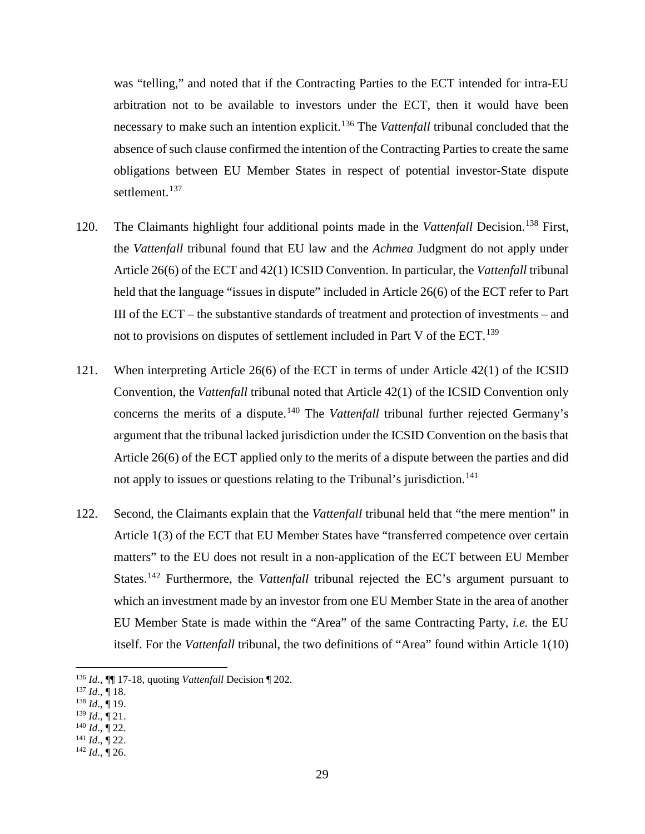was "telling," and noted that if the Contracting Parties to the ECT intended for intra-EU arbitration not to be available to investors under the ECT, then it would have been necessary to make such an intention explicit. <sup>136</sup> The *Vattenfall* tribunal concluded that the absence of such clause confirmed the intention of the Contracting Parties to create the same obligations between EU Member States in respect of potential investor-State dispute settlement. 137

- 120. The Claimants highlight four additional points made in the *Vattenfall* Decision. <sup>138</sup> First, the *Vattenfall* tribunal found that EU law and the *Achmea* Judgment do not apply under Article 26(6) of the ECT and 42(1) ICSID Convention. In particular, the *Vattenfall* tribunal held that the language "issues in dispute" included in Article 26(6) of the ECT refer to Part III of the ECT – the substantive standards of treatment and protection of investments – and not to provisions on disputes of settlement included in Part V of the ECT.<sup>139</sup>
- 121. When interpreting Article 26(6) of the ECT in terms of under Article 42(1) of the ICSID Convention, the *Vattenfall* tribunal noted that Article 42(1) of the ICSID Convention only concerns the merits of a dispute. <sup>140</sup> The *Vattenfall* tribunal further rejected Germany's argument that the tribunal lacked jurisdiction under the ICSID Convention on the basis that Article 26(6) of the ECT applied only to the merits of a dispute between the parties and did not apply to issues or questions relating to the Tribunal's jurisdiction.<sup>141</sup>
- 122. Second, the Claimants explain that the *Vattenfall* tribunal held that "the mere mention" in Article 1(3) of the ECT that EU Member States have "transferred competence over certain matters" to the EU does not result in a non-application of the ECT between EU Member States.<sup>142</sup> Furthermore, the *Vattenfall* tribunal rejected the EC's argument pursuant to which an investment made by an investor from one EU Member State in the area of another EU Member State is made within the "Area" of the same Contracting Party, *i.e.* the EU itself. For the *Vattenfall* tribunal, the two definitions of "Area" found within Article 1(10)

- <sup>137</sup> *Id*., ¶ 18.
- <sup>138</sup> *Id*., ¶ 19.
- <sup>139</sup> *Id*., ¶ 21.

<sup>141</sup> *Id*., ¶ 22.

 <sup>136</sup> *Id*., ¶¶ 17-18, quoting *Vattenfall* Decision ¶ 202.

 $^{140}$  *Id.*,  $\mathring{\mathbb{I}}$  22.

 $^{142}$  *Id.*,  $\dot{$  26.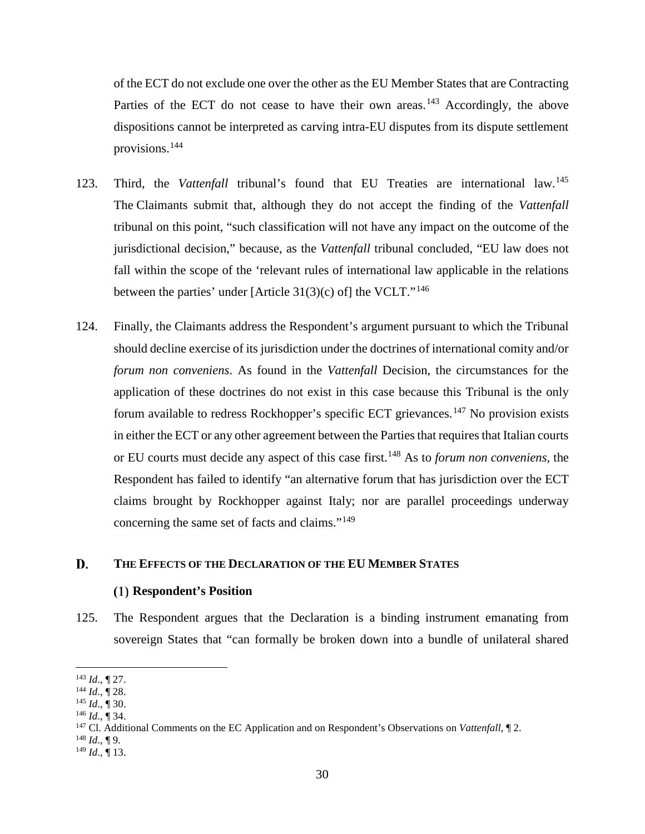of the ECT do not exclude one over the other as the EU Member States that are Contracting Parties of the ECT do not cease to have their own areas.<sup>143</sup> Accordingly, the above dispositions cannot be interpreted as carving intra-EU disputes from its dispute settlement provisions.144

- 123. Third, the *Vattenfall* tribunal's found that EU Treaties are international law.<sup>145</sup> The Claimants submit that, although they do not accept the finding of the *Vattenfall* tribunal on this point, "such classification will not have any impact on the outcome of the jurisdictional decision," because, as the *Vattenfall* tribunal concluded, "EU law does not fall within the scope of the 'relevant rules of international law applicable in the relations between the parties' under [Article 31(3)(c) of] the VCLT."<sup>146</sup>
- 124. Finally, the Claimants address the Respondent's argument pursuant to which the Tribunal should decline exercise of its jurisdiction under the doctrines of international comity and/or *forum non conveniens*. As found in the *Vattenfall* Decision, the circumstances for the application of these doctrines do not exist in this case because this Tribunal is the only forum available to redress Rockhopper's specific ECT grievances.<sup>147</sup> No provision exists in either the ECT or any other agreement between the Parties that requires that Italian courts or EU courts must decide any aspect of this case first.<sup>148</sup> As to *forum non conveniens,* the Respondent has failed to identify "an alternative forum that has jurisdiction over the ECT claims brought by Rockhopper against Italy; nor are parallel proceedings underway concerning the same set of facts and claims."<sup>149</sup>

#### D. **THE EFFECTS OF THE DECLARATION OF THE EU MEMBER STATES**

## **Respondent's Position**

125. The Respondent argues that the Declaration is a binding instrument emanating from sovereign States that "can formally be broken down into a bundle of unilateral shared

 $\overline{a}$ <sup>143</sup> *Id*., ¶ 27.

<sup>144</sup> *Id*., ¶ 28.

<sup>145</sup> *Id*., ¶ 30.

<sup>146</sup> *Id*., ¶ 34.

<sup>147</sup> Cl. Additional Comments on the EC Application and on Respondent's Observations on *Vattenfall*, ¶ 2.

 $^{148}$  *Id.*, ¶ 9.

 $^{149}$  *Id.*,  $\overline{$  13.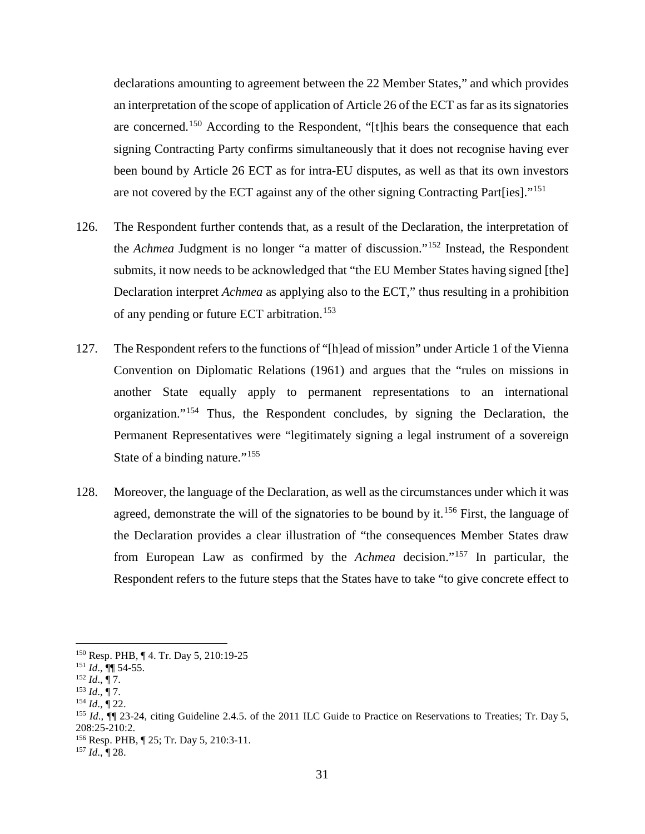declarations amounting to agreement between the 22 Member States," and which provides an interpretation of the scope of application of Article 26 of the ECT as far as its signatories are concerned.<sup>150</sup> According to the Respondent, "[t]his bears the consequence that each signing Contracting Party confirms simultaneously that it does not recognise having ever been bound by Article 26 ECT as for intra-EU disputes, as well as that its own investors are not covered by the ECT against any of the other signing Contracting Part[ies]."<sup>151</sup>

- 126. The Respondent further contends that, as a result of the Declaration, the interpretation of the *Achmea* Judgment is no longer "a matter of discussion."<sup>152</sup> Instead, the Respondent submits, it now needs to be acknowledged that "the EU Member States having signed [the] Declaration interpret *Achmea* as applying also to the ECT," thus resulting in a prohibition of any pending or future ECT arbitration.<sup>153</sup>
- 127. The Respondent refers to the functions of "[h]ead of mission" under Article 1 of the Vienna Convention on Diplomatic Relations (1961) and argues that the "rules on missions in another State equally apply to permanent representations to an international organization."<sup>154</sup> Thus, the Respondent concludes, by signing the Declaration, the Permanent Representatives were "legitimately signing a legal instrument of a sovereign State of a binding nature."<sup>155</sup>
- 128. Moreover, the language of the Declaration, as well as the circumstances under which it was agreed, demonstrate the will of the signatories to be bound by it.<sup>156</sup> First, the language of the Declaration provides a clear illustration of "the consequences Member States draw from European Law as confirmed by the *Achmea* decision."<sup>157</sup> In particular, the Respondent refers to the future steps that the States have to take "to give concrete effect to

 <sup>150</sup> Resp. PHB, ¶ 4. Tr. Day 5, 210:19-25

<sup>151</sup> *Id*., ¶¶ 54-55.

 $^{152}$  *Id.*,  $\sqrt{7}$ .<br><sup>153</sup> *Id.*,  $\sqrt{7}$ .

<sup>&</sup>lt;sup>154</sup> *Id.*, ¶ 22.

<sup>&</sup>lt;sup>155</sup> *Id.*,  $\P$  23-24, citing Guideline 2.4.5. of the 2011 ILC Guide to Practice on Reservations to Treaties; Tr. Day 5, 208:25-210:2.

<sup>156</sup> Resp. PHB, ¶ 25; Tr. Day 5, 210:3-11.

<sup>157</sup> *Id*., ¶ 28.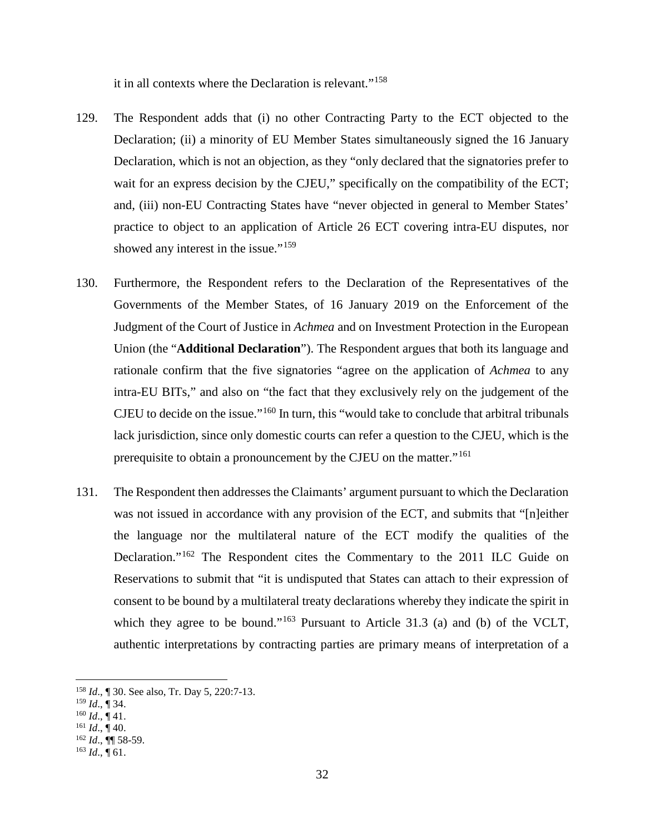it in all contexts where the Declaration is relevant."<sup>158</sup>

- 129. The Respondent adds that (i) no other Contracting Party to the ECT objected to the Declaration; (ii) a minority of EU Member States simultaneously signed the 16 January Declaration, which is not an objection, as they "only declared that the signatories prefer to wait for an express decision by the CJEU," specifically on the compatibility of the ECT; and, (iii) non-EU Contracting States have "never objected in general to Member States' practice to object to an application of Article 26 ECT covering intra-EU disputes, nor showed any interest in the issue."<sup>159</sup>
- 130. Furthermore, the Respondent refers to the Declaration of the Representatives of the Governments of the Member States, of 16 January 2019 on the Enforcement of the Judgment of the Court of Justice in *Achmea* and on Investment Protection in the European Union (the "**Additional Declaration**"). The Respondent argues that both its language and rationale confirm that the five signatories "agree on the application of *Achmea* to any intra-EU BITs," and also on "the fact that they exclusively rely on the judgement of the CJEU to decide on the issue."<sup>160</sup> In turn, this "would take to conclude that arbitral tribunals lack jurisdiction, since only domestic courts can refer a question to the CJEU, which is the prerequisite to obtain a pronouncement by the CJEU on the matter."<sup>161</sup>
- 131. The Respondent then addresses the Claimants' argument pursuant to which the Declaration was not issued in accordance with any provision of the ECT, and submits that "[n]either the language nor the multilateral nature of the ECT modify the qualities of the Declaration."<sup>162</sup> The Respondent cites the Commentary to the 2011 ILC Guide on Reservations to submit that "it is undisputed that States can attach to their expression of consent to be bound by a multilateral treaty declarations whereby they indicate the spirit in which they agree to be bound."<sup>163</sup> Pursuant to Article 31.3 (a) and (b) of the VCLT, authentic interpretations by contracting parties are primary means of interpretation of a

 <sup>158</sup> *Id*., ¶ 30. See also, Tr. Day 5, 220:7-13.

<sup>159</sup> *Id*., ¶ 34.

 $160$  *Id.*,  $\P$  41.

 $^{161}$  *Id.*,  $\dot{$  40.

<sup>162</sup> *Id*., ¶¶ 58-59.

 $^{163}$  *Id.*, ¶ 61.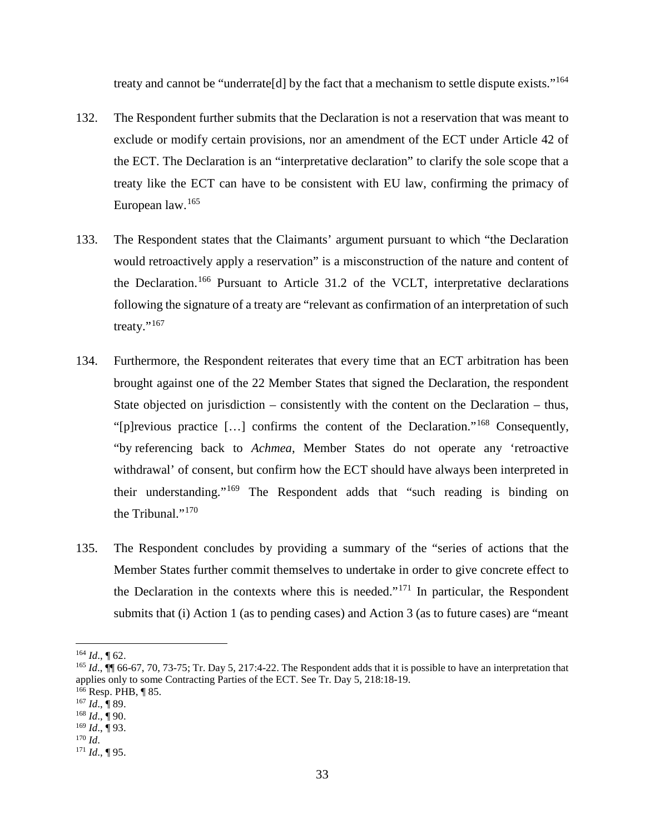treaty and cannot be "underrate[d] by the fact that a mechanism to settle dispute exists."<sup>164</sup>

- 132. The Respondent further submits that the Declaration is not a reservation that was meant to exclude or modify certain provisions, nor an amendment of the ECT under Article 42 of the ECT. The Declaration is an "interpretative declaration" to clarify the sole scope that a treaty like the ECT can have to be consistent with EU law, confirming the primacy of European law.<sup>165</sup>
- 133. The Respondent states that the Claimants' argument pursuant to which "the Declaration would retroactively apply a reservation" is a misconstruction of the nature and content of the Declaration.<sup>166</sup> Pursuant to Article 31.2 of the VCLT, interpretative declarations following the signature of a treaty are "relevant as confirmation of an interpretation of such treaty."<sup>167</sup>
- 134. Furthermore, the Respondent reiterates that every time that an ECT arbitration has been brought against one of the 22 Member States that signed the Declaration, the respondent State objected on jurisdiction – consistently with the content on the Declaration – thus, "[p]revious practice […] confirms the content of the Declaration."<sup>168</sup> Consequently, "by referencing back to *Achmea*, Member States do not operate any 'retroactive withdrawal' of consent, but confirm how the ECT should have always been interpreted in their understanding."<sup>169</sup> The Respondent adds that "such reading is binding on the Tribunal."<sup>170</sup>
- 135. The Respondent concludes by providing a summary of the "series of actions that the Member States further commit themselves to undertake in order to give concrete effect to the Declaration in the contexts where this is needed."<sup>171</sup> In particular, the Respondent submits that (i) Action 1 (as to pending cases) and Action 3 (as to future cases) are "meant

 <sup>164</sup> *Id*., ¶ 62.

<sup>&</sup>lt;sup>165</sup> *Id.*, ¶ 66-67, 70, 73-75; Tr. Day 5, 217:4-22. The Respondent adds that it is possible to have an interpretation that applies only to some Contracting Parties of the ECT. See Tr. Day 5, 218:18-19.

<sup>166</sup> Resp. PHB, ¶ 85.

<sup>167</sup> *Id*., ¶ 89.

<sup>168</sup> *Id*., ¶ 90. <sup>169</sup> *Id*., ¶ 93.

<sup>170</sup> *Id*.

<sup>171</sup> *Id*., ¶ 95.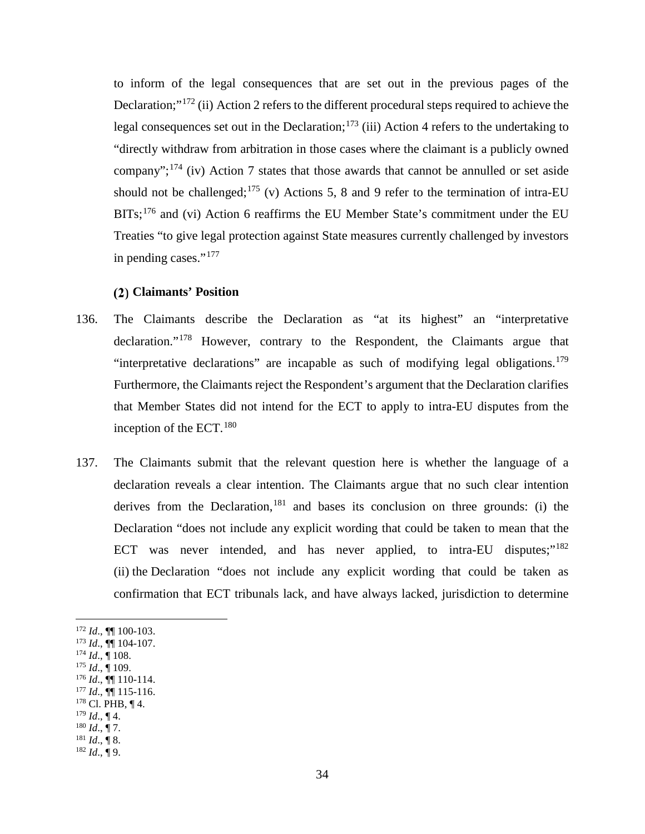to inform of the legal consequences that are set out in the previous pages of the Declaration;"<sup>172</sup> (ii) Action 2 refers to the different procedural steps required to achieve the legal consequences set out in the Declaration;<sup>173</sup> (iii) Action 4 refers to the undertaking to "directly withdraw from arbitration in those cases where the claimant is a publicly owned company";<sup>174</sup> (iv) Action 7 states that those awards that cannot be annulled or set aside should not be challenged;<sup>175</sup> (v) Actions 5, 8 and 9 refer to the termination of intra-EU BITs;<sup>176</sup> and (vi) Action 6 reaffirms the EU Member State's commitment under the EU Treaties "to give legal protection against State measures currently challenged by investors in pending cases."<sup>177</sup>

## **Claimants' Position**

- 136. The Claimants describe the Declaration as "at its highest" an "interpretative declaration."<sup>178</sup> However, contrary to the Respondent, the Claimants argue that "interpretative declarations" are incapable as such of modifying legal obligations.<sup>179</sup> Furthermore, the Claimants reject the Respondent's argument that the Declaration clarifies that Member States did not intend for the ECT to apply to intra-EU disputes from the inception of the ECT.  $180$
- 137. The Claimants submit that the relevant question here is whether the language of a declaration reveals a clear intention. The Claimants argue that no such clear intention derives from the Declaration, <sup>181</sup> and bases its conclusion on three grounds: (i) the Declaration "does not include any explicit wording that could be taken to mean that the ECT was never intended, and has never applied, to intra-EU disputes;"<sup>182</sup> (ii) the Declaration "does not include any explicit wording that could be taken as confirmation that ECT tribunals lack, and have always lacked, jurisdiction to determine

<sup>172</sup> *Id*., ¶¶ 100-103.

- <sup>173</sup> *Id*., ¶¶ 104-107.  $^{174}$  *Id.*,  $\frac{1}{108}$ .
- <sup>175</sup> *Id*., ¶ 109.

 $\overline{a}$ 

- <sup>176</sup> *Id*., ¶¶ 110-114.
- $177$  *Id.*,  $\overline{99}$  115-116.
- $178$  Cl. PHB,  $\P$  4.
- $179$  *Id.*, ¶ 4.
- $^{180}$  *Id.*, ¶ 7.
- $^{181}$  *Id.*, ¶ 8.
- $^{182}$  *Id.*,  $\frac{1}{9}$  9.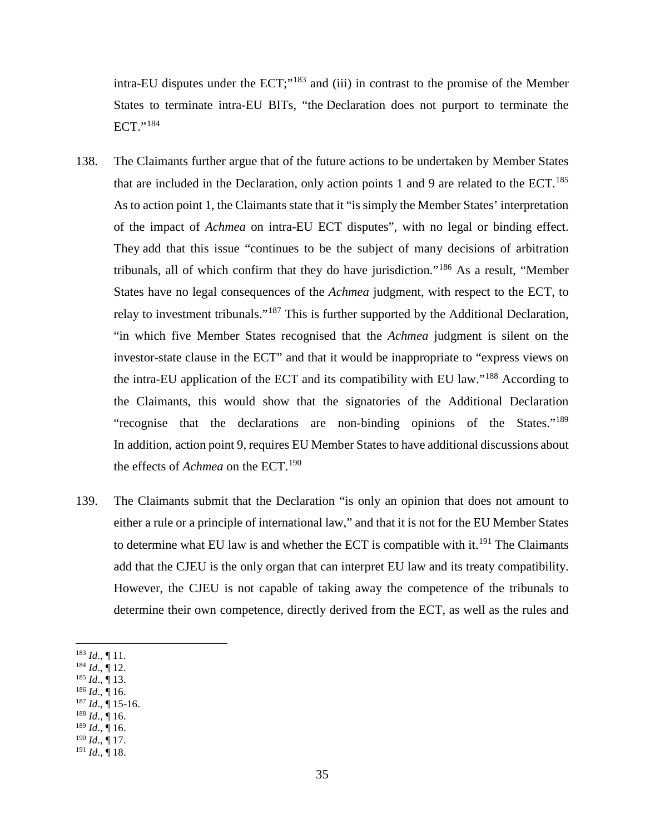intra-EU disputes under the ECT;"<sup>183</sup> and (iii) in contrast to the promise of the Member States to terminate intra-EU BITs, "the Declaration does not purport to terminate the ECT."<sup>184</sup>

- 138. The Claimants further argue that of the future actions to be undertaken by Member States that are included in the Declaration, only action points 1 and 9 are related to the ECT.<sup>185</sup> As to action point 1, the Claimants state that it "is simply the Member States' interpretation of the impact of *Achmea* on intra-EU ECT disputes", with no legal or binding effect. They add that this issue "continues to be the subject of many decisions of arbitration tribunals, all of which confirm that they do have jurisdiction."<sup>186</sup> As a result, "Member States have no legal consequences of the *Achmea* judgment, with respect to the ECT, to relay to investment tribunals."<sup>187</sup> This is further supported by the Additional Declaration, "in which five Member States recognised that the *Achmea* judgment is silent on the investor-state clause in the ECT" and that it would be inappropriate to "express views on the intra-EU application of the ECT and its compatibility with EU law."<sup>188</sup> According to the Claimants, this would show that the signatories of the Additional Declaration "recognise that the declarations are non-binding opinions of the States."<sup>189</sup> In addition, action point 9, requires EU Member States to have additional discussions about the effects of *Achmea* on the ECT.<sup>190</sup>
- 139. The Claimants submit that the Declaration "is only an opinion that does not amount to either a rule or a principle of international law," and that it is not for the EU Member States to determine what EU law is and whether the ECT is compatible with it.<sup>191</sup> The Claimants add that the CJEU is the only organ that can interpret EU law and its treaty compatibility. However, the CJEU is not capable of taking away the competence of the tribunals to determine their own competence, directly derived from the ECT, as well as the rules and

- <sup>185</sup> *Id*., ¶ 13.
- <sup>186</sup> *Id*., ¶ 16.
- $^{187}$  *Id.*,  $\overline{9}$  15-16.
- <sup>188</sup> *Id*., ¶ 16.  $189$  *Id.*, 16.
- <sup>190</sup> *Id*., ¶ 17.
- $^{191}$  *Id.*,  $\dot{$  18.

 <sup>183</sup> *Id*., ¶ 11.

<sup>184</sup> *Id*., ¶ 12.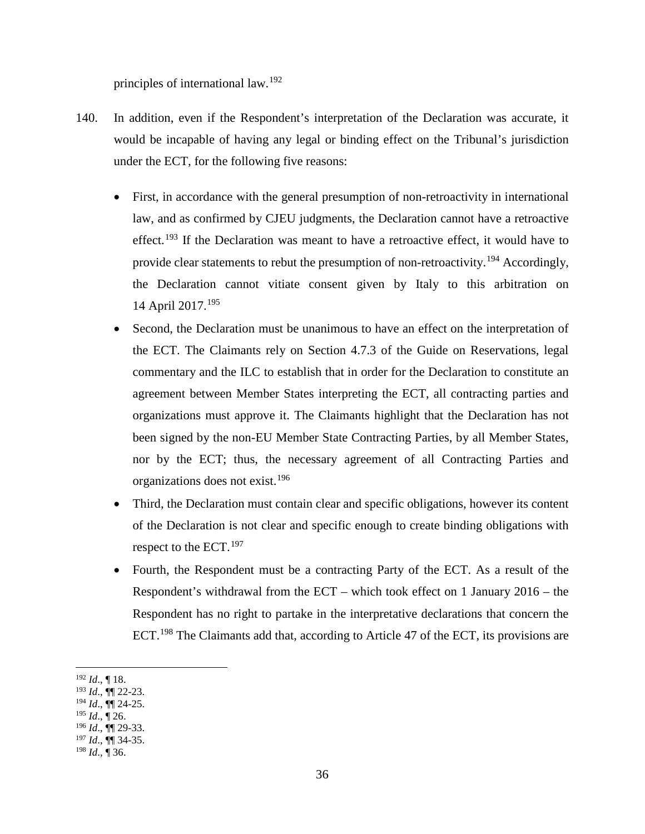principles of international law.<sup>192</sup>

- 140. In addition, even if the Respondent's interpretation of the Declaration was accurate, it would be incapable of having any legal or binding effect on the Tribunal's jurisdiction under the ECT, for the following five reasons:
	- First, in accordance with the general presumption of non-retroactivity in international law, and as confirmed by CJEU judgments, the Declaration cannot have a retroactive effect.<sup>193</sup> If the Declaration was meant to have a retroactive effect, it would have to provide clear statements to rebut the presumption of non-retroactivity.<sup>194</sup> Accordingly, the Declaration cannot vitiate consent given by Italy to this arbitration on 14 April 2017.<sup>195</sup>
	- Second, the Declaration must be unanimous to have an effect on the interpretation of the ECT. The Claimants rely on Section 4.7.3 of the Guide on Reservations, legal commentary and the ILC to establish that in order for the Declaration to constitute an agreement between Member States interpreting the ECT, all contracting parties and organizations must approve it. The Claimants highlight that the Declaration has not been signed by the non-EU Member State Contracting Parties, by all Member States, nor by the ECT; thus, the necessary agreement of all Contracting Parties and organizations does not exist.<sup>196</sup>
	- Third, the Declaration must contain clear and specific obligations, however its content of the Declaration is not clear and specific enough to create binding obligations with respect to the  $ECT$ .<sup>197</sup>
	- Fourth, the Respondent must be a contracting Party of the ECT. As a result of the Respondent's withdrawal from the ECT – which took effect on 1 January 2016 – the Respondent has no right to partake in the interpretative declarations that concern the ECT.<sup>198</sup> The Claimants add that, according to Article 47 of the ECT, its provisions are

<sup>193</sup> *Id*., ¶¶ 22-23.

 <sup>192</sup> *Id*., ¶ 18.

<sup>194</sup> *Id*., ¶¶ 24-25.

<sup>195</sup> *Id*., ¶ 26.

<sup>196</sup> *Id*., ¶¶ 29-33.

<sup>197</sup> *Id*., ¶¶ 34-35.

<sup>198</sup> *Id*., ¶ 36.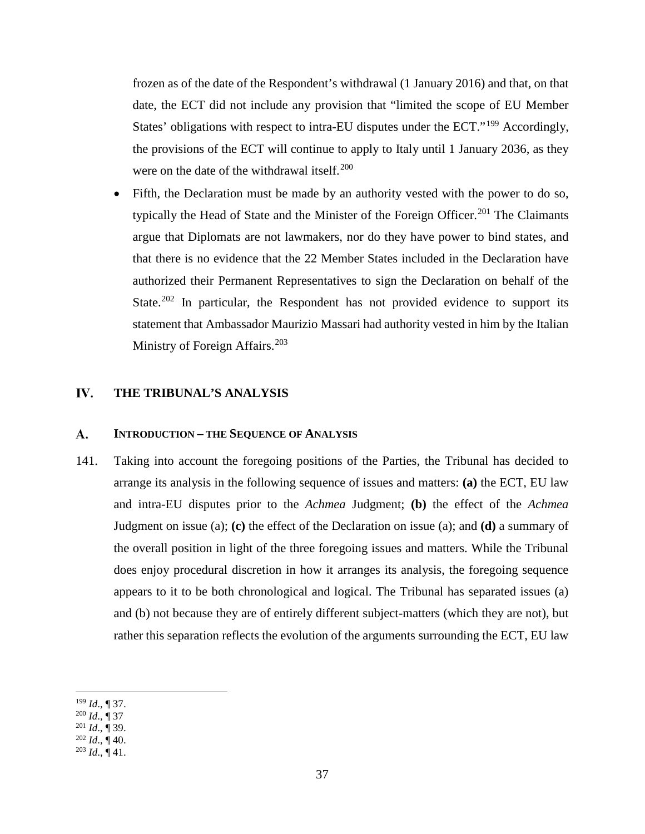frozen as of the date of the Respondent's withdrawal (1 January 2016) and that, on that date, the ECT did not include any provision that "limited the scope of EU Member States' obligations with respect to intra-EU disputes under the ECT."<sup>199</sup> Accordingly, the provisions of the ECT will continue to apply to Italy until 1 January 2036, as they were on the date of the withdrawal itself.<sup>200</sup>

• Fifth, the Declaration must be made by an authority vested with the power to do so, typically the Head of State and the Minister of the Foreign Officer.<sup>201</sup> The Claimants argue that Diplomats are not lawmakers, nor do they have power to bind states, and that there is no evidence that the 22 Member States included in the Declaration have authorized their Permanent Representatives to sign the Declaration on behalf of the State.<sup>202</sup> In particular, the Respondent has not provided evidence to support its statement that Ambassador Maurizio Massari had authority vested in him by the Italian Ministry of Foreign Affairs.<sup>203</sup>

#### IV. **THE TRIBUNAL'S ANALYSIS**

#### A. **INTRODUCTION – THE SEQUENCE OF ANALYSIS**

141. Taking into account the foregoing positions of the Parties, the Tribunal has decided to arrange its analysis in the following sequence of issues and matters: **(a)** the ECT, EU law and intra-EU disputes prior to the *Achmea* Judgment; **(b)** the effect of the *Achmea*  Judgment on issue (a); **(c)** the effect of the Declaration on issue (a); and **(d)** a summary of the overall position in light of the three foregoing issues and matters. While the Tribunal does enjoy procedural discretion in how it arranges its analysis, the foregoing sequence appears to it to be both chronological and logical. The Tribunal has separated issues (a) and (b) not because they are of entirely different subject-matters (which they are not), but rather this separation reflects the evolution of the arguments surrounding the ECT, EU law

 $\overline{a}$ <sup>199</sup> *Id*., ¶ 37.

<sup>200</sup> *Id*., ¶ 37

<sup>201</sup> *Id*., ¶ 39.

 $^{202}$  *Id.*,  $\overline{)}$  40.

 $^{203}$  *Id.*,  $\overline{$  41.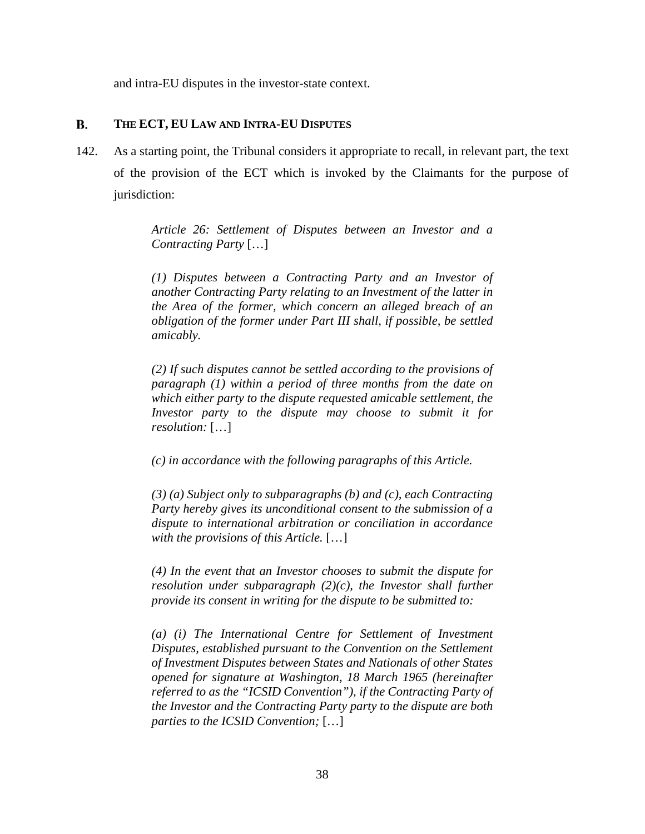and intra-EU disputes in the investor-state context.

## **B. THE ECT, EU LAW AND INTRA-EU DISPUTES**

142. As a starting point, the Tribunal considers it appropriate to recall, in relevant part, the text of the provision of the ECT which is invoked by the Claimants for the purpose of jurisdiction:

> *Article 26: Settlement of Disputes between an Investor and a Contracting Party* […]

> *(1) Disputes between a Contracting Party and an Investor of another Contracting Party relating to an Investment of the latter in the Area of the former, which concern an alleged breach of an obligation of the former under Part III shall, if possible, be settled amicably.*

> *(2) If such disputes cannot be settled according to the provisions of paragraph (1) within a period of three months from the date on which either party to the dispute requested amicable settlement, the Investor party to the dispute may choose to submit it for resolution:* […]

*(c) in accordance with the following paragraphs of this Article.* 

*(3) (a) Subject only to subparagraphs (b) and (c), each Contracting Party hereby gives its unconditional consent to the submission of a dispute to international arbitration or conciliation in accordance with the provisions of this Article.* […]

*(4) In the event that an Investor chooses to submit the dispute for resolution under subparagraph (2)(c), the Investor shall further provide its consent in writing for the dispute to be submitted to:* 

*(a) (i) The International Centre for Settlement of Investment Disputes, established pursuant to the Convention on the Settlement of Investment Disputes between States and Nationals of other States opened for signature at Washington, 18 March 1965 (hereinafter referred to as the "ICSID Convention"), if the Contracting Party of the Investor and the Contracting Party party to the dispute are both parties to the ICSID Convention;* […]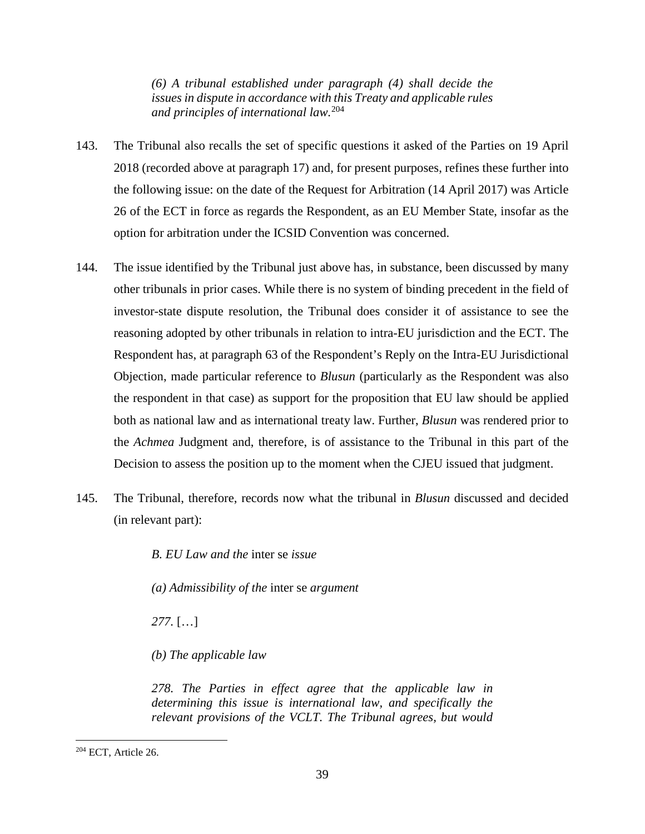*(6) A tribunal established under paragraph (4) shall decide the issues in dispute in accordance with this Treaty and applicable rules and principles of international law.*<sup>204</sup>

- 143. The Tribunal also recalls the set of specific questions it asked of the Parties on 19 April 2018 (recorded above at paragraph 17) and, for present purposes, refines these further into the following issue: on the date of the Request for Arbitration (14 April 2017) was Article 26 of the ECT in force as regards the Respondent, as an EU Member State, insofar as the option for arbitration under the ICSID Convention was concerned.
- 144. The issue identified by the Tribunal just above has, in substance, been discussed by many other tribunals in prior cases. While there is no system of binding precedent in the field of investor-state dispute resolution, the Tribunal does consider it of assistance to see the reasoning adopted by other tribunals in relation to intra-EU jurisdiction and the ECT. The Respondent has, at paragraph 63 of the Respondent's Reply on the Intra-EU Jurisdictional Objection, made particular reference to *Blusun* (particularly as the Respondent was also the respondent in that case) as support for the proposition that EU law should be applied both as national law and as international treaty law. Further, *Blusun* was rendered prior to the *Achmea* Judgment and, therefore, is of assistance to the Tribunal in this part of the Decision to assess the position up to the moment when the CJEU issued that judgment.
- 145. The Tribunal, therefore, records now what the tribunal in *Blusun* discussed and decided (in relevant part):

*B. EU Law and the* inter se *issue* 

*(a) Admissibility of the* inter se *argument* 

*277.* […]

*(b) The applicable law* 

*278. The Parties in effect agree that the applicable law in determining this issue is international law, and specifically the relevant provisions of the VCLT. The Tribunal agrees, but would* 

 <sup>204</sup> ECT, Article 26.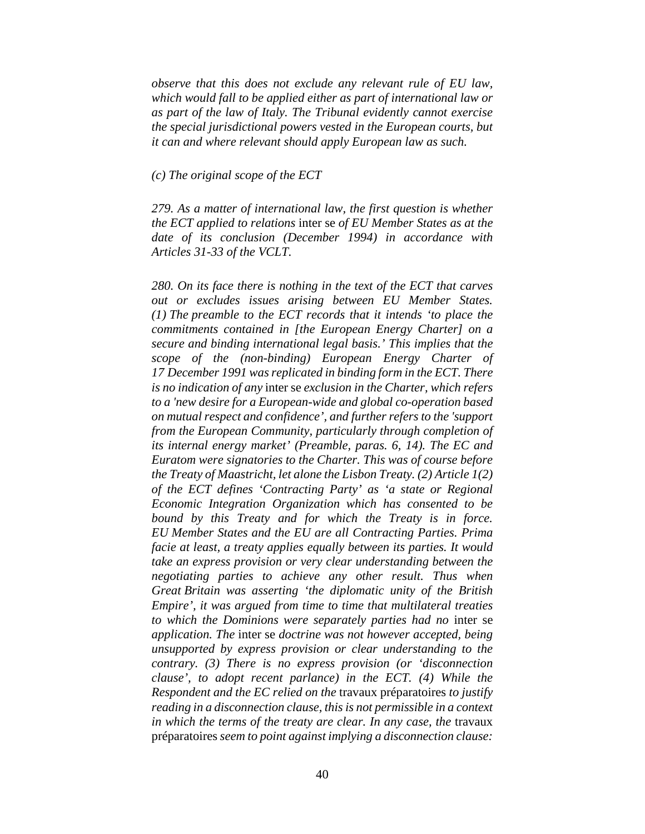*observe that this does not exclude any relevant rule of EU law, which would fall to be applied either as part of international law or as part of the law of Italy. The Tribunal evidently cannot exercise the special jurisdictional powers vested in the European courts, but it can and where relevant should apply European law as such.* 

*(c) The original scope of the ECT* 

*279. As a matter of international law, the first question is whether the ECT applied to relations* inter se *of EU Member States as at the date of its conclusion (December 1994) in accordance with Articles 31-33 of the VCLT.* 

*280. On its face there is nothing in the text of the ECT that carves out or excludes issues arising between EU Member States. (1) The preamble to the ECT records that it intends 'to place the commitments contained in [the European Energy Charter] on a secure and binding international legal basis.' This implies that the scope of the (non-binding) European Energy Charter of 17 December 1991 was replicated in binding form in the ECT. There is no indication of any* inter se *exclusion in the Charter, which refers to a 'new desire for a European-wide and global co-operation based on mutual respect and confidence', and further refers to the 'support from the European Community, particularly through completion of its internal energy market' (Preamble, paras. 6, 14). The EC and Euratom were signatories to the Charter. This was of course before the Treaty of Maastricht, let alone the Lisbon Treaty. (2) Article 1(2) of the ECT defines 'Contracting Party' as 'a state or Regional Economic Integration Organization which has consented to be bound by this Treaty and for which the Treaty is in force. EU Member States and the EU are all Contracting Parties. Prima facie at least, a treaty applies equally between its parties. It would take an express provision or very clear understanding between the negotiating parties to achieve any other result. Thus when Great Britain was asserting 'the diplomatic unity of the British Empire', it was argued from time to time that multilateral treaties to which the Dominions were separately parties had no* inter se *application. The* inter se *doctrine was not however accepted, being unsupported by express provision or clear understanding to the contrary. (3) There is no express provision (or 'disconnection clause', to adopt recent parlance) in the ECT. (4) While the Respondent and the EC relied on the* travaux préparatoires *to justify reading in a disconnection clause, this is not permissible in a context in which the terms of the treaty are clear. In any case, the* travaux préparatoires *seem to point against implying a disconnection clause:*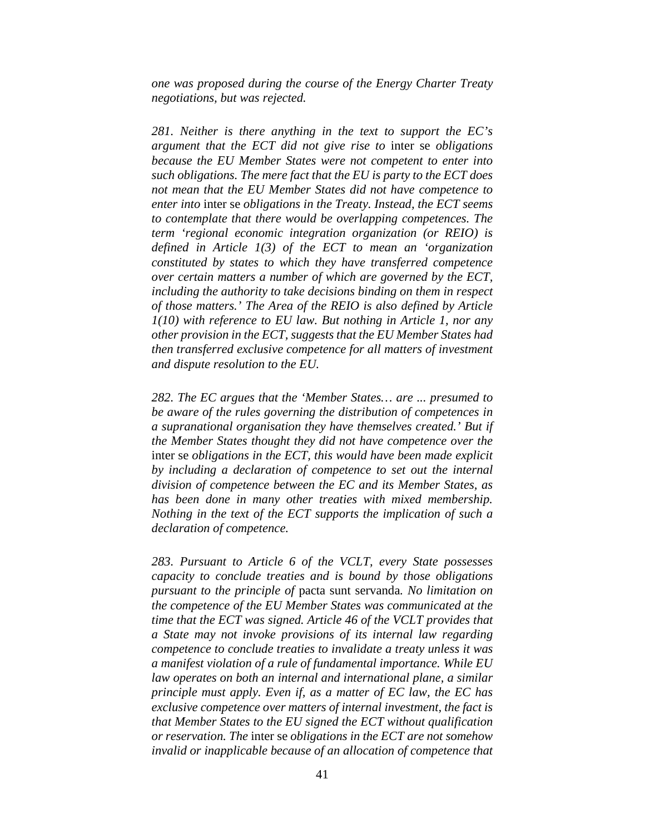*one was proposed during the course of the Energy Charter Treaty negotiations, but was rejected.*

*281. Neither is there anything in the text to support the EC's argument that the ECT did not give rise to* inter se *obligations because the EU Member States were not competent to enter into such obligations. The mere fact that the EU is party to the ECT does not mean that the EU Member States did not have competence to enter into* inter se *obligations in the Treaty. Instead, the ECT seems to contemplate that there would be overlapping competences. The term 'regional economic integration organization (or REIO) is defined in Article 1(3) of the ECT to mean an 'organization constituted by states to which they have transferred competence over certain matters a number of which are governed by the ECT, including the authority to take decisions binding on them in respect of those matters.' The Area of the REIO is also defined by Article 1(10) with reference to EU law. But nothing in Article 1, nor any other provision in the ECT, suggests that the EU Member States had then transferred exclusive competence for all matters of investment and dispute resolution to the EU.* 

*282. The EC argues that the 'Member States… are ... presumed to be aware of the rules governing the distribution of competences in a supranational organisation they have themselves created.' But if the Member States thought they did not have competence over the*  inter se *obligations in the ECT, this would have been made explicit by including a declaration of competence to set out the internal division of competence between the EC and its Member States, as has been done in many other treaties with mixed membership. Nothing in the text of the ECT supports the implication of such a declaration of competence.* 

*283. Pursuant to Article 6 of the VCLT, every State possesses capacity to conclude treaties and is bound by those obligations pursuant to the principle of* pacta sunt servanda*. No limitation on the competence of the EU Member States was communicated at the time that the ECT was signed. Article 46 of the VCLT provides that a State may not invoke provisions of its internal law regarding competence to conclude treaties to invalidate a treaty unless it was a manifest violation of a rule of fundamental importance. While EU law operates on both an internal and international plane, a similar principle must apply. Even if, as a matter of EC law, the EC has exclusive competence over matters of internal investment, the fact is that Member States to the EU signed the ECT without qualification or reservation. The* inter se *obligations in the ECT are not somehow invalid or inapplicable because of an allocation of competence that*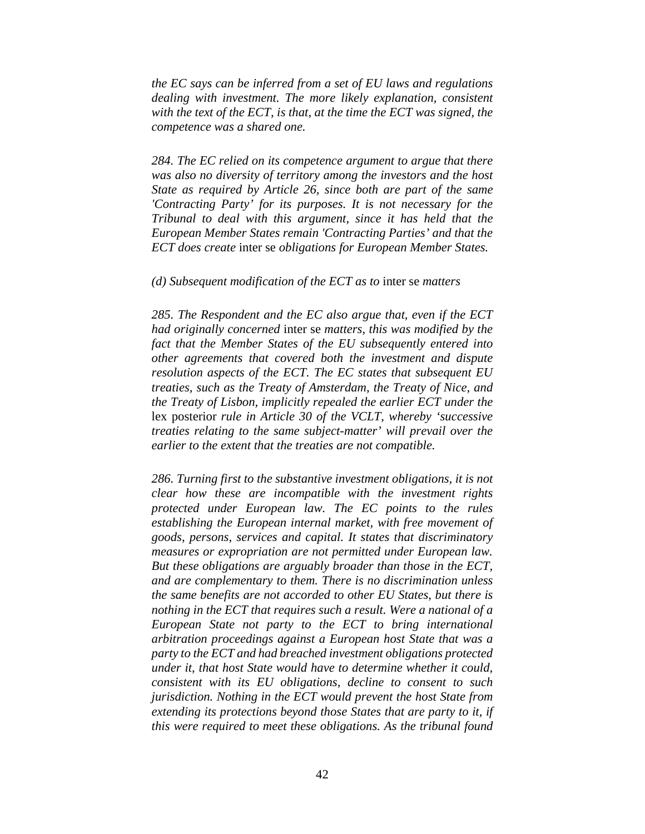*the EC says can be inferred from a set of EU laws and regulations dealing with investment. The more likely explanation, consistent with the text of the ECT, is that, at the time the ECT was signed, the competence was a shared one.* 

*284. The EC relied on its competence argument to argue that there was also no diversity of territory among the investors and the host State as required by Article 26, since both are part of the same 'Contracting Party' for its purposes. It is not necessary for the Tribunal to deal with this argument, since it has held that the European Member States remain 'Contracting Parties' and that the ECT does create* inter se *obligations for European Member States.* 

*(d) Subsequent modification of the ECT as to* inter se *matters* 

*285. The Respondent and the EC also argue that, even if the ECT had originally concerned* inter se *matters, this was modified by the fact that the Member States of the EU subsequently entered into other agreements that covered both the investment and dispute resolution aspects of the ECT. The EC states that subsequent EU treaties, such as the Treaty of Amsterdam, the Treaty of Nice, and the Treaty of Lisbon, implicitly repealed the earlier ECT under the*  lex posterior *rule in Article 30 of the VCLT, whereby 'successive treaties relating to the same subject-matter' will prevail over the earlier to the extent that the treaties are not compatible.* 

*286. Turning first to the substantive investment obligations, it is not clear how these are incompatible with the investment rights protected under European law. The EC points to the rules establishing the European internal market, with free movement of goods, persons, services and capital. It states that discriminatory measures or expropriation are not permitted under European law. But these obligations are arguably broader than those in the ECT, and are complementary to them. There is no discrimination unless the same benefits are not accorded to other EU States, but there is nothing in the ECT that requires such a result. Were a national of a European State not party to the ECT to bring international arbitration proceedings against a European host State that was a party to the ECT and had breached investment obligations protected under it, that host State would have to determine whether it could, consistent with its EU obligations, decline to consent to such jurisdiction. Nothing in the ECT would prevent the host State from extending its protections beyond those States that are party to it, if this were required to meet these obligations. As the tribunal found*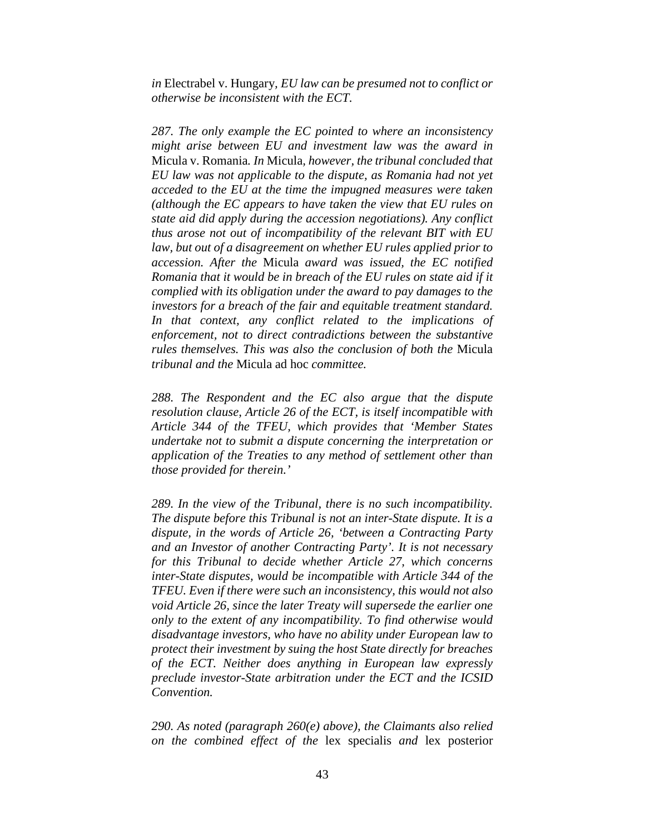*in* Electrabel v. Hungary*, EU law can be presumed not to conflict or otherwise be inconsistent with the ECT.*

*287. The only example the EC pointed to where an inconsistency might arise between EU and investment law was the award in*  Micula v. Romania*. In* Micula*, however, the tribunal concluded that EU law was not applicable to the dispute, as Romania had not yet acceded to the EU at the time the impugned measures were taken (although the EC appears to have taken the view that EU rules on state aid did apply during the accession negotiations). Any conflict thus arose not out of incompatibility of the relevant BIT with EU law, but out of a disagreement on whether EU rules applied prior to accession. After the* Micula *award was issued, the EC notified Romania that it would be in breach of the EU rules on state aid if it complied with its obligation under the award to pay damages to the investors for a breach of the fair and equitable treatment standard. In that context, any conflict related to the implications of enforcement, not to direct contradictions between the substantive rules themselves. This was also the conclusion of both the* Micula *tribunal and the* Micula ad hoc *committee.* 

*288. The Respondent and the EC also argue that the dispute resolution clause, Article 26 of the ECT, is itself incompatible with Article 344 of the TFEU, which provides that 'Member States undertake not to submit a dispute concerning the interpretation or application of the Treaties to any method of settlement other than those provided for therein.'* 

*289. In the view of the Tribunal, there is no such incompatibility. The dispute before this Tribunal is not an inter-State dispute. It is a dispute, in the words of Article 26, 'between a Contracting Party and an Investor of another Contracting Party'. It is not necessary for this Tribunal to decide whether Article 27, which concerns inter-State disputes, would be incompatible with Article 344 of the TFEU. Even if there were such an inconsistency, this would not also void Article 26, since the later Treaty will supersede the earlier one only to the extent of any incompatibility. To find otherwise would disadvantage investors, who have no ability under European law to protect their investment by suing the host State directly for breaches of the ECT. Neither does anything in European law expressly preclude investor-State arbitration under the ECT and the ICSID Convention.* 

*290. As noted (paragraph 260(e) above), the Claimants also relied on the combined effect of the* lex specialis *and* lex posterior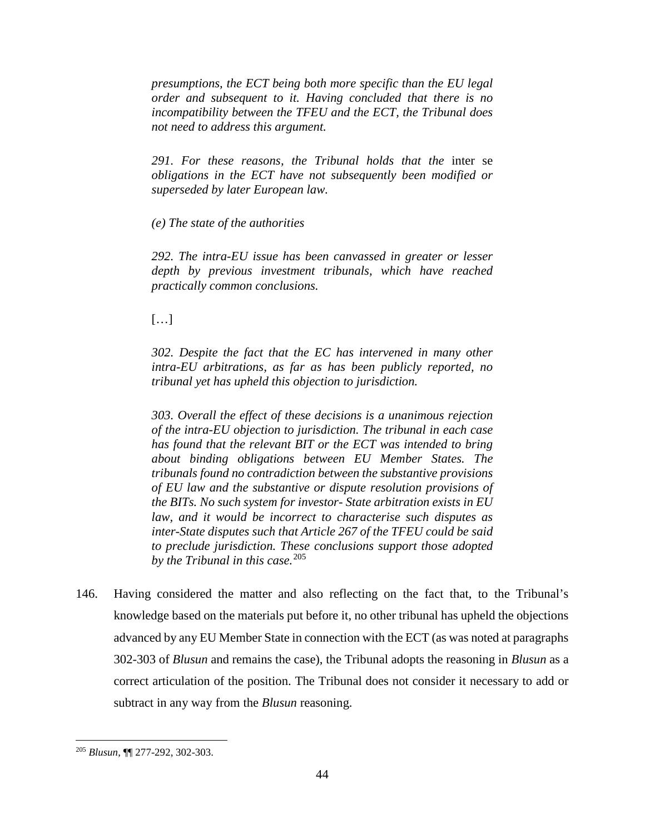*presumptions, the ECT being both more specific than the EU legal order and subsequent to it. Having concluded that there is no incompatibility between the TFEU and the ECT, the Tribunal does not need to address this argument.* 

291. For these reasons, the Tribunal holds that the inter se *obligations in the ECT have not subsequently been modified or superseded by later European law.* 

*(e) The state of the authorities* 

*292. The intra-EU issue has been canvassed in greater or lesser depth by previous investment tribunals, which have reached practically common conclusions.* 

 $[...]$ 

*302. Despite the fact that the EC has intervened in many other intra-EU arbitrations, as far as has been publicly reported, no tribunal yet has upheld this objection to jurisdiction.*

*303. Overall the effect of these decisions is a unanimous rejection of the intra-EU objection to jurisdiction. The tribunal in each case has found that the relevant BIT or the ECT was intended to bring about binding obligations between EU Member States. The tribunals found no contradiction between the substantive provisions of EU law and the substantive or dispute resolution provisions of the BITs. No such system for investor- State arbitration exists in EU law, and it would be incorrect to characterise such disputes as inter-State disputes such that Article 267 of the TFEU could be said to preclude jurisdiction. These conclusions support those adopted by the Tribunal in this case.*<sup>205</sup>

146. Having considered the matter and also reflecting on the fact that, to the Tribunal's knowledge based on the materials put before it, no other tribunal has upheld the objections advanced by any EU Member State in connection with the ECT (as was noted at paragraphs 302-303 of *Blusun* and remains the case), the Tribunal adopts the reasoning in *Blusun* as a correct articulation of the position. The Tribunal does not consider it necessary to add or subtract in any way from the *Blusun* reasoning.

 <sup>205</sup> *Blusun*, ¶¶ 277-292, 302-303.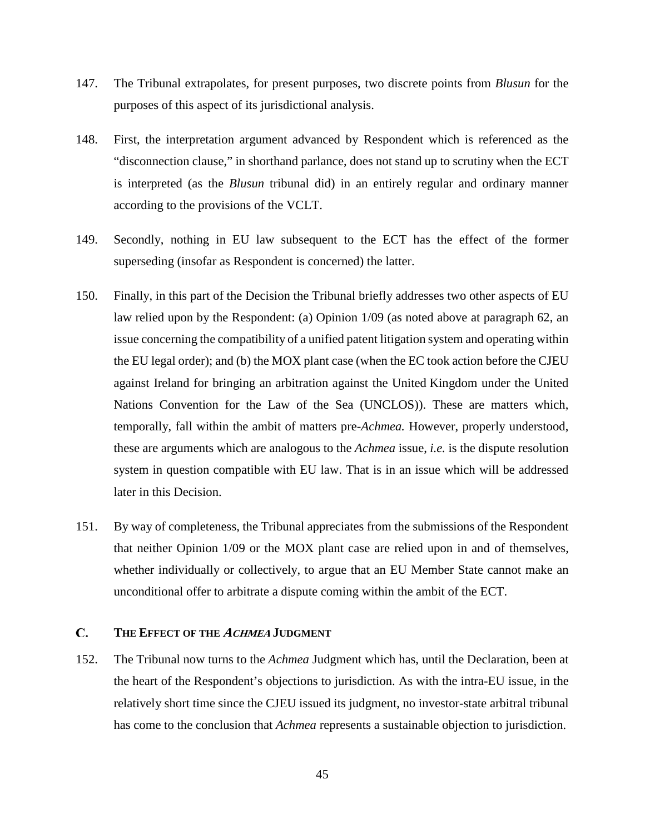- 147. The Tribunal extrapolates, for present purposes, two discrete points from *Blusun* for the purposes of this aspect of its jurisdictional analysis.
- 148. First, the interpretation argument advanced by Respondent which is referenced as the "disconnection clause," in shorthand parlance, does not stand up to scrutiny when the ECT is interpreted (as the *Blusun* tribunal did) in an entirely regular and ordinary manner according to the provisions of the VCLT.
- 149. Secondly, nothing in EU law subsequent to the ECT has the effect of the former superseding (insofar as Respondent is concerned) the latter.
- 150. Finally, in this part of the Decision the Tribunal briefly addresses two other aspects of EU law relied upon by the Respondent: (a) Opinion 1/09 (as noted above at paragraph 62, an issue concerning the compatibility of a unified patent litigation system and operating within the EU legal order); and (b) the MOX plant case (when the EC took action before the CJEU against Ireland for bringing an arbitration against the United Kingdom under the United Nations Convention for the Law of the Sea (UNCLOS)). These are matters which, temporally, fall within the ambit of matters pre-*Achmea.* However, properly understood, these are arguments which are analogous to the *Achmea* issue, *i.e.* is the dispute resolution system in question compatible with EU law. That is in an issue which will be addressed later in this Decision.
- 151. By way of completeness, the Tribunal appreciates from the submissions of the Respondent that neither Opinion 1/09 or the MOX plant case are relied upon in and of themselves, whether individually or collectively, to argue that an EU Member State cannot make an unconditional offer to arbitrate a dispute coming within the ambit of the ECT.

## $\mathbf{C}$ . **THE EFFECT OF THE ACHMEA JUDGMENT**

152. The Tribunal now turns to the *Achmea* Judgment which has, until the Declaration, been at the heart of the Respondent's objections to jurisdiction. As with the intra-EU issue, in the relatively short time since the CJEU issued its judgment, no investor-state arbitral tribunal has come to the conclusion that *Achmea* represents a sustainable objection to jurisdiction.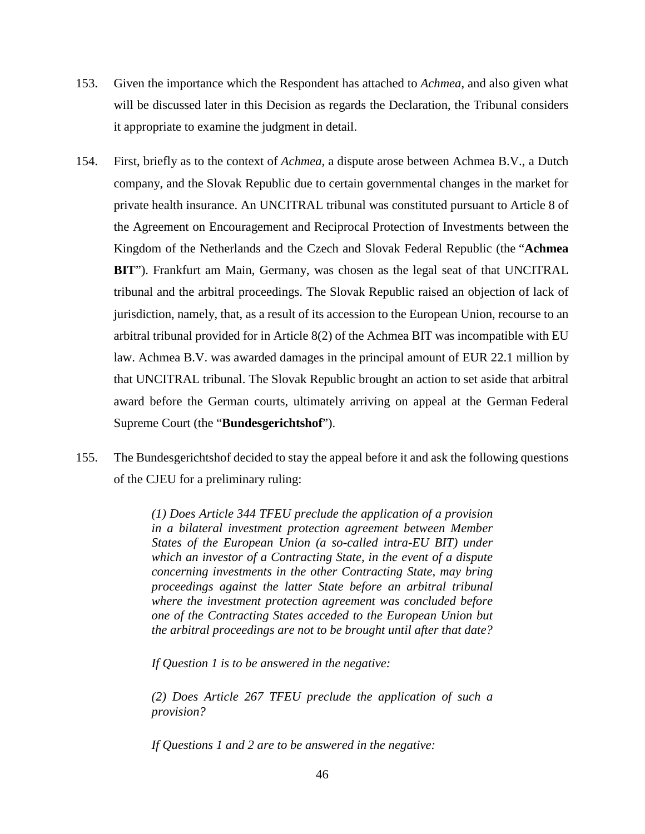- 153. Given the importance which the Respondent has attached to *Achmea*, and also given what will be discussed later in this Decision as regards the Declaration, the Tribunal considers it appropriate to examine the judgment in detail.
- 154. First, briefly as to the context of *Achmea*, a dispute arose between Achmea B.V., a Dutch company, and the Slovak Republic due to certain governmental changes in the market for private health insurance. An UNCITRAL tribunal was constituted pursuant to Article 8 of the Agreement on Encouragement and Reciprocal Protection of Investments between the Kingdom of the Netherlands and the Czech and Slovak Federal Republic (the "**Achmea BIT**"). Frankfurt am Main, Germany, was chosen as the legal seat of that UNCITRAL tribunal and the arbitral proceedings. The Slovak Republic raised an objection of lack of jurisdiction, namely, that, as a result of its accession to the European Union, recourse to an arbitral tribunal provided for in Article 8(2) of the Achmea BIT was incompatible with EU law. Achmea B.V. was awarded damages in the principal amount of EUR 22.1 million by that UNCITRAL tribunal. The Slovak Republic brought an action to set aside that arbitral award before the German courts, ultimately arriving on appeal at the German Federal Supreme Court (the "**Bundesgerichtshof**").
- 155. The Bundesgerichtshof decided to stay the appeal before it and ask the following questions of the CJEU for a preliminary ruling:

*(1) Does Article 344 TFEU preclude the application of a provision in a bilateral investment protection agreement between Member States of the European Union (a so-called intra-EU BIT) under which an investor of a Contracting State, in the event of a dispute concerning investments in the other Contracting State, may bring proceedings against the latter State before an arbitral tribunal where the investment protection agreement was concluded before one of the Contracting States acceded to the European Union but the arbitral proceedings are not to be brought until after that date?*

*If Question 1 is to be answered in the negative:*

*(2) Does Article 267 TFEU preclude the application of such a provision?*

*If Questions 1 and 2 are to be answered in the negative:*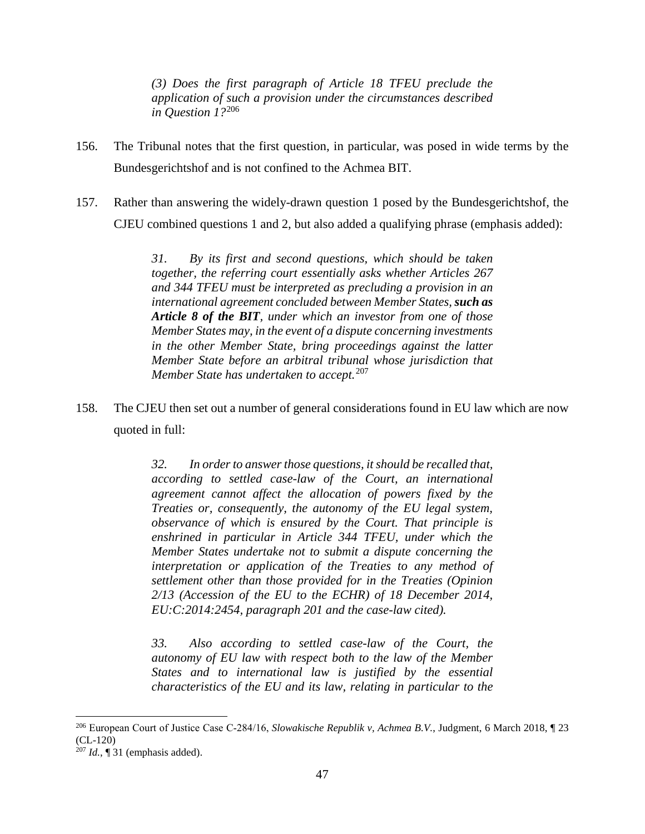*(3) Does the first paragraph of Article 18 TFEU preclude the application of such a provision under the circumstances described in Question 1?*<sup>206</sup>

- 156. The Tribunal notes that the first question, in particular, was posed in wide terms by the Bundesgerichtshof and is not confined to the Achmea BIT.
- 157. Rather than answering the widely-drawn question 1 posed by the Bundesgerichtshof, the CJEU combined questions 1 and 2, but also added a qualifying phrase (emphasis added):

*31. By its first and second questions, which should be taken together, the referring court essentially asks whether Articles 267 and 344 TFEU must be interpreted as precluding a provision in an international agreement concluded between Member States, such as Article 8 of the BIT, under which an investor from one of those Member States may, in the event of a dispute concerning investments in the other Member State, bring proceedings against the latter Member State before an arbitral tribunal whose jurisdiction that Member State has undertaken to accept.*<sup>207</sup>

158. The CJEU then set out a number of general considerations found in EU law which are now quoted in full:

> *32. In order to answer those questions, it should be recalled that, according to settled case-law of the Court, an international agreement cannot affect the allocation of powers fixed by the Treaties or, consequently, the autonomy of the EU legal system, observance of which is ensured by the Court. That principle is enshrined in particular in Article 344 TFEU, under which the Member States undertake not to submit a dispute concerning the interpretation or application of the Treaties to any method of settlement other than those provided for in the Treaties (Opinion 2/13 (Accession of the EU to the ECHR) of 18 December 2014, EU:C:2014:2454, paragraph 201 and the case-law cited).*

> *33. Also according to settled case-law of the Court, the autonomy of EU law with respect both to the law of the Member States and to international law is justified by the essential characteristics of the EU and its law, relating in particular to the*

 <sup>206</sup> European Court of Justice Case C‐284/16, *Slowakische Republik v, Achmea B.V.*, Judgment, 6 March 2018, ¶ 23  $(CL-120)$ 

<sup>207</sup> *Id.*, ¶ 31 (emphasis added).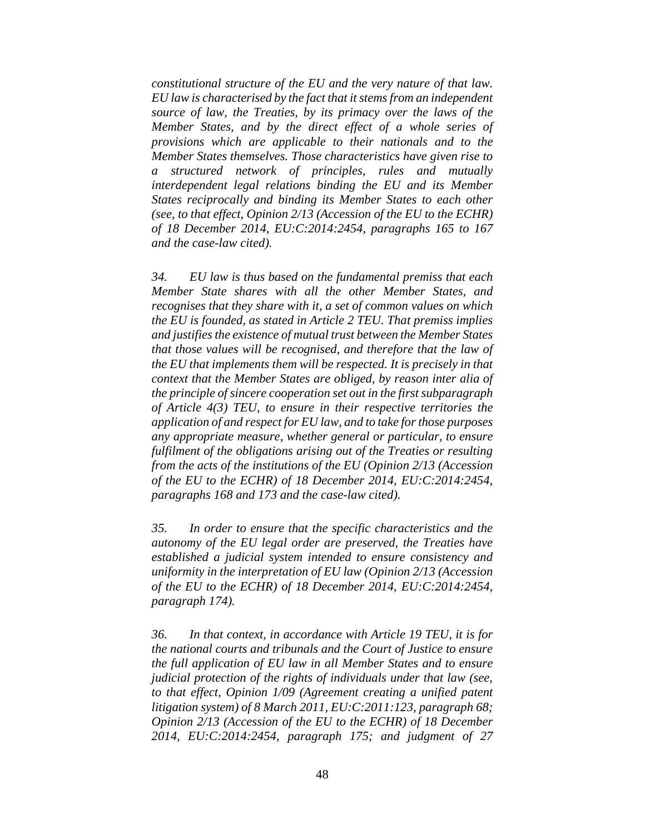*constitutional structure of the EU and the very nature of that law. EU law is characterised by the fact that it stems from an independent source of law, the Treaties, by its primacy over the laws of the Member States, and by the direct effect of a whole series of provisions which are applicable to their nationals and to the Member States themselves. Those characteristics have given rise to a structured network of principles, rules and mutually interdependent legal relations binding the EU and its Member States reciprocally and binding its Member States to each other (see, to that effect, Opinion 2/13 (Accession of the EU to the ECHR) of 18 December 2014, EU:C:2014:2454, paragraphs 165 to 167 and the case-law cited).*

*34. EU law is thus based on the fundamental premiss that each Member State shares with all the other Member States, and recognises that they share with it, a set of common values on which the EU is founded, as stated in Article 2 TEU. That premiss implies and justifies the existence of mutual trust between the Member States that those values will be recognised, and therefore that the law of the EU that implements them will be respected. It is precisely in that context that the Member States are obliged, by reason inter alia of the principle of sincere cooperation set out in the first subparagraph of Article 4(3) TEU, to ensure in their respective territories the application of and respect for EU law, and to take for those purposes any appropriate measure, whether general or particular, to ensure fulfilment of the obligations arising out of the Treaties or resulting from the acts of the institutions of the EU (Opinion 2/13 (Accession of the EU to the ECHR) of 18 December 2014, EU:C:2014:2454, paragraphs 168 and 173 and the case-law cited).*

*35. In order to ensure that the specific characteristics and the autonomy of the EU legal order are preserved, the Treaties have established a judicial system intended to ensure consistency and uniformity in the interpretation of EU law (Opinion 2/13 (Accession of the EU to the ECHR) of 18 December 2014, EU:C:2014:2454, paragraph 174).*

*36. In that context, in accordance with Article 19 TEU, it is for the national courts and tribunals and the Court of Justice to ensure the full application of EU law in all Member States and to ensure judicial protection of the rights of individuals under that law (see, to that effect, Opinion 1/09 (Agreement creating a unified patent litigation system) of 8 March 2011, EU:C:2011:123, paragraph 68; Opinion 2/13 (Accession of the EU to the ECHR) of 18 December 2014, EU:C:2014:2454, paragraph 175; and judgment of 27*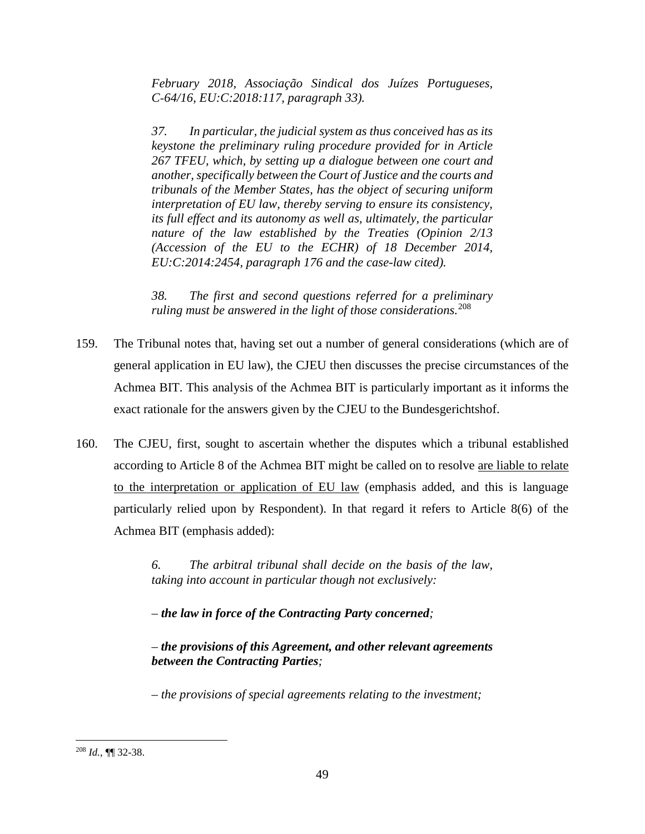*February 2018, Associação Sindical dos Juízes Portugueses, C‑64/16, EU:C:2018:117, paragraph 33).*

*37. In particular, the judicial system as thus conceived has as its keystone the preliminary ruling procedure provided for in Article 267 TFEU, which, by setting up a dialogue between one court and another, specifically between the Court of Justice and the courts and tribunals of the Member States, has the object of securing uniform interpretation of EU law, thereby serving to ensure its consistency, its full effect and its autonomy as well as, ultimately, the particular nature of the law established by the Treaties (Opinion 2/13 (Accession of the EU to the ECHR) of 18 December 2014, EU:C:2014:2454, paragraph 176 and the case-law cited).*

*38. The first and second questions referred for a preliminary ruling must be answered in the light of those considerations.*<sup>208</sup>

- 159. The Tribunal notes that, having set out a number of general considerations (which are of general application in EU law), the CJEU then discusses the precise circumstances of the Achmea BIT. This analysis of the Achmea BIT is particularly important as it informs the exact rationale for the answers given by the CJEU to the Bundesgerichtshof.
- 160. The CJEU, first, sought to ascertain whether the disputes which a tribunal established according to Article 8 of the Achmea BIT might be called on to resolve are liable to relate to the interpretation or application of EU law (emphasis added, and this is language particularly relied upon by Respondent). In that regard it refers to Article 8(6) of the Achmea BIT (emphasis added):

*6. The arbitral tribunal shall decide on the basis of the law, taking into account in particular though not exclusively:*

*– the law in force of the Contracting Party concerned;*

*– the provisions of this Agreement, and other relevant agreements between the Contracting Parties;*

*– the provisions of special agreements relating to the investment;*

 <sup>208</sup> *Id.*, ¶¶ 32-38.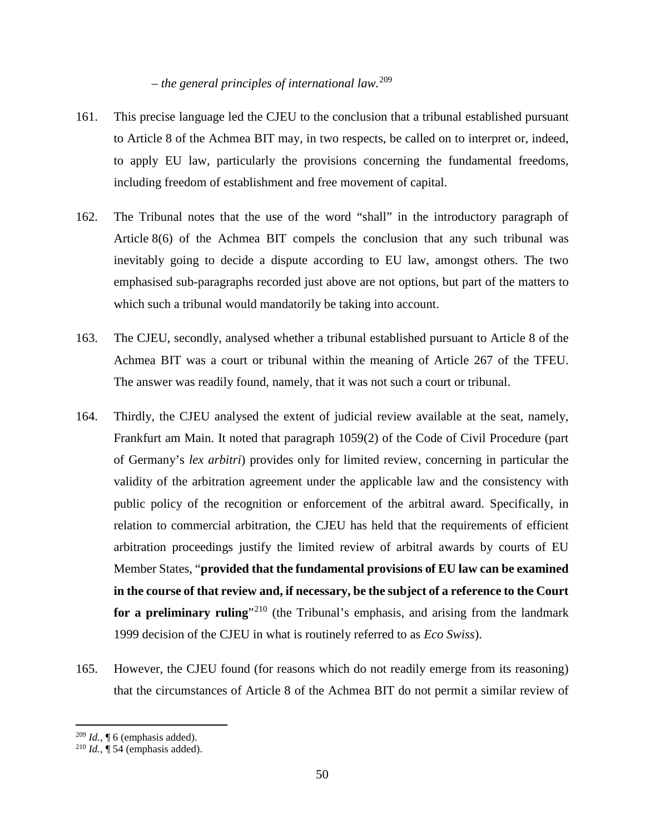# *– the general principles of international law.*<sup>209</sup>

- 161. This precise language led the CJEU to the conclusion that a tribunal established pursuant to Article 8 of the Achmea BIT may, in two respects, be called on to interpret or, indeed, to apply EU law, particularly the provisions concerning the fundamental freedoms, including freedom of establishment and free movement of capital.
- 162. The Tribunal notes that the use of the word "shall" in the introductory paragraph of Article 8(6) of the Achmea BIT compels the conclusion that any such tribunal was inevitably going to decide a dispute according to EU law, amongst others. The two emphasised sub-paragraphs recorded just above are not options, but part of the matters to which such a tribunal would mandatorily be taking into account.
- 163. The CJEU, secondly, analysed whether a tribunal established pursuant to Article 8 of the Achmea BIT was a court or tribunal within the meaning of Article 267 of the TFEU. The answer was readily found, namely, that it was not such a court or tribunal.
- 164. Thirdly, the CJEU analysed the extent of judicial review available at the seat, namely, Frankfurt am Main. It noted that paragraph 1059(2) of the Code of Civil Procedure (part of Germany's *lex arbitri*) provides only for limited review, concerning in particular the validity of the arbitration agreement under the applicable law and the consistency with public policy of the recognition or enforcement of the arbitral award. Specifically, in relation to commercial arbitration, the CJEU has held that the requirements of efficient arbitration proceedings justify the limited review of arbitral awards by courts of EU Member States, "**provided that the fundamental provisions of EU law can be examined in the course of that review and, if necessary, be the subject of a reference to the Court for a preliminary ruling**<sup>"210</sup> (the Tribunal's emphasis, and arising from the landmark 1999 decision of the CJEU in what is routinely referred to as *Eco Swiss*).
- 165. However, the CJEU found (for reasons which do not readily emerge from its reasoning) that the circumstances of Article 8 of the Achmea BIT do not permit a similar review of

 $^{209}$  *Id.*,  $\llbracket$  6 (emphasis added).

 $^{210}$  *Id.*,  $\mathbf{\overline{4}}$  54 (emphasis added).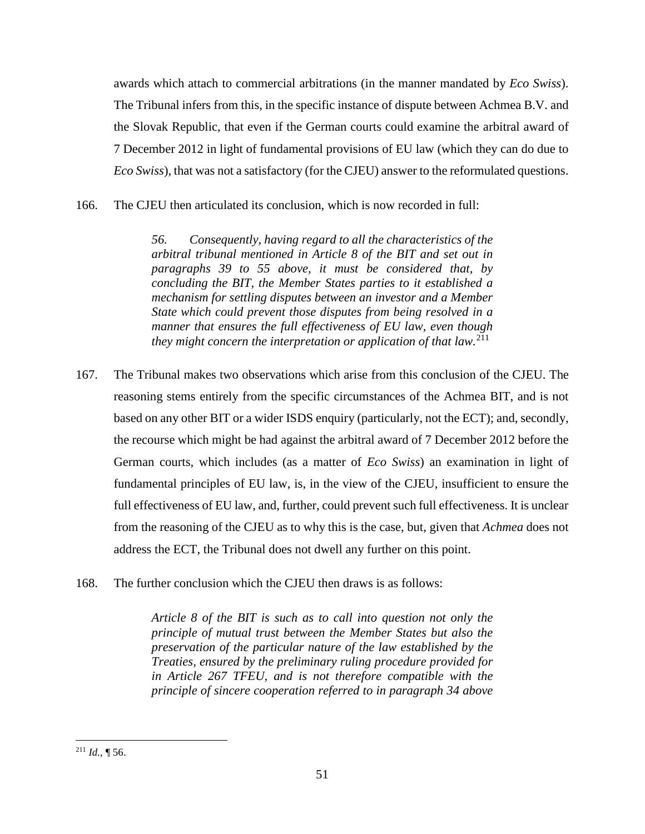awards which attach to commercial arbitrations (in the manner mandated by *Eco Swiss*). The Tribunal infers from this, in the specific instance of dispute between Achmea B.V. and the Slovak Republic, that even if the German courts could examine the arbitral award of 7 December 2012 in light of fundamental provisions of EU law (which they can do due to *Eco Swiss*), that was not a satisfactory (for the CJEU) answer to the reformulated questions.

166. The CJEU then articulated its conclusion, which is now recorded in full:

*56. Consequently, having regard to all the characteristics of the arbitral tribunal mentioned in Article 8 of the BIT and set out in paragraphs 39 to 55 above, it must be considered that, by concluding the BIT, the Member States parties to it established a mechanism for settling disputes between an investor and a Member State which could prevent those disputes from being resolved in a manner that ensures the full effectiveness of EU law, even though they might concern the interpretation or application of that law.*<sup>211</sup>

- 167. The Tribunal makes two observations which arise from this conclusion of the CJEU. The reasoning stems entirely from the specific circumstances of the Achmea BIT, and is not based on any other BIT or a wider ISDS enquiry (particularly, not the ECT); and, secondly, the recourse which might be had against the arbitral award of 7 December 2012 before the German courts, which includes (as a matter of *Eco Swiss*) an examination in light of fundamental principles of EU law, is, in the view of the CJEU, insufficient to ensure the full effectiveness of EU law, and, further, could prevent such full effectiveness. It is unclear from the reasoning of the CJEU as to why this is the case, but, given that *Achmea* does not address the ECT, the Tribunal does not dwell any further on this point.
- 168. The further conclusion which the CJEU then draws is as follows:

*Article 8 of the BIT is such as to call into question not only the principle of mutual trust between the Member States but also the preservation of the particular nature of the law established by the Treaties, ensured by the preliminary ruling procedure provided for in Article 267 TFEU, and is not therefore compatible with the principle of sincere cooperation referred to in paragraph 34 above*

<sup>&</sup>lt;sup>211</sup> *Id.*, ¶ 56.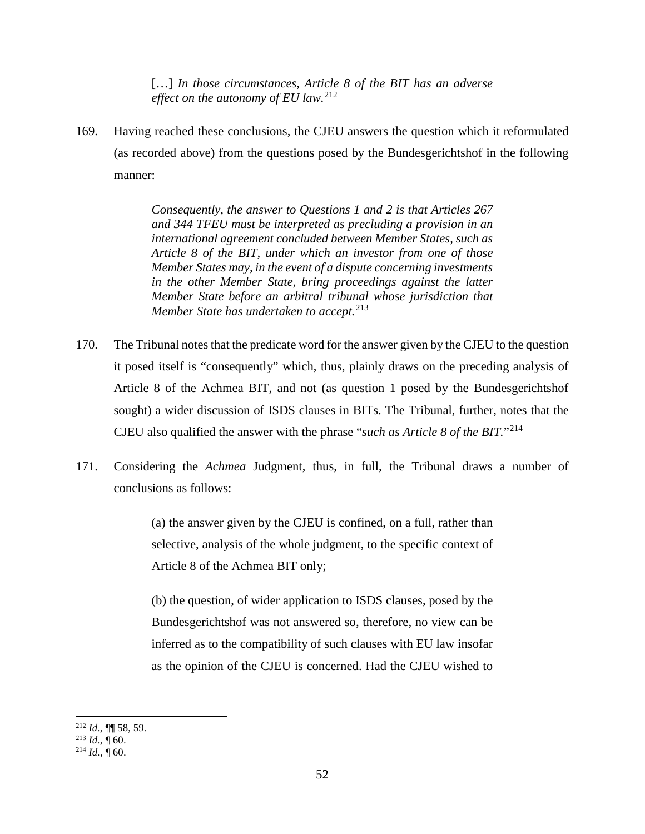[...] *In those circumstances, Article 8 of the BIT has an adverse effect on the autonomy of EU law.*<sup>212</sup>

169. Having reached these conclusions, the CJEU answers the question which it reformulated (as recorded above) from the questions posed by the Bundesgerichtshof in the following manner:

> *Consequently, the answer to Questions 1 and 2 is that Articles 267 and 344 TFEU must be interpreted as precluding a provision in an international agreement concluded between Member States, such as Article 8 of the BIT, under which an investor from one of those Member States may, in the event of a dispute concerning investments in the other Member State, bring proceedings against the latter Member State before an arbitral tribunal whose jurisdiction that Member State has undertaken to accept.*<sup>213</sup>

- 170. The Tribunal notes that the predicate word for the answer given by the CJEU to the question it posed itself is "consequently" which, thus, plainly draws on the preceding analysis of Article 8 of the Achmea BIT, and not (as question 1 posed by the Bundesgerichtshof sought) a wider discussion of ISDS clauses in BITs. The Tribunal, further, notes that the CJEU also qualified the answer with the phrase "*such as Article 8 of the BIT.*"<sup>214</sup>
- 171. Considering the *Achmea* Judgment, thus, in full, the Tribunal draws a number of conclusions as follows:

(a) the answer given by the CJEU is confined, on a full, rather than selective, analysis of the whole judgment, to the specific context of Article 8 of the Achmea BIT only;

(b) the question, of wider application to ISDS clauses, posed by the Bundesgerichtshof was not answered so, therefore, no view can be inferred as to the compatibility of such clauses with EU law insofar as the opinion of the CJEU is concerned. Had the CJEU wished to

 <sup>212</sup> *Id.*, ¶¶ 58, 59.

 $^{213}$  *Id.*, ¶ 60.

 $^{214}$  *Id.*,  $\dot{$  60.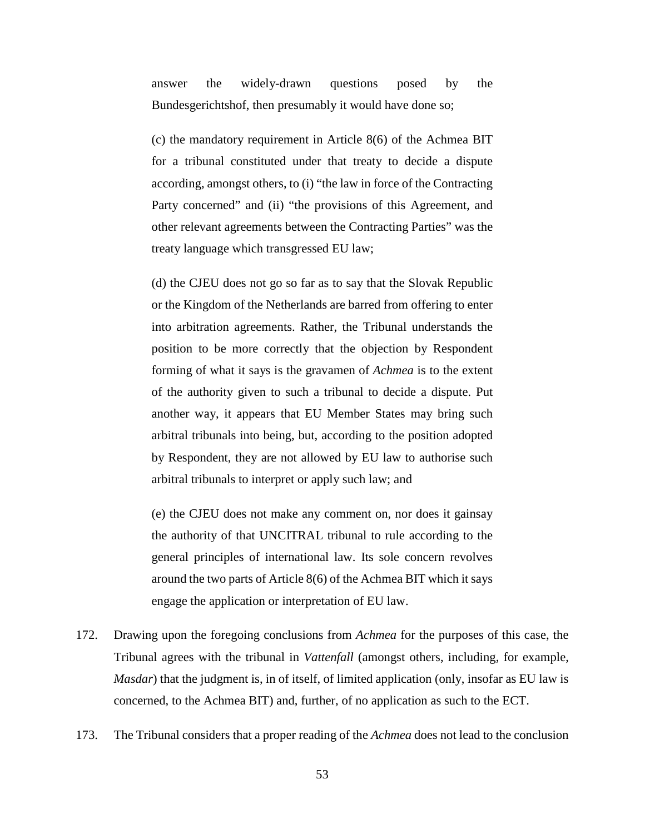answer the widely-drawn questions posed by the Bundesgerichtshof, then presumably it would have done so;

(c) the mandatory requirement in Article 8(6) of the Achmea BIT for a tribunal constituted under that treaty to decide a dispute according, amongst others, to (i) "the law in force of the Contracting Party concerned" and (ii) "the provisions of this Agreement, and other relevant agreements between the Contracting Parties" was the treaty language which transgressed EU law;

(d) the CJEU does not go so far as to say that the Slovak Republic or the Kingdom of the Netherlands are barred from offering to enter into arbitration agreements. Rather, the Tribunal understands the position to be more correctly that the objection by Respondent forming of what it says is the gravamen of *Achmea* is to the extent of the authority given to such a tribunal to decide a dispute. Put another way, it appears that EU Member States may bring such arbitral tribunals into being, but, according to the position adopted by Respondent, they are not allowed by EU law to authorise such arbitral tribunals to interpret or apply such law; and

(e) the CJEU does not make any comment on, nor does it gainsay the authority of that UNCITRAL tribunal to rule according to the general principles of international law. Its sole concern revolves around the two parts of Article 8(6) of the Achmea BIT which it says engage the application or interpretation of EU law.

- 172. Drawing upon the foregoing conclusions from *Achmea* for the purposes of this case, the Tribunal agrees with the tribunal in *Vattenfall* (amongst others, including, for example, *Masdar*) that the judgment is, in of itself, of limited application (only, insofar as EU law is concerned, to the Achmea BIT) and, further, of no application as such to the ECT.
- 173. The Tribunal considers that a proper reading of the *Achmea* does not lead to the conclusion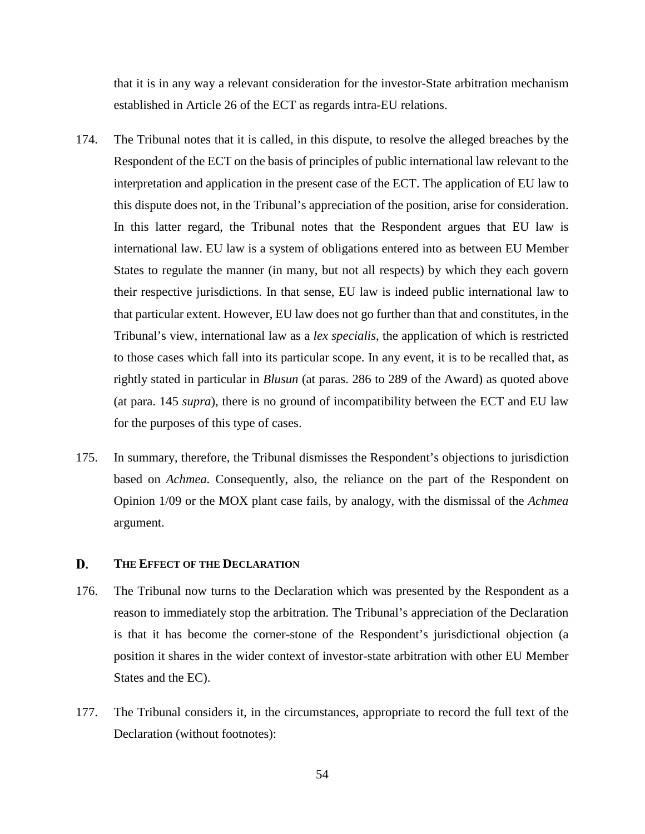that it is in any way a relevant consideration for the investor-State arbitration mechanism established in Article 26 of the ECT as regards intra-EU relations.

- 174. The Tribunal notes that it is called, in this dispute, to resolve the alleged breaches by the Respondent of the ECT on the basis of principles of public international law relevant to the interpretation and application in the present case of the ECT. The application of EU law to this dispute does not, in the Tribunal's appreciation of the position, arise for consideration. In this latter regard, the Tribunal notes that the Respondent argues that EU law is international law. EU law is a system of obligations entered into as between EU Member States to regulate the manner (in many, but not all respects) by which they each govern their respective jurisdictions. In that sense, EU law is indeed public international law to that particular extent. However, EU law does not go further than that and constitutes, in the Tribunal's view, international law as a *lex specialis*, the application of which is restricted to those cases which fall into its particular scope. In any event, it is to be recalled that, as rightly stated in particular in *Blusun* (at paras. 286 to 289 of the Award) as quoted above (at para. 145 *supra*), there is no ground of incompatibility between the ECT and EU law for the purposes of this type of cases.
- 175. In summary, therefore, the Tribunal dismisses the Respondent's objections to jurisdiction based on *Achmea.* Consequently, also, the reliance on the part of the Respondent on Opinion 1/09 or the MOX plant case fails, by analogy, with the dismissal of the *Achmea*  argument.

#### D. **THE EFFECT OF THE DECLARATION**

- 176. The Tribunal now turns to the Declaration which was presented by the Respondent as a reason to immediately stop the arbitration. The Tribunal's appreciation of the Declaration is that it has become the corner-stone of the Respondent's jurisdictional objection (a position it shares in the wider context of investor-state arbitration with other EU Member States and the EC).
- 177. The Tribunal considers it, in the circumstances, appropriate to record the full text of the Declaration (without footnotes):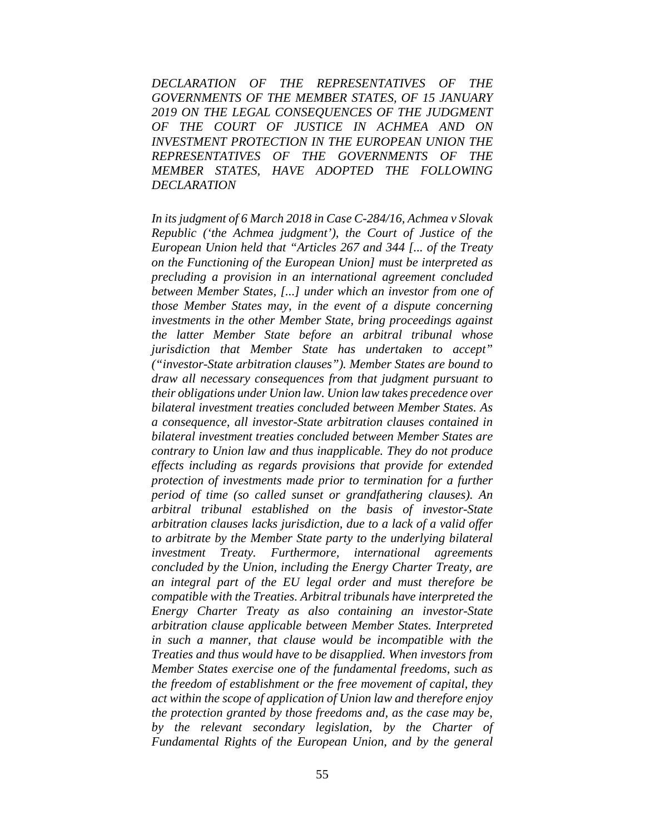*DECLARATION OF THE REPRESENTATIVES OF THE GOVERNMENTS OF THE MEMBER STATES, OF 15 JANUARY 2019 ON THE LEGAL CONSEQUENCES OF THE JUDGMENT OF THE COURT OF JUSTICE IN ACHMEA AND ON INVESTMENT PROTECTION IN THE EUROPEAN UNION THE REPRESENTATIVES OF THE GOVERNMENTS OF THE MEMBER STATES, HAVE ADOPTED THE FOLLOWING DECLARATION* 

*In its judgment of 6 March 2018 in Case C-284/16, Achmea v Slovak Republic ('the Achmea judgment'), the Court of Justice of the European Union held that "Articles 267 and 344 [... of the Treaty on the Functioning of the European Union] must be interpreted as precluding a provision in an international agreement concluded between Member States, [...] under which an investor from one of those Member States may, in the event of a dispute concerning investments in the other Member State, bring proceedings against the latter Member State before an arbitral tribunal whose jurisdiction that Member State has undertaken to accept" ("investor-State arbitration clauses"). Member States are bound to draw all necessary consequences from that judgment pursuant to their obligations under Union law. Union law takes precedence over bilateral investment treaties concluded between Member States. As a consequence, all investor-State arbitration clauses contained in bilateral investment treaties concluded between Member States are contrary to Union law and thus inapplicable. They do not produce effects including as regards provisions that provide for extended protection of investments made prior to termination for a further period of time (so called sunset or grandfathering clauses). An arbitral tribunal established on the basis of investor-State arbitration clauses lacks jurisdiction, due to a lack of a valid offer to arbitrate by the Member State party to the underlying bilateral investment Treaty. Furthermore, international agreements concluded by the Union, including the Energy Charter Treaty, are an integral part of the EU legal order and must therefore be compatible with the Treaties. Arbitral tribunals have interpreted the Energy Charter Treaty as also containing an investor-State arbitration clause applicable between Member States. Interpreted in such a manner, that clause would be incompatible with the Treaties and thus would have to be disapplied. When investors from Member States exercise one of the fundamental freedoms, such as the freedom of establishment or the free movement of capital, they act within the scope of application of Union law and therefore enjoy the protection granted by those freedoms and, as the case may be, by the relevant secondary legislation, by the Charter of Fundamental Rights of the European Union, and by the general*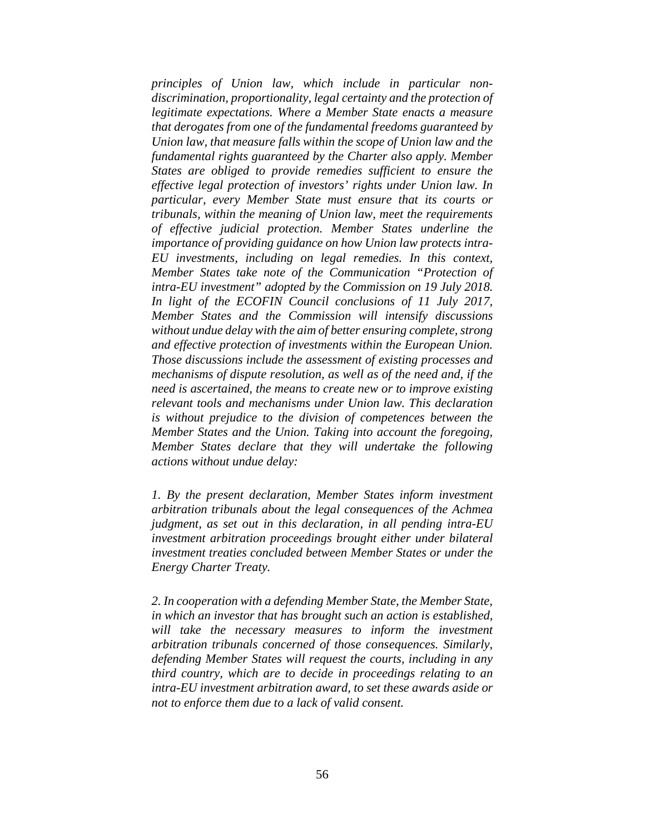*principles of Union law, which include in particular nondiscrimination, proportionality, legal certainty and the protection of legitimate expectations. Where a Member State enacts a measure that derogates from one of the fundamental freedoms guaranteed by Union law, that measure falls within the scope of Union law and the fundamental rights guaranteed by the Charter also apply. Member States are obliged to provide remedies sufficient to ensure the effective legal protection of investors' rights under Union law. In particular, every Member State must ensure that its courts or tribunals, within the meaning of Union law, meet the requirements of effective judicial protection. Member States underline the importance of providing guidance on how Union law protects intra-EU investments, including on legal remedies. In this context, Member States take note of the Communication "Protection of intra-EU investment" adopted by the Commission on 19 July 2018. In light of the ECOFIN Council conclusions of 11 July 2017, Member States and the Commission will intensify discussions without undue delay with the aim of better ensuring complete, strong and effective protection of investments within the European Union. Those discussions include the assessment of existing processes and mechanisms of dispute resolution, as well as of the need and, if the need is ascertained, the means to create new or to improve existing relevant tools and mechanisms under Union law. This declaration is without prejudice to the division of competences between the Member States and the Union. Taking into account the foregoing, Member States declare that they will undertake the following actions without undue delay:* 

*1. By the present declaration, Member States inform investment arbitration tribunals about the legal consequences of the Achmea judgment, as set out in this declaration, in all pending intra-EU investment arbitration proceedings brought either under bilateral investment treaties concluded between Member States or under the Energy Charter Treaty.* 

*2. In cooperation with a defending Member State, the Member State, in which an investor that has brought such an action is established,*  will take the necessary measures to inform the investment *arbitration tribunals concerned of those consequences. Similarly, defending Member States will request the courts, including in any third country, which are to decide in proceedings relating to an intra-EU investment arbitration award, to set these awards aside or not to enforce them due to a lack of valid consent.*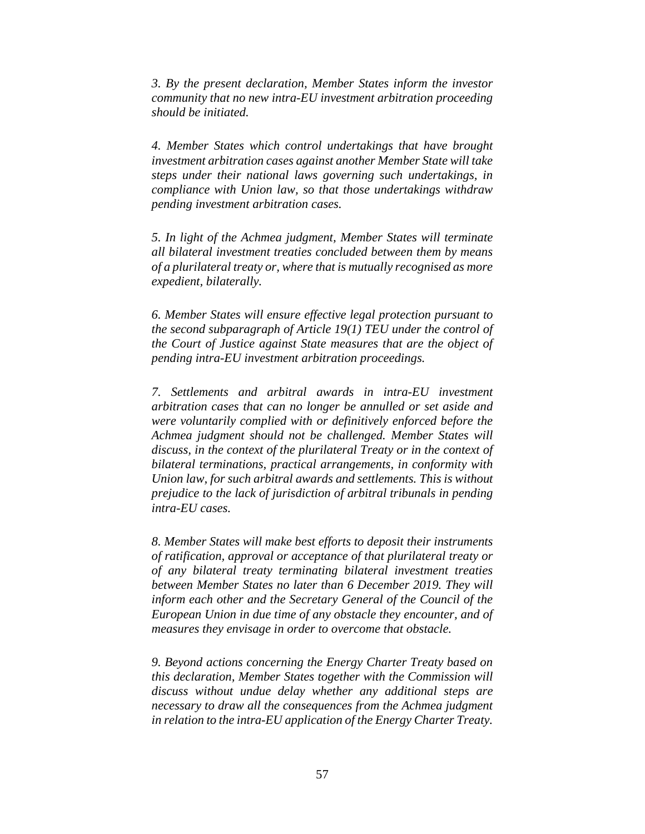*3. By the present declaration, Member States inform the investor community that no new intra-EU investment arbitration proceeding should be initiated.* 

*4. Member States which control undertakings that have brought investment arbitration cases against another Member State will take steps under their national laws governing such undertakings, in compliance with Union law, so that those undertakings withdraw pending investment arbitration cases.* 

*5. In light of the Achmea judgment, Member States will terminate all bilateral investment treaties concluded between them by means of a plurilateral treaty or, where that is mutually recognised as more expedient, bilaterally.* 

*6. Member States will ensure effective legal protection pursuant to the second subparagraph of Article 19(1) TEU under the control of the Court of Justice against State measures that are the object of pending intra-EU investment arbitration proceedings.* 

*7. Settlements and arbitral awards in intra-EU investment arbitration cases that can no longer be annulled or set aside and were voluntarily complied with or definitively enforced before the Achmea judgment should not be challenged. Member States will discuss, in the context of the plurilateral Treaty or in the context of bilateral terminations, practical arrangements, in conformity with Union law, for such arbitral awards and settlements. This is without prejudice to the lack of jurisdiction of arbitral tribunals in pending intra-EU cases.* 

*8. Member States will make best efforts to deposit their instruments of ratification, approval or acceptance of that plurilateral treaty or of any bilateral treaty terminating bilateral investment treaties between Member States no later than 6 December 2019. They will inform each other and the Secretary General of the Council of the European Union in due time of any obstacle they encounter, and of measures they envisage in order to overcome that obstacle.* 

*9. Beyond actions concerning the Energy Charter Treaty based on this declaration, Member States together with the Commission will discuss without undue delay whether any additional steps are necessary to draw all the consequences from the Achmea judgment in relation to the intra-EU application of the Energy Charter Treaty.*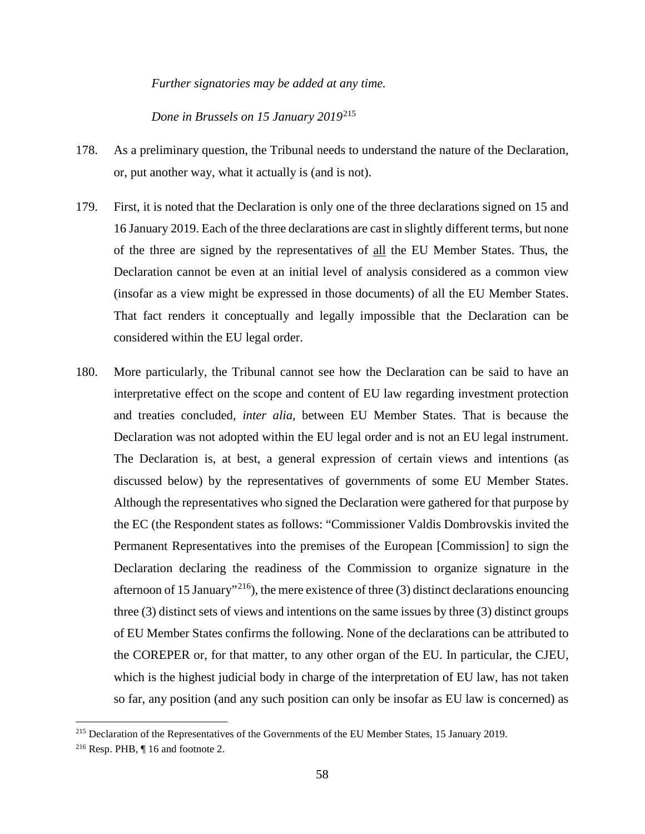*Further signatories may be added at any time.* 

*Done in Brussels on 15 January 2019*<sup>215</sup>

- 178. As a preliminary question, the Tribunal needs to understand the nature of the Declaration, or, put another way, what it actually is (and is not).
- 179. First, it is noted that the Declaration is only one of the three declarations signed on 15 and 16 January 2019. Each of the three declarations are cast in slightly different terms, but none of the three are signed by the representatives of all the EU Member States. Thus, the Declaration cannot be even at an initial level of analysis considered as a common view (insofar as a view might be expressed in those documents) of all the EU Member States. That fact renders it conceptually and legally impossible that the Declaration can be considered within the EU legal order.
- 180. More particularly, the Tribunal cannot see how the Declaration can be said to have an interpretative effect on the scope and content of EU law regarding investment protection and treaties concluded, *inter alia*, between EU Member States. That is because the Declaration was not adopted within the EU legal order and is not an EU legal instrument. The Declaration is, at best, a general expression of certain views and intentions (as discussed below) by the representatives of governments of some EU Member States. Although the representatives who signed the Declaration were gathered for that purpose by the EC (the Respondent states as follows: "Commissioner Valdis Dombrovskis invited the Permanent Representatives into the premises of the European [Commission] to sign the Declaration declaring the readiness of the Commission to organize signature in the afternoon of 15 January"<sup>216</sup>), the mere existence of three (3) distinct declarations enouncing three (3) distinct sets of views and intentions on the same issues by three (3) distinct groups of EU Member States confirms the following. None of the declarations can be attributed to the COREPER or, for that matter, to any other organ of the EU. In particular, the CJEU, which is the highest judicial body in charge of the interpretation of EU law, has not taken so far, any position (and any such position can only be insofar as EU law is concerned) as

<sup>&</sup>lt;sup>215</sup> Declaration of the Representatives of the Governments of the EU Member States, 15 January 2019.

<sup>&</sup>lt;sup>216</sup> Resp. PHB,  $\P$  16 and footnote 2.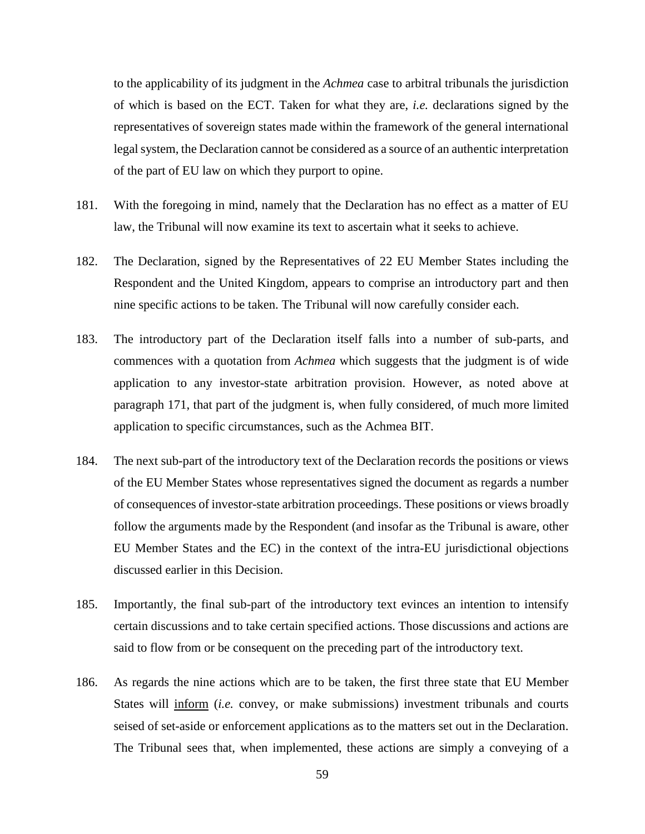to the applicability of its judgment in the *Achmea* case to arbitral tribunals the jurisdiction of which is based on the ECT. Taken for what they are, *i.e.* declarations signed by the representatives of sovereign states made within the framework of the general international legal system, the Declaration cannot be considered as a source of an authentic interpretation of the part of EU law on which they purport to opine.

- 181. With the foregoing in mind, namely that the Declaration has no effect as a matter of EU law, the Tribunal will now examine its text to ascertain what it seeks to achieve.
- 182. The Declaration, signed by the Representatives of 22 EU Member States including the Respondent and the United Kingdom, appears to comprise an introductory part and then nine specific actions to be taken. The Tribunal will now carefully consider each.
- 183. The introductory part of the Declaration itself falls into a number of sub-parts, and commences with a quotation from *Achmea* which suggests that the judgment is of wide application to any investor-state arbitration provision. However, as noted above at paragraph 171, that part of the judgment is, when fully considered, of much more limited application to specific circumstances, such as the Achmea BIT.
- 184. The next sub-part of the introductory text of the Declaration records the positions or views of the EU Member States whose representatives signed the document as regards a number of consequences of investor-state arbitration proceedings. These positions or views broadly follow the arguments made by the Respondent (and insofar as the Tribunal is aware, other EU Member States and the EC) in the context of the intra-EU jurisdictional objections discussed earlier in this Decision.
- 185. Importantly, the final sub-part of the introductory text evinces an intention to intensify certain discussions and to take certain specified actions. Those discussions and actions are said to flow from or be consequent on the preceding part of the introductory text.
- 186. As regards the nine actions which are to be taken, the first three state that EU Member States will *inform (i.e. convey, or make submissions)* investment tribunals and courts seised of set-aside or enforcement applications as to the matters set out in the Declaration. The Tribunal sees that, when implemented, these actions are simply a conveying of a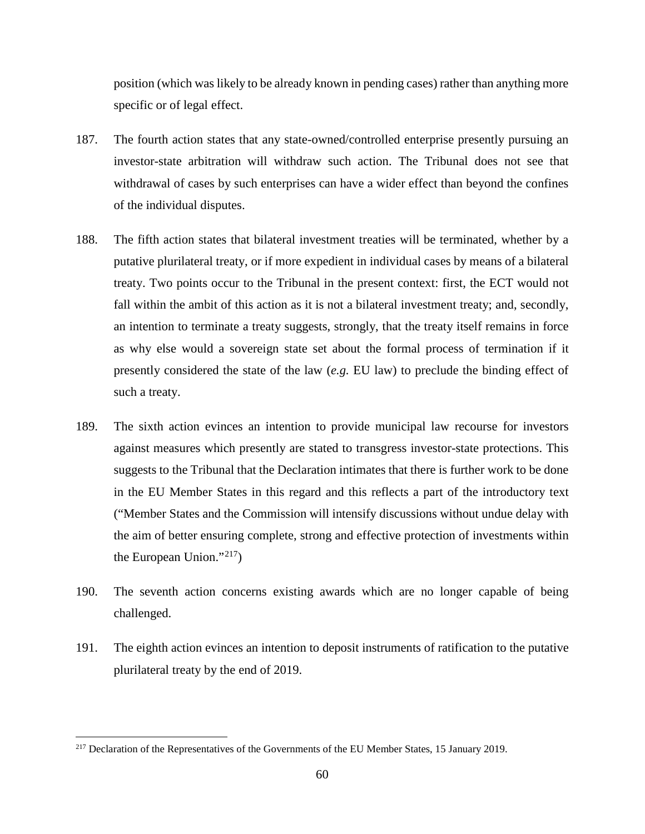position (which was likely to be already known in pending cases) rather than anything more specific or of legal effect.

- 187. The fourth action states that any state-owned/controlled enterprise presently pursuing an investor-state arbitration will withdraw such action. The Tribunal does not see that withdrawal of cases by such enterprises can have a wider effect than beyond the confines of the individual disputes.
- 188. The fifth action states that bilateral investment treaties will be terminated, whether by a putative plurilateral treaty, or if more expedient in individual cases by means of a bilateral treaty. Two points occur to the Tribunal in the present context: first, the ECT would not fall within the ambit of this action as it is not a bilateral investment treaty; and, secondly, an intention to terminate a treaty suggests, strongly, that the treaty itself remains in force as why else would a sovereign state set about the formal process of termination if it presently considered the state of the law (*e.g.* EU law) to preclude the binding effect of such a treaty.
- 189. The sixth action evinces an intention to provide municipal law recourse for investors against measures which presently are stated to transgress investor-state protections. This suggests to the Tribunal that the Declaration intimates that there is further work to be done in the EU Member States in this regard and this reflects a part of the introductory text ("Member States and the Commission will intensify discussions without undue delay with the aim of better ensuring complete, strong and effective protection of investments within the European Union."<sup>217</sup>)
- 190. The seventh action concerns existing awards which are no longer capable of being challenged.
- 191. The eighth action evinces an intention to deposit instruments of ratification to the putative plurilateral treaty by the end of 2019.

<sup>&</sup>lt;sup>217</sup> Declaration of the Representatives of the Governments of the EU Member States, 15 January 2019.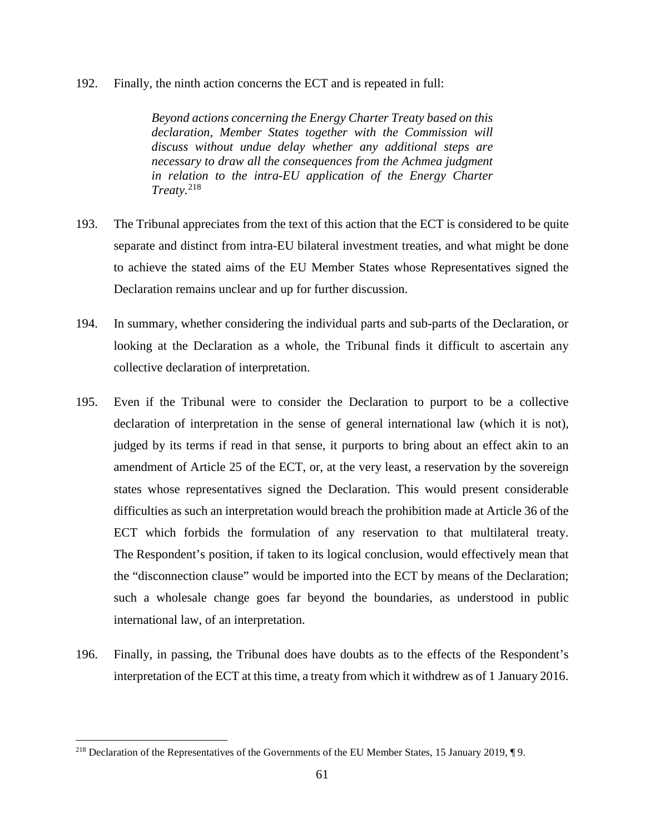192. Finally, the ninth action concerns the ECT and is repeated in full:

*Beyond actions concerning the Energy Charter Treaty based on this declaration, Member States together with the Commission will discuss without undue delay whether any additional steps are necessary to draw all the consequences from the Achmea judgment in relation to the intra-EU application of the Energy Charter Treaty.*<sup>218</sup>

- 193. The Tribunal appreciates from the text of this action that the ECT is considered to be quite separate and distinct from intra-EU bilateral investment treaties, and what might be done to achieve the stated aims of the EU Member States whose Representatives signed the Declaration remains unclear and up for further discussion.
- 194. In summary, whether considering the individual parts and sub-parts of the Declaration, or looking at the Declaration as a whole, the Tribunal finds it difficult to ascertain any collective declaration of interpretation.
- 195. Even if the Tribunal were to consider the Declaration to purport to be a collective declaration of interpretation in the sense of general international law (which it is not), judged by its terms if read in that sense, it purports to bring about an effect akin to an amendment of Article 25 of the ECT, or, at the very least, a reservation by the sovereign states whose representatives signed the Declaration. This would present considerable difficulties as such an interpretation would breach the prohibition made at Article 36 of the ECT which forbids the formulation of any reservation to that multilateral treaty. The Respondent's position, if taken to its logical conclusion, would effectively mean that the "disconnection clause" would be imported into the ECT by means of the Declaration; such a wholesale change goes far beyond the boundaries, as understood in public international law, of an interpretation.
- 196. Finally, in passing, the Tribunal does have doubts as to the effects of the Respondent's interpretation of the ECT at this time, a treaty from which it withdrew as of 1 January 2016.

 <sup>218</sup> Declaration of the Representatives of the Governments of the EU Member States, 15 January 2019, ¶ 9.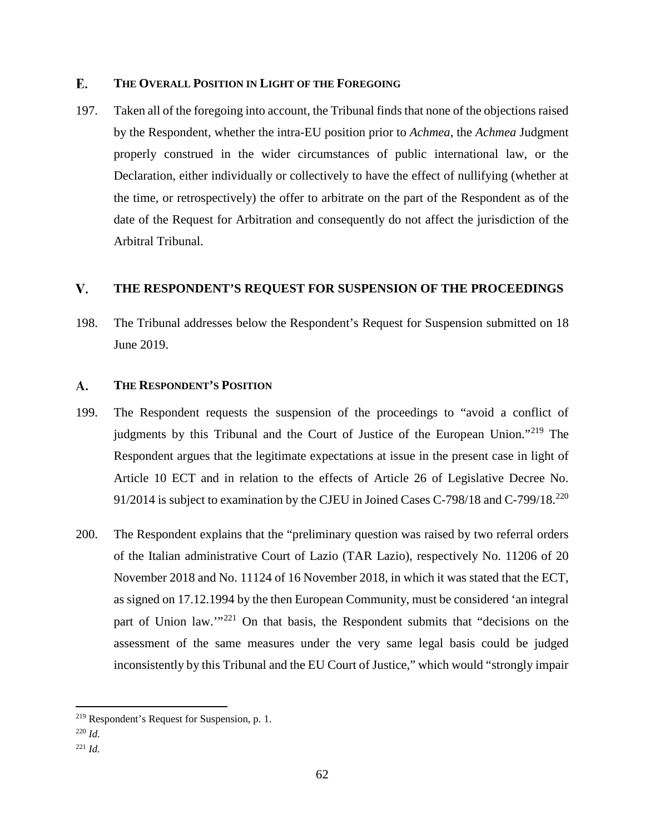## E. **THE OVERALL POSITION IN LIGHT OF THE FOREGOING**

197. Taken all of the foregoing into account, the Tribunal finds that none of the objections raised by the Respondent, whether the intra-EU position prior to *Achmea*, the *Achmea* Judgment properly construed in the wider circumstances of public international law, or the Declaration, either individually or collectively to have the effect of nullifying (whether at the time, or retrospectively) the offer to arbitrate on the part of the Respondent as of the date of the Request for Arbitration and consequently do not affect the jurisdiction of the Arbitral Tribunal.

#### V. **THE RESPONDENT'S REQUEST FOR SUSPENSION OF THE PROCEEDINGS**

198. The Tribunal addresses below the Respondent's Request for Suspension submitted on 18 June 2019.

#### A. **THE RESPONDENT'S POSITION**

- 199. The Respondent requests the suspension of the proceedings to "avoid a conflict of judgments by this Tribunal and the Court of Justice of the European Union."<sup>219</sup> The Respondent argues that the legitimate expectations at issue in the present case in light of Article 10 ECT and in relation to the effects of Article 26 of Legislative Decree No. 91/2014 is subject to examination by the CJEU in Joined Cases C-798/18 and C-799/18.<sup>220</sup>
- 200. The Respondent explains that the "preliminary question was raised by two referral orders of the Italian administrative Court of Lazio (TAR Lazio), respectively No. 11206 of 20 November 2018 and No. 11124 of 16 November 2018, in which it was stated that the ECT, as signed on 17.12.1994 by the then European Community, must be considered 'an integral part of Union law.<sup>"221</sup> On that basis, the Respondent submits that "decisions on the assessment of the same measures under the very same legal basis could be judged inconsistently by this Tribunal and the EU Court of Justice," which would "strongly impair

 $\overline{a}$ 

<sup>221</sup> *Id.*

<sup>&</sup>lt;sup>219</sup> Respondent's Request for Suspension, p. 1.

<sup>220</sup> *Id.*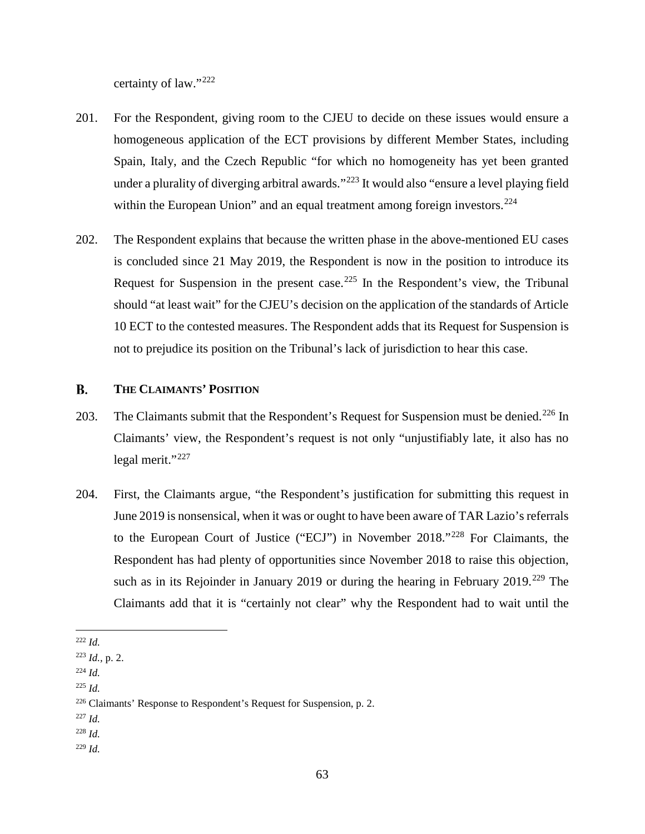certainty of law."<sup>222</sup>

- 201. For the Respondent, giving room to the CJEU to decide on these issues would ensure a homogeneous application of the ECT provisions by different Member States, including Spain, Italy, and the Czech Republic "for which no homogeneity has yet been granted under a plurality of diverging arbitral awards."<sup>223</sup> It would also "ensure a level playing field within the European Union" and an equal treatment among foreign investors.<sup>224</sup>
- 202. The Respondent explains that because the written phase in the above-mentioned EU cases is concluded since 21 May 2019, the Respondent is now in the position to introduce its Request for Suspension in the present case.<sup>225</sup> In the Respondent's view, the Tribunal should "at least wait" for the CJEU's decision on the application of the standards of Article 10 ECT to the contested measures. The Respondent adds that its Request for Suspension is not to prejudice its position on the Tribunal's lack of jurisdiction to hear this case.

### **B. THE CLAIMANTS' POSITION**

- 203. The Claimants submit that the Respondent's Request for Suspension must be denied.<sup>226</sup> In Claimants' view, the Respondent's request is not only "unjustifiably late, it also has no legal merit."<sup>227</sup>
- 204. First, the Claimants argue, "the Respondent's justification for submitting this request in June 2019 is nonsensical, when it was or ought to have been aware of TAR Lazio's referrals to the European Court of Justice ("ECJ") in November 2018."<sup>228</sup> For Claimants, the Respondent has had plenty of opportunities since November 2018 to raise this objection, such as in its Rejoinder in January 2019 or during the hearing in February 2019.<sup>229</sup> The Claimants add that it is "certainly not clear" why the Respondent had to wait until the

<sup>229</sup> *Id.*

 $\overline{a}$ <sup>222</sup> *Id.*

<sup>223</sup> *Id.,* p. 2.

<sup>224</sup> *Id.*

<sup>225</sup> *Id.*

<sup>226</sup> Claimants' Response to Respondent's Request for Suspension, p. 2.

<sup>227</sup> *Id.*

<sup>228</sup> *Id.*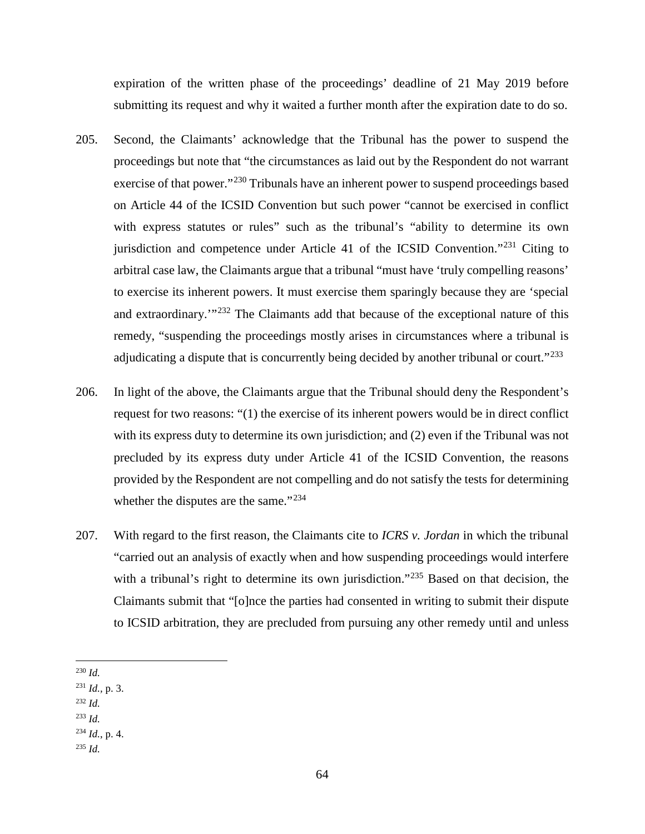expiration of the written phase of the proceedings' deadline of 21 May 2019 before submitting its request and why it waited a further month after the expiration date to do so.

- 205. Second, the Claimants' acknowledge that the Tribunal has the power to suspend the proceedings but note that "the circumstances as laid out by the Respondent do not warrant exercise of that power."<sup>230</sup> Tribunals have an inherent power to suspend proceedings based on Article 44 of the ICSID Convention but such power "cannot be exercised in conflict with express statutes or rules" such as the tribunal's "ability to determine its own jurisdiction and competence under Article 41 of the ICSID Convention."<sup>231</sup> Citing to arbitral case law, the Claimants argue that a tribunal "must have 'truly compelling reasons' to exercise its inherent powers. It must exercise them sparingly because they are 'special and extraordinary.<sup>"232</sup> The Claimants add that because of the exceptional nature of this remedy, "suspending the proceedings mostly arises in circumstances where a tribunal is adjudicating a dispute that is concurrently being decided by another tribunal or court."<sup>233</sup>
- 206. In light of the above, the Claimants argue that the Tribunal should deny the Respondent's request for two reasons: "(1) the exercise of its inherent powers would be in direct conflict with its express duty to determine its own jurisdiction; and (2) even if the Tribunal was not precluded by its express duty under Article 41 of the ICSID Convention, the reasons provided by the Respondent are not compelling and do not satisfy the tests for determining whether the disputes are the same."<sup>234</sup>
- 207. With regard to the first reason, the Claimants cite to *ICRS v. Jordan* in which the tribunal "carried out an analysis of exactly when and how suspending proceedings would interfere with a tribunal's right to determine its own jurisdiction."<sup>235</sup> Based on that decision, the Claimants submit that "[o]nce the parties had consented in writing to submit their dispute to ICSID arbitration, they are precluded from pursuing any other remedy until and unless
- 230 *Id.*
- <sup>231</sup> *Id.,* p. 3.
- <sup>232</sup> *Id.*
- <sup>233</sup> *Id.*

<sup>234</sup> *Id.*, p. 4.

<sup>235</sup> *Id.*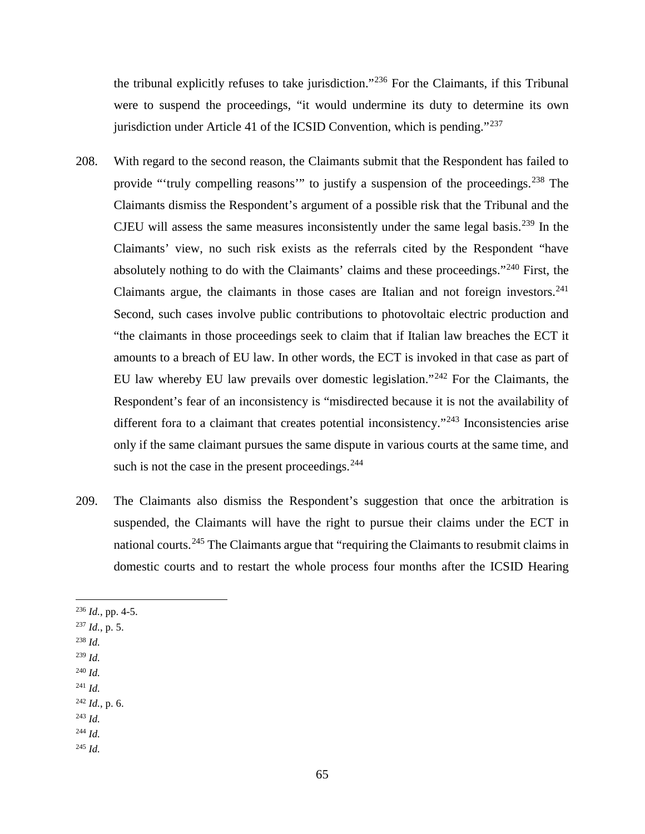the tribunal explicitly refuses to take jurisdiction."<sup>236</sup> For the Claimants, if this Tribunal were to suspend the proceedings, "it would undermine its duty to determine its own jurisdiction under Article 41 of the ICSID Convention, which is pending."<sup>237</sup>

- 208. With regard to the second reason, the Claimants submit that the Respondent has failed to provide "'truly compelling reasons'" to justify a suspension of the proceedings.<sup>238</sup> The Claimants dismiss the Respondent's argument of a possible risk that the Tribunal and the CJEU will assess the same measures inconsistently under the same legal basis.<sup>239</sup> In the Claimants' view, no such risk exists as the referrals cited by the Respondent "have absolutely nothing to do with the Claimants' claims and these proceedings."<sup>240</sup> First, the Claimants argue, the claimants in those cases are Italian and not foreign investors. $241$ Second, such cases involve public contributions to photovoltaic electric production and "the claimants in those proceedings seek to claim that if Italian law breaches the ECT it amounts to a breach of EU law. In other words, the ECT is invoked in that case as part of EU law whereby EU law prevails over domestic legislation."<sup>242</sup> For the Claimants, the Respondent's fear of an inconsistency is "misdirected because it is not the availability of different fora to a claimant that creates potential inconsistency."<sup>243</sup> Inconsistencies arise only if the same claimant pursues the same dispute in various courts at the same time, and such is not the case in the present proceedings. $244$
- 209. The Claimants also dismiss the Respondent's suggestion that once the arbitration is suspended, the Claimants will have the right to pursue their claims under the ECT in national courts.<sup>245</sup> The Claimants argue that "requiring the Claimants to resubmit claims in domestic courts and to restart the whole process four months after the ICSID Hearing
- 236 *Id.*, pp. 4-5.
- <sup>237</sup> *Id.*, p. 5.
- <sup>238</sup> *Id.*
- <sup>239</sup> *Id.*
- <sup>240</sup> *Id.* <sup>241</sup> *Id.*
- <sup>242</sup> *Id.*, p. 6.
- <sup>243</sup> *Id.*
- <sup>244</sup> *Id.*
- <sup>245</sup> *Id.*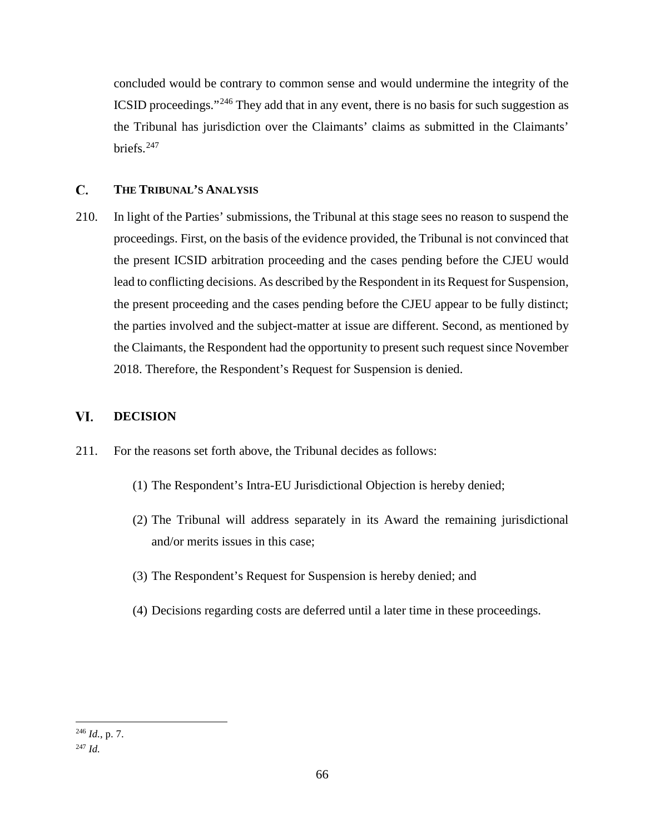concluded would be contrary to common sense and would undermine the integrity of the ICSID proceedings."<sup>246</sup> They add that in any event, there is no basis for such suggestion as the Tribunal has jurisdiction over the Claimants' claims as submitted in the Claimants' briefs.<sup>247</sup>

## C. **THE TRIBUNAL'S ANALYSIS**

210. In light of the Parties' submissions, the Tribunal at this stage sees no reason to suspend the proceedings. First, on the basis of the evidence provided, the Tribunal is not convinced that the present ICSID arbitration proceeding and the cases pending before the CJEU would lead to conflicting decisions. As described by the Respondent in its Request for Suspension, the present proceeding and the cases pending before the CJEU appear to be fully distinct; the parties involved and the subject-matter at issue are different. Second, as mentioned by the Claimants, the Respondent had the opportunity to present such request since November 2018. Therefore, the Respondent's Request for Suspension is denied.

## VI. **DECISION**

- 211. For the reasons set forth above, the Tribunal decides as follows:
	- (1) The Respondent's Intra-EU Jurisdictional Objection is hereby denied;
	- (2) The Tribunal will address separately in its Award the remaining jurisdictional and/or merits issues in this case;
	- (3) The Respondent's Request for Suspension is hereby denied; and
	- (4) Decisions regarding costs are deferred until a later time in these proceedings.

 $\overline{a}$ 

<sup>246</sup> *Id.*, p. 7. <sup>247</sup> *Id.*